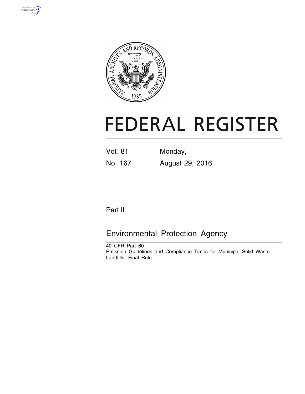



# **FEDERAL REGISTER**

- Vol. 81 Monday,
- No. 167 August 29, 2016

# Part II

# Environmental Protection Agency

40 CFR Part 60 Emission Guidelines and Compliance Times for Municipal Solid Waste Landfills; Final Rule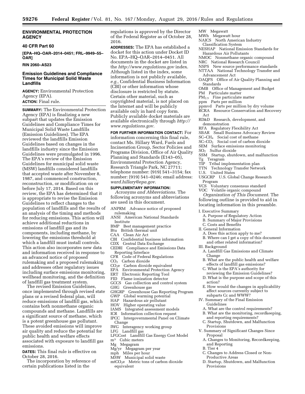# **ENVIRONMENTAL PROTECTION AGENCY**

#### **40 CFR Part 60**

**[EPA–HQ–OAR–2014–0451; FRL–9949–55– OAR]** 

#### **RIN 2060–AS23**

# **Emission Guidelines and Compliance Times for Municipal Solid Waste Landfills**

**AGENCY:** Environmental Protection Agency (EPA). **ACTION:** Final rule.

**SUMMARY:** The Environmental Protection Agency (EPA) is finalizing a new subpart that updates the Emission Guidelines and Compliance Times for Municipal Solid Waste Landfills (Emission Guidelines). The EPA reviewed the landfills Emission Guidelines based on changes in the landfills industry since the Emission Guidelines were promulgated in 1996. The EPA's review of the Emission Guidelines for municipal solid waste (MSW) landfills considered landfills that accepted waste after November 8, 1987, and commenced construction, reconstruction, or modification on or before July 17, 2014. Based on this review, the EPA has determined that it is appropriate to revise the Emission Guidelines to reflect changes to the population of landfills and the results of an analysis of the timing and methods for reducing emissions. This action will achieve additional reductions in emissions of landfill gas and its components, including methane, by lowering the emissions threshold at which a landfill must install controls. This action also incorporates new data and information received in response to an advanced notice of proposed rulemaking and a proposed rulemaking and addresses other regulatory issues including surface emissions monitoring, wellhead monitoring, and the definition of landfill gas treatment system.

The revised Emission Guidelines, once implemented through revised state plans or a revised federal plan, will reduce emissions of landfill gas, which contains both nonmethane organic compounds and methane. Landfills are a significant source of methane, which is a potent greenhouse gas pollutant. These avoided emissions will improve air quality and reduce the potential for public health and welfare effects associated with exposure to landfill gas emissions.

**DATES:** This final rule is effective on October 28, 2016.

The incorporation by reference of certain publications listed in the

regulations is approved by the Director of the Federal Register as of October 28, 2016.

**ADDRESSES:** The EPA has established a docket for this action under Docket ID No. EPA–HQ–OAR–2014–0451. All documents in the docket are listed in the *<http://www.regulations.gov>*index. Although listed in the index, some information is not publicly available, *e.g.,* Confidential Business Information (CBI) or other information whose disclosure is restricted by statute. Certain other material, such as copyrighted material, is not placed on the Internet and will be publicly available only in hard copy form. Publicly available docket materials are available electronically through *[http://](http://www.regulations.gov) [www.regulations.gov.](http://www.regulations.gov)* 

**FOR FURTHER INFORMATION CONTACT:** For information concerning this final rule, contact Ms. Hillary Ward, Fuels and Incineration Group, Sector Policies and Programs Division, Office of Air Quality Planning and Standards (E143–05), Environmental Protection Agency, Research Triangle Park, NC 27711; telephone number: (919) 541–3154; fax number: (919) 541–0246; email address: *[ward.hillary@epa.gov.](mailto:ward.hillary@epa.gov)* 

#### **SUPPLEMENTARY INFORMATION:**

*Acronyms and Abbreviations.* The following acronyms and abbreviations are used in this document.

- ANPRM Advance notice of proposed rulemaking
- ANSI American National Standards Institute
- BMP Best management practice
- Btu British thermal unit
- CAA Clean Air Act
- CBI Confidential business information
- CDX Central Data Exchange CEDRI Compliance and Emissions Data Reporting Interface
- CFR<sup>-</sup> Code of Federal Regulations
- 
- $CO<sub>2</sub>$  Carbon dioxide<br>CO<sub>2</sub>e Carbon dioxide
- CO<sub>2</sub>e Carbon dioxide equivalent<br>EPA Environmental Protection A Environmental Protection Agency
- ERT Electronic Reporting Tool
- FID Flame ionization detector
- GCCS Gas collection and control system
- GHG Greenhouse gas
- GHGRP Greenhouse Gas Reporting Program
- 
- GWP Global warming potential HAP Hazardous air pollutant
- Higher operating value
- IAMS Integrated assessment models
- ICR Information collection request
- IPCC Intergovernmental Panel on Climate Change
- IWG Interagency working group
- LFG Landfill gas
- LFGCost Landfill Gas Energy Cost Model
- m3 Cubic meters Mg Megagram
- Mg/yr Megagram per year
- mph Miles per hour
- MSW Municipal solid waste
- $mtCO<sub>2</sub>e$  Metric tons of carbon dioxide equivalent
- MW Megawatt
- MWh Megawatt hour NAICS North American Industry
- Classification System
- NESHAP National Emission Standards for Hazardous Air Pollutants
- NMOC Nonmethane organic compound
- NRC National Research Council
- NSPS New source performance standards
- NTTAA National Technology Transfer and Advancement Act
- OAQPS Office of Air Quality Planning and Standards
- OMB Office of Management and Budget
- PM Particulate matter
- PM2.5 Fine particulate matter
- ppm Parts per million
- ppmvd Parts per million by dry volume RCRA Resource Conservation and Recovery
- Act
- RD&D Research, development, and demonstration
- RFA Regulatory Flexibility Act
- SBAR Small Business Advocacy Review
- SC–CH4 Social cost of methane
- SC–CO2 Social cost of carbon dioxide
- SEM Surface emissions monitoring
- SO2 Sulfur dioxide
- SSM Startup, shutdown, and malfunction
- Tg Teragram
- TIP Tribal implementation plan
- TTN Technology Transfer Network U.S. United States
- 
- USGCRP U.S. Global Change Research Program
- VCS Voluntary consensus standard VOC Volatile organic compound
- *Organization of This Document.* The following outline is provided to aid in locating information in this preamble.
- I. Executive Summary
- A. Purpose of Regulatory Action
- B. Summary of Major Provisions
- C. Costs and Benefits
- II. General Information
	- A. Does this action apply to me?
	- B. Where can I get a copy of this document and other related information?
- III. Background
	- A. Landfill Gas Emissions and Climate Change
	- B. What are the public health and welfare effects of landfill gas emissions?
	- C. What is the EPA's authority for
	- reviewing the Emission Guidelines? D. What is the purpose and scope of this
	- action? E. How would the changes in applicability
	- affect sources currently subject to subparts Cc and WWW?
- IV. Summary of the Final Emission Guidelines
	- A. What are the control requirements?
	- B. What are the monitoring, recordkeeping, and reporting requirements?
	- C. Startup, Shutdown, and Malfunction Provisions
- V. Summary of Significant Changes Since Proposal
	- A. Changes to Monitoring, Recordkeeping, and Reporting
	- B. Tier 4
	- C. Changes to Address Closed or Non-Productive Areas
	- D. Startup, Shutdown, and Malfunction Provisions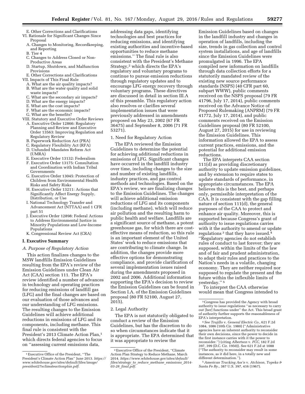- E. Other Corrections and Clarifications VI. Rationale for Significant Changes Since
	- Proposal A. Changes to Monitoring, Recordkeeping, and Reporting

B. Tier 4

- C. Changes to Address Closed or Non-Productive Areas
- D. Startup, Shutdown, and Malfunction Provisions
- E. Other Corrections and Clarifications
- VII. Impacts of This Final Rule A. What are the air quality impacts?
	- B. What are the water quality and solid waste impacts?
	- C. What are the secondary air impacts?
	- D. What are the energy impacts?
	- E. What are the cost impacts?
	- F. What are the economic impacts?
	- G. What are the benefits?
- VIII. Statutory and Executive Order Reviews
	- A. Executive Order 12866: Regulatory Planning and Review and Executive Order 13563: Improving Regulation and Regulatory Review
	- B. Paperwork Reduction Act (PRA)
	- C. Regulatory Flexibility Act (RFA)
	- D. Unfunded Mandates Reform Act (UMRA)
	- E. Executive Order 13132: Federalism
	- F. Executive Order 13175: Consultation and Coordination with Indian Tribal Governments
	- G. Executive Order 13045: Protection of Children from Environmental Health Risks and Safety Risks
	- H. Executive Order 13211: Actions that Significantly Affect Energy Supply, Distribution, or Use
	- I. National Technology Transfer and Advancement Act (NTTAA) and 1 CFR part 51
	- J. Executive Order 12898: Federal Actions to Address Environmental Justice in Minority Populations and Low-Income Populations
	- K. Congressional Review Act (CRA)

#### **I. Executive Summary**

# *A. Purpose of Regulatory Action*

This action finalizes changes to the MSW landfills Emission Guidelines resulting from the EPA's review of the Emission Guidelines under Clean Air Act (CAA) section 111. The EPA's review identified a number of advances in technology and operating practices for reducing emissions of landfill gas (LFG) and the final changes are based on our evaluation of those advances and our understanding of LFG emissions. The resulting changes to the Emission Guidelines will achieve additional reductions in emissions of LFG and its components, including methane. This final rule is consistent with the President's 2013 Climate Action Plan,<sup>1</sup> which directs federal agencies to focus on ''assessing current emissions data,

addressing data gaps, identifying technologies and best practices for reducing emissions, and identifying existing authorities and incentive-based opportunities to reduce methane emissions.'' The final rule is also consistent with the President's Methane Strategy,2 which directs the EPA's regulatory and voluntary programs to continue to pursue emission reductions through regulatory updates and to encourage LFG energy recovery through voluntary programs. These directives are discussed in detail in section III.A of this preamble. This regulatory action also resolves or clarifies several implementation issues that were previously addressed in amendments proposed on May 23, 2002 (67 FR 36475) and September 8, 2006 (71 FR 53271).

1. Need for Regulatory Action

The EPA reviewed the Emission Guidelines to determine the potential for achieving additional reductions in emissions of LFG. Significant changes have occurred in the landfill industry over time, including changes to the size and number of existing landfills, industry practices, and gas control methods and technologies. Based on the EPA's review, we are finalizing changes to the Emission Guidelines. The changes will achieve additional emission reductions of LFG and its components (including methane), which will reduce air pollution and the resulting harm to public health and welfare. Landfills are a significant source of methane, a potent greenhouse gas, for which there are costeffective means of reduction, so this rule is an important element of the United States' work to reduce emissions that are contributing to climate change. In addition, the changes provide more effective options for demonstrating compliance, and provide clarification of several implementation issues raised during the amendments proposed in 2002 and 2006. Additional information supporting the EPA's decision to review the Emission Guidelines can be found in Section I.A. of the Emission Guidelines proposal (80 FR 52100, August 27, 2015).

#### 2. Legal Authority

The EPA is not statutorily obligated to conduct a review of the Emission Guidelines, but has the discretion to do so when circumstances indicate that it is appropriate. The EPA determined that it was appropriate to review the

Emission Guidelines based on changes in the landfill industry and changes in operation of landfills, including the size, trends in gas collection and control system installations, and age of landfills since the Emission Guidelines were promulgated in 1996. The EPA compiled new information on landfills through data collection efforts for a statutorily mandated review of the existing new source performance standards (NSPS) (40 CFR part 60, subpart WWW), public comments received on the NSPS proposal (79 FR 41796, July 17, 2014), public comments received on the Advance Notice of Proposed Rulemaking (ANPRM) (79 FR 41772, July 17, 2014), and public comments received on the Emission Guidelines proposal (80 FR 52100, August 27, 2015) for use in reviewing the Emission Guidelines. This information allowed the EPA to assess current practices, emissions, and the potential for additional emission reductions.

The EPA interprets CAA section 111(d) as providing discretionary authority to update emission guidelines, and by extension to require states to update standards of performance, in appropriate circumstances. The EPA believes this is the best, and perhaps only, permissible interpretation of the CAA. It is consistent with the gap filling nature of section 111(d), the general purposes of the CAA to protect and enhance air quality. Moreover, this is supported because Congress's grant of authority to issue regulations carries with it the authority to amend or update regulations 3 that they have issued.4 ''Regulatory agencies do not establish rules of conduct to last forever; they are supposed, within the limits of the law and of fair and prudent administration, to adapt their rules and practices to the Nation's needs in a volatile, changing economy. They are neither required nor supposed to regulate the present and the future within the inflexible limits of yesterday.'' 5

To interpret the CAA otherwise would mean that Congress intended to

5*American Trucking Ass'n* v. *Atchison, Topeka & Santa Fe Ry.,* 387 U.S. 397, 416 (1967).

<sup>1</sup>Executive Office of the President, ''The President's Climate Action Plan'' June 2013. *[https://](https://www.whitehouse.gov/sites/default/files/image/president27sclimateactionplan.pdf) [www.whitehouse.gov/sites/default/files/image/](https://www.whitehouse.gov/sites/default/files/image/president27sclimateactionplan.pdf)  [president27sclimateactionplan.pdf.](https://www.whitehouse.gov/sites/default/files/image/president27sclimateactionplan.pdf)* 

<sup>2</sup>Executive Office of the President, ''Climate Action Plan Strategy to Reduce Methane, March 2014. *[https://www.whitehouse.gov/sites/default/](https://www.whitehouse.gov/sites/default/files/strategy_to_reduce_methane_emissions_2014-03-28_final.pdf)  [files/strategy](https://www.whitehouse.gov/sites/default/files/strategy_to_reduce_methane_emissions_2014-03-28_final.pdf)*\_*to*\_*reduce*\_*methane*\_*emissions*\_*2014- 03-28*\_*[final.pdf.](https://www.whitehouse.gov/sites/default/files/strategy_to_reduce_methane_emissions_2014-03-28_final.pdf)* 

<sup>3</sup>Congress has provided the Agency with broad authority to issue regulations ''as necessary to carry out [her] functions under'' the Act. This broad grant of authority further supports the reasonableness of EPA's interpretation.

<sup>4</sup>*See Trujillo* v. *General Electric Co.,* 621 F.2d 1084, 1086 (10th Cir. 1980) (''Administrative agencies have an inherent authority to reconsider their own decisions, since the power to decide in the first instance carries with it the power to reconsider.'') (citing *Albertson* v. *FCC,* 182 F.2d 397, 399 (D.C. Cir. 1950)). See 621 F.2d at 1088 (''The authority to reconsider may result in some instances, as it did here, in a totally new and different determination.'').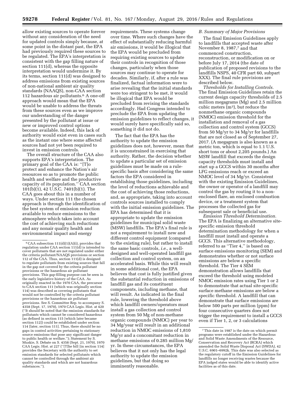allow existing sources to operate forever without any consideration of the need for updated controls simply because, at some point in the distant past, the EPA had previously required these sources to be regulated. The EPA's interpretation is consistent with the gap filling nature of section 111(d), whereas the opposite interpretation would undermine it. By its terms, section 111(d) was designed to address emissions from existing sources of non-national ambient air quality standards (NAAQS), non-CAA section 112 hazardous air pollutants.6 A one-off approach would mean that the EPA would be unable to address the threats from these sources even as we improve our understanding of the danger presented by the pollutant at issue or new or improved control options become available. Indeed, this lack of authority would exist even in cases such as the instant one where some affected sources had not yet been required to invest in emission controls.

The overall structure of the CAA also supports EPA's interpretation. The primary goal of the CAA is: ''[T]o protect and enhance the Nation's air resources so as to promote the public health and welfare and the productive capacity of its population.'' CAA section 101(b)(1), 42 U.S.C. 7401(b)(1). The CAA goes about this in a number of ways. Under section 111 the chosen approach is through the identification of the best system of emission reduction available to reduce emissions to the atmosphere which takes into account the cost of achieving such reductions and any nonair quality health and environmental impact and energy

requirements. These systems change over time. Where such changes have the effect of substantially reducing harmful air emissions, it would be illogical that the EPA would be precluded from requiring existing sources to update their controls in recognition of those changes, particularly when those sources may continue to operate for decades. Similarly, if, after a rule was finalized, factual information were to arise revealing that the initial standards were too stringent to be met, it would be illogical that EPA would be precluded from revising the standards accordingly. Had Congress intended to preclude the EPA from updating the emission guidelines to reflect changes, it would surely have specifically said so, something it did not do.

The fact that the EPA has the authority to update the emission guidelines does not, however, mean that it is unconstrained in exercising that authority. Rather, the decision whether to update a particular set of emission guidelines must be made on a rulespecific basis after considering the same factors the EPA considered in establishing those guidelines, including the level of reductions achievable and the cost of achieving those reductions, and, as appropriate, taking into account controls sources installed to comply with the initial emission guidelines. The EPA has determined that it is appropriate to update the emission guidelines for municipal solid waste (MSW) landfills. The EPA's final rule is not a requirement to install new and different control equipment (compared to the existing rule), but rather to install the same basic controls, *i.e.,* a welldesigned and well-operated landfill gas collection and control system, on an accelerated basis. While this will result in some additional cost, the EPA believes that cost is fully justified given the substantial reduction in emissions of landfill gas and its constituent components, including methane, that will result. As indicated in the final rule, lowering the threshold above which landfill owners/operators must install a gas collection and control system from 50 Mg of non-methane organic compounds (NMOC) per year to 34 Mg/year will result in an additional reduction in NMOC emissions of 1,810 Mg/yr and a concomitant reduction in methane emissions of 0.285 million Mg/ yr. In these circumstances, the EPA believes that it not only has the legal authority to update the emission guidelines, but that doing so imminently reasonable.

#### *B. Summary of Major Provisions*

The final Emission Guidelines apply to landfills that accepted waste after November 8, 1987,7 and that commenced construction, reconstruction, or modification on or before July 17, 2014 (the date of publication of proposed revisions to the landfills NSPS, 40 CFR part 60, subpart XXX). The final rule provisions are described below.

*Thresholds for Installing Controls.*  The final Emission Guidelines retain the current design capacity thresholds of 2.5 million megagrams (Mg) and 2.5 million cubic meters (m3), but reduce the nonmethane organic compounds (NMOC) emission threshold for the installation and removal of a gas collection and control system (GCCS) from 50 Mg/yr to 34 Mg/yr for landfills that are not closed as of September 27, 2017. (A megagram is also known as a metric ton, which is equal to 1.1 U.S. short tons or about 2,205 pounds.) An MSW landfill that exceeds the design capacity thresholds must install and start up a GCCS within 30 months after LFG emissions reach or exceed an NMOC level of 34 Mg/yr. Consistent with the existing Emission Guidelines, the owner or operator of a landfill may control the gas by routing it to a nonenclosed flare, an enclosed combustion device, or a treatment system that processes the collected gas for subsequent sale or beneficial use.

*Emission Threshold Determination.*  The EPA is finalizing an alternative sitespecific emission threshold determination methodology for when a landfill must install and operate a GCCS. This alternative methodology, referred to as ''Tier 4,'' is based on surface emissions monitoring (SEM) and demonstrates whether or not surface emissions are below a specific threshold. The Tier 4 SEM demonstration allows landfills that exceed the threshold using modeled NMOC emission rates using Tier 1 or 2 to demonstrate that actual site-specific surface methane emissions are below a specific threshold. A landfill that can demonstrate that surface emissions are below 500 parts per million (ppm) for four consecutive quarters does not trigger the requirement to install a GCCS even if Tier 1, 2, or 3 calculations

 $6$  CAA subsection 111(d)(1)(A)(i), provides that regulation under CAA section  $111(d)$  is intended to cover pollutants that are not regulated under either the criteria pollutant/NAAQS provisions or section 112 of the CAA. Thus, section 111(d) is designed to regulate pollutants from existing sources that fall in the gap not covered by the criteria pollutant provisions or the hazardous air pollutant provisions. This gap-filling purpose can be seen in the early legislative history of the CAA. As originally enacted in the 1970 CAA, the precursor to CAA section 111 (which was originally section 114) was described as covering pollutants that would not be controlled by the criteria pollutant provisions or the hazardous air pollutant provisions. See S. Committee Rep. to accompany S. 4358 (Sept. 17, 1970), 1970 CAA Legis. Hist. at 420 (''It should be noted that the emission standards for pollutants which cannot be considered hazardous (as defined in section 115 [which later became section 112]) could be established under section 114 [later, section 111]. Thus, there should be no gaps in control activities pertaining to stationary source emissions that pose any significant danger to public health or welfare.''); Statement by S. Muskie, S. Debate on S. 4358 (Sept. 21, 1970), 1970 CAA Legis. Hist. at 227 (''[T]he bill [in section 114] provides the Secretary with the authority to set emission standards for selected pollutants which cannot be controlled through the ambient air quality standards and which are not hazardous substances.'').

<sup>7</sup>This date in 1987 is the date on which permit programs were established under the Hazardous and Solid Waste Amendments of the Resource, Conservation and Recovery Act (RCRA) which amended the Solid Waste Disposal Act (SWDA), 42 U.S.C. 6901–6992k. This date was also selected as the regulatory cutoff in the Emission Guidelines for landfills no longer receiving wastes because the EPA judged states would be able to identify active facilities as of this date.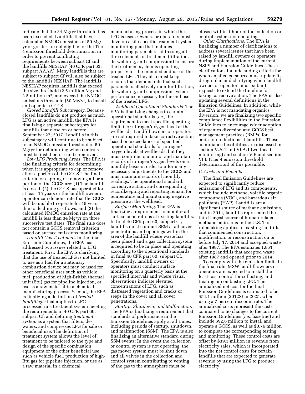indicate that the 34 Mg/yr threshold has been exceeded. Landfills that have calculated NMOC emissions of 50 Mg/ yr or greater are not eligible for the Tier 4 emission threshold determination in order to prevent conflicting requirements between subpart Cf and the landfills NESHAP (40 CFR part 63, subpart AAAA). Many landfills that are subject to subpart Cf will also be subject to the landfills NESHAP. The landfills NESHAP requires landfills that exceed the size threshold (2.5 million Mg and 2.5 million m3) and exceed the NMOC emissions threshold (50 Mg/yr) to install and operate a GCCS.

*Closed Landfill Subcategory.* Because closed landfills do not produce as much LFG as an active landfill, the EPA is finalizing a separate subcategory for landfills that close on or before September 27, 2017. Landfills in this subcategory will continue to be subject to an NMOC emission threshold of 50 Mg/yr for determining when controls must be installed or can be removed.

*Low LFG Producing Areas.* The EPA is also finalizing criteria for determining when it is appropriate to cap or remove all or a portion of the GCCS. The final criteria for capping or removing all or a portion of the GCCS are: (1) The landfill is closed, (2) the GCCS has operated for at least 15 years or the landfill owner or operator can demonstrate that the GCCS will be unable to operate for 15 years due to declining gas flows, and (3) the calculated NMOC emission rate at the landfill is less than 34 Mg/yr on three successive test dates. The final rule does not contain a GCCS removal criterion based on surface emissions monitoring.

*Landfill Gas Treatment.* In the final Emission Guidelines, the EPA has addressed two issues related to LFG treatment. First, the EPA is clarifying that the use of treated LFG is not limited to use as a fuel for a stationary combustion device but may be used for other beneficial uses such as vehicle fuel, production of high-British thermal unit (Btu) gas for pipeline injection, or use as a raw material in a chemical manufacturing process. Second, the EPA is finalizing a definition of *treated landfill gas* that applies to LFG processed in a treatment system meeting the requirements in 40 CFR part 60, subpart Cf, and defining *treatment system* as a system that filters, dewaters, and compresses LFG for sale or beneficial use. The definition of treatment system allows the level of treatment to be tailored to the type and design of the specific combustion equipment or the other beneficial use such as vehicle fuel, production of high-Btu gas for pipeline injection, or use as a raw material in a chemical

manufacturing process in which the LFG is used. Owners or operators must develop a site-specific treatment system monitoring plan that includes monitoring parameters addressing all three elements of treatment (filtration, de-watering, and compression) to ensure the treatment system is operating properly for the intended end use of the treated LFG. They also must keep records that demonstrate that such parameters effectively monitor filtration, de-watering, and compression system performance necessary for the end use of the treated LFG.

*Wellhead Operational Standards.* The EPA is finalizing changes to certain operational standards (*i.e.,* the requirement to meet specific operating limits) for nitrogen/oxygen level at the wellheads. Landfill owners or operators are not required to take corrective action based on exceedances of specified operational standards for nitrogen/ oxygen levels at wellheads, but they must continue to monitor and maintain records of nitrogen/oxygen levels on a monthly basis in order to inform any necessary adjustments to the GCCS and must maintain records of monthly readings. The operational standard, corrective action, and corresponding recordkeeping and reporting remain for temperature and maintaining negative pressure at the wellhead.

*Surface Monitoring.* The EPA is finalizing a requirement to monitor all surface penetrations at existing landfills. In final 40 CFR part 60, subpart Cf, landfills must conduct SEM at all cover penetrations and openings within the area of the landfill where waste has been placed and a gas collection system is required to be in place and operating according to the operational standards in final 40 CFR part 60, subpart Cf. Specifically, landfill owners or operators must conduct surface monitoring on a quarterly basis at the specified intervals and where visual observations indicate elevated concentrations of LFG, such as distressed vegetation and cracks or seeps in the cover and all cover penetrations.

*Startup, Shutdown, and Malfunction.*  The EPA is finalizing a requirement that standards of performance in the Emission Guidelines apply at all times, including periods of startup, shutdown, and malfunction (SSM). The EPA is also finalizing an alternative standard during SSM events: In the event the collection or control system is not operating, the gas mover system must be shut down and all valves in the collection and control system contributing to venting of the gas to the atmosphere must be

closed within 1 hour of the collection or control system not operating.

*Other Clarifications.* The EPA is finalizing a number of clarifications to address several issues that have been raised by landfill owners or operators during implementation of the current NSPS and Emission Guidelines. These clarifications include adding criteria for when an affected source must update its design plan and clarifying when landfill owners or operators must submit requests to extend the timeline for taking corrective action. The EPA is also updating several definitions in the Emission Guidelines. In addition, while the EPA is not mandating organics diversion, we are finalizing two specific compliance flexibilities in the Emission Guidelines to encourage wider adoption of organics diversion and GCCS best management practices (BMPs) for emission reductions at landfills. These compliance flexibilities are discussed in section V.A.1 and VI.A.1 (wellhead monitoring) and section V.B and section VI.B (Tier 4 emission threshold determination) of this preamble.

#### *C. Costs and Benefits*

The final Emission Guidelines are expected to significantly reduce emissions of LFG and its components, which include methane, volatile organic compounds (VOC), and hazardous air pollutants (HAP). Landfills are a significant source of methane emissions, and in 2014, landfills represented the third largest source of human-related methane emissions in the U.S. This rulemaking applies to existing landfills that commenced construction, modification, or reconstruction on or before July 17, 2014 and accepted waste after 1987. The EPA estimates 1,851 existing landfills that accepted waste after 1987 and opened prior to 2014.

To comply with the emission limits in the final rule, MSW landfill owners or operators are expected to install the least-cost control for collecting, and treating or combusting LFG. The annualized net cost for the final Emission Guidelines is estimated to be \$54.1 million (2012\$) in 2025, when using a 7 percent discount rate. The annualized costs represent the costs compared to no changes to the current Emission Guidelines (*i.e.,* baseline) and include \$92.6 million to install and operate a GCCS, as well as \$0.76 million to complete the corresponding testing and monitoring. These control costs are offset by \$39.3 million in revenue from electricity sales, which is incorporated into the net control costs for certain landfills that are expected to generate revenue by using the LFG to produce electricity.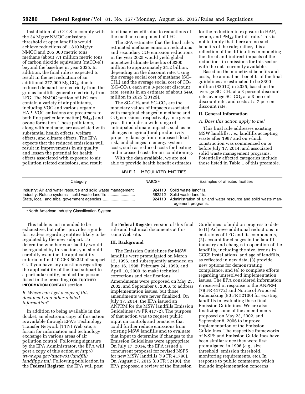Installation of a GCCS to comply with the 34 Mg/yr NMOC emissions threshold at open landfills would achieve reductions of 1,810 Mg/yr NMOC and 285,000 metric tons methane (about 7.1 million metric tons of carbon dioxide equivalent  $(mtCO<sub>2</sub>e))$ beyond the baseline in year 2025. In addition, the final rule is expected to result in the net reduction of an additional  $277,000$  Mg  $CO<sub>2</sub>$ , due to reduced demand for electricity from the grid as landfills generate electricity from LFG. The NMOC portion of LFG can contain a variety of air pollutants, including VOC and various organic HAP. VOC emissions are precursors to both fine particulate matter  $(PM_{2.5})$  and ozone formation. These pollutants, along with methane, are associated with substantial health effects, welfare effects, and climate effects. The EPA expects that the reduced emissions will result in improvements in air quality and lessen the potential for health effects associated with exposure to air pollution related emissions, and result

in climate benefits due to reductions of the methane component of LFG.

The EPA estimates that the final rule's estimated methane emission reductions and secondary  $CO<sub>2</sub>$  emission reductions in the year 2025 would yield global monetized climate benefits of \$200 million to approximately \$1.2 billion, depending on the discount rate. Using the average social cost of methane (SC–  $CH<sub>4</sub>$ ) and the average social cost of  $CO<sub>2</sub>$ (SC–CO2), each at a 3-percent discount rate, results in an estimate of about \$440 million in 2025 (2012\$).

The SC–CH<sub>4</sub> and SC–CO<sub>2</sub> are the monetary values of impacts associated with marginal changes in methane and  $CO<sub>2</sub>$  emissions, respectively, in a given year. It includes a wide range of anticipated climate impacts, such as net changes in agricultural productivity, property damage from increased flood risk, and changes in energy system costs, such as reduced costs for heating and increased costs for air conditioning.

With the data available, we are not able to provide health benefit estimates

# TABLE 1—REGULATED ENTITIES

for the reduction in exposure to HAP, ozone, and  $PM<sub>2.5</sub>$  for this rule. This is not to imply that there are no such benefits of the rule; rather, it is a reflection of the difficulties in modeling the direct and indirect impacts of the reductions in emissions for this sector with the data currently available.

Based on the monetized benefits and costs, the annual net benefits of the final guidelines are estimated to be \$390 million (\$2012) in 2025, based on the average SC–CH4 at a 3 percent discount rate, average  $SC$ – $CO<sub>2</sub>$  at a 3 percent discount rate, and costs at a 7 percent discount rate.

# **II. General Information**

#### *A. Does this action apply to me?*

This final rule addresses existing MSW landfills, *i.e.,* landfills accepting waste after 1987 and on which construction was commenced on or before July 17, 2014, and associated solid waste management programs. Potentially affected categories include those listed in Table 1 of this preamble.

| Category                                                                                                      | NAICS <sup>a</sup> | Examples of affected facilities                                                                                                                             |
|---------------------------------------------------------------------------------------------------------------|--------------------|-------------------------------------------------------------------------------------------------------------------------------------------------------------|
| Industry: Air and water resource and solid waste management<br>Industry: Refuse systems-solid waste landfills |                    | 924110 Solid waste landfills.<br>562212 Solid waste landfills.<br>924110 Administration of air and water resource and solid waste man-<br>agement programs. |

a North American Industry Classification System.

This table is not intended to be exhaustive, but rather provides a guide for readers regarding entities likely to be regulated by the new subpart. To determine whether your facility would be regulated by this action, you should carefully examine the applicability criteria in final 40 CFR 60.32f of subpart Cf. If you have any questions regarding the applicability of the final subpart to a particular entity, contact the person listed in the preceding **FOR FURTHER INFORMATION CONTACT** section.

# *B. Where can I get a copy of this document and other related information?*

In addition to being available in the docket, an electronic copy of this action is available through EPA's Technology Transfer Network (TTN) Web site, a forum for information and technology exchange in various areas of air pollution control. Following signature by the EPA Administrator, the EPA will post a copy of this action at *[http://](http://www.epa.gov/ttnatw01/landfill/landflpg.html) [www.epa.gov/ttnatw01/landfill/](http://www.epa.gov/ttnatw01/landfill/landflpg.html)  [landflpg.html.](http://www.epa.gov/ttnatw01/landfill/landflpg.html)* Following publication in the **Federal Register**, the EPA will post

the **Federal Register** version of this final rule and technical documents at this same Web site.

#### **III. Background**

The Emission Guidelines for MSW landfills were promulgated on March 12, 1996, and subsequently amended on June 16, 1998, February 24, 1999, and April 10, 2000, to make technical corrections and clarifications. Amendments were proposed on May 23, 2002, and September 8, 2006, to address implementation issues, but those amendments were never finalized. On July 17, 2014, the EPA issued an ANPRM for the MSW landfills Emission Guidelines (79 FR 41772). The purpose of that action was to request public input on controls and practices that could further reduce emissions from existing MSW landfills and to evaluate that input to determine if changes to the Emission Guidelines were appropriate. On July 17, 2014, the EPA issued a concurrent proposal for revised NSPS for new MSW landfills (79 FR 41796). On August 27, 2015 (80 FR 52100), the EPA proposed a review of the Emission

Guidelines to build on progress to date to (1) Achieve additional reductions in emissions of LFG and its components, (2) account for changes in the landfill industry and changes in operation of the landfills, including the size, trends in GCCS installations, and age of landfills, as reflected in new data, (3) provide new options for demonstrating compliance, and (4) to complete efforts regarding unresolved implementation issues. The EPA considered information it received in response to the ANPRM (79 FR 41772) and Notice of Proposed Rulemaking (80 FR 52100) for existing landfills in evaluating these final Emission Guidelines. We are also finalizing some of the amendments proposed on May 23, 2002, and September 8, 2006 to improve implementation of the Emission Guidelines. The respective frameworks of NSPS and Emission Guidelines have been similar since they were first promulgated in 1996 (*e.g.*, size threshold, emission threshold, monitoring requirements, etc). In response to public comments, which include implementation concerns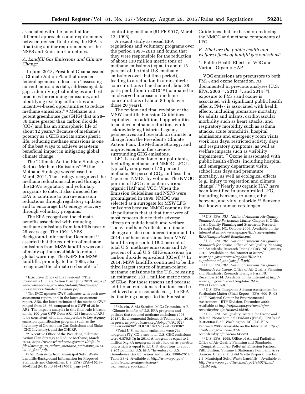associated with the potential for different approaches and requirements between revised final rules, the EPA is finalizing similar requirements for the NSPS and Emission Guidelines.

# *A. Landfill Gas Emissions and Climate Change*

In June 2013, President Obama issued a Climate Action Plan that directed federal agencies to focus on ''assessing current emissions data, addressing data gaps, identifying technologies and best practices for reducing emissions, and identifying existing authorities and incentive-based opportunities to reduce methane emissions.'' 8 Methane is a potent greenhouse gas (GHG) that is 28– 36 times greater than carbon dioxide  $(CO<sub>2</sub>)$  and has an atmospheric life of about 12 years.9 Because of methane's potency as a GHG and its atmospheric life, reducing methane emissions is one of the best ways to achieve near-term beneficial impact in mitigating global climate change.

The ''Climate Action Plan: Strategy to Reduce Methane Emissions'' 10 (the Methane Strategy) was released in March 2014. The strategy recognized the methane reductions achieved through the EPA's regulatory and voluntary programs to date. It also directed the EPA to continue to pursue emission reductions through regulatory updates and to encourage LFG energy recovery through voluntary programs.

The EPA recognized the climate benefits associated with reducing methane emissions from landfills nearly 25 years ago. The 1991 NSPS Background Information Document 11 asserted that the reduction of methane emissions from MSW landfills was one of many options available to reduce global warming. The NSPS for MSW landfills, promulgated in 1996, also recognized the climate co-benefits of

10Executive Office of the President, ''Climate Action Plan Strategy to Reduce Methane, March 2014. *[https://www.whitehouse.gov/sites/default/](https://www.whitehouse.gov/sites/default/files/strategy_to_reduce_methane_emissions_2014-03-28_final.pdf)  [files/strategy](https://www.whitehouse.gov/sites/default/files/strategy_to_reduce_methane_emissions_2014-03-28_final.pdf)*\_*to*\_*reduce*\_*methane*\_*emissions*\_*2014- 03-28*\_*[final.pdf.](https://www.whitehouse.gov/sites/default/files/strategy_to_reduce_methane_emissions_2014-03-28_final.pdf)* 

11Air Emissions from Municipal Solid Waste Landfills-Background Information for Proposed Standards and Guidelines, U.S. EPA (EPA–450/3– 90–011a) (NTIS PB 91–197061) page 2–15.

controlling methane (61 FR 9917, March 12, 1996).

A recent study assessed EPA regulations and voluntary programs over the period 1993–2013 and found that they were responsible for the reduction of about 130 million metric tons of methane emissions (equal to about 18 percent of the total U.S. methane emissions over that time period), leading to a reduction in atmospheric concentrations of methane of about 28 parts per billion in 2013 12 (compared to an observed increase in methane concentrations of about 80 ppb over those 20 years).

The review and final revision of the MSW landfills Emission Guidelines capitalizes on additional opportunities to achieve methane reductions while acknowledging historical agency perspectives and research on climate, a charge from the President's Climate Action Plan, the Methane Strategy, and improvements in the science surrounding GHG emissions.

LFG is a collection of air pollutants, including methane and NMOC. LFG is typically composed of 50-percent methane,  $50$ -percent  $CO<sub>2</sub>$ , and less than 1-percent NMOC by volume. The NMOC portion of LFG can contain various organic HAP and VOC. When the Emission Guidelines and NSPS were promulgated in 1996, NMOC was selected as a surrogate for MSW LFG emissions because NMOC contains the air pollutants that at that time were of most concern due to their adverse effects on public health and welfare. Today, methane's effects on climate change are also considered important. In 2014, methane emissions from MSW landfills represented 18.2 percent of total U.S. methane emissions and 1.9 percent of total U.S. GHG emissions (in carbon dioxide equivalent  $(CO<sub>2</sub>e)$ ).<sup>13</sup> In 2014, MSW landfills continued to be the third largest source of human-related methane emissions in the U.S., releasing an estimated 133.1 million metric tons of  $CO<sub>2</sub>e$ . For these reasons and because additional emissions reductions can be achieved at a reasonable cost, the EPA is finalizing changes to the Emission

Guidelines that are based on reducing the NMOC and methane components of LFG.

# *B. What are the public health and welfare effects of landfill gas emissions?*

# 1. Public Health Effects of VOC and Various Organic HAP

VOC emissions are precursors to both PM<sub>2.5</sub> and ozone formation. As documented in previous analyses (U.S. EPA, 2006 14, 2010 15, and 2014 16), exposure to  $PM_{2.5}$  and ozone is associated with significant public health effects.  $PM_{2.5}$  is associated with health effects, including premature mortality for adults and infants, cardiovascular morbidity such as heart attacks, and respiratory morbidity such as asthma attacks, acute bronchitis, hospital admissions and emergency room visits, work loss days, restricted activity days and respiratory symptoms, as well as welfare impacts such as visibility impairment.17 Ozone is associated with public health effects, including hospital and emergency department visits, school loss days and premature mortality, as well as ecological effects (*e.g.*, injury to vegetation and climate change).18 Nearly 30 organic HAP have been identified in uncontrolled LFG, including benzene, toluene, ethyl benzene, and vinyl chloride.19 Benzene is a known human carcinogen.

15U.S. EPA. *RIA. National Ambient Air Quality Standards for Ozone.* Office of Air Quality Planning and Standards, Research Triangle Park, NC. January 2010. Available on the Internet at *[http://](http://www.epa.gov/ttn/ecas/regdata/RIAs/s1-supplemental_analysis_full.pdf) [www.epa.gov/ttn/ecas/regdata/RIAs/s1](http://www.epa.gov/ttn/ecas/regdata/RIAs/s1-supplemental_analysis_full.pdf)  [supplemental](http://www.epa.gov/ttn/ecas/regdata/RIAs/s1-supplemental_analysis_full.pdf)*\_*analysis*\_*full.pdf.* 

16U.S. EPA. *RIA. National Ambient Air Quality Standards for Ozone.* Office of Air Quality Planning and Standards, Research Triangle Park, NC. December 2014. Available on the Internet at *[http://](http://www.epa.gov/ttnecas1/regdata/RIAs/20141125ria.pdf)  [www.epa.gov/ttnecas1/regdata/RIAs/](http://www.epa.gov/ttnecas1/regdata/RIAs/20141125ria.pdf)  [20141125ria.pdf.](http://www.epa.gov/ttnecas1/regdata/RIAs/20141125ria.pdf)* 

17U.S. EPA. Integrated Science Assessment for Particulate Matter (Final Report). EPA–600–R–08– 139F. National Center for Environmental Assessment—RTP Division. December 2009. Available at *[http://cfpub.epa.gov/ncea/cfm/](http://cfpub.epa.gov/ncea/cfm/recordisplay.cfm?deid=216546) [recordisplay.cfm?deid=216546.](http://cfpub.epa.gov/ncea/cfm/recordisplay.cfm?deid=216546)* 

18U.S. EPA. Air Quality Criteria for Ozone and Related Photochemical Oxidants (Final). EPA/600/ R–05/004aF–cF. Washington, DC: U.S. EPA. February 2006. Available on the Internet at *[http://](http://cfpub.epa.gov/ncea/CFM/recordisplay.cfm?deid=149923) [cfpub.epa.gov/ncea/CFM/](http://cfpub.epa.gov/ncea/CFM/recordisplay.cfm?deid=149923) [recordisplay.cfm?deid=149923.](http://cfpub.epa.gov/ncea/CFM/recordisplay.cfm?deid=149923)* 

19U.S. EPA. 1998. Office of Air and Radiation, Office of Air Quality Planning and Standards. ''Compilation of Air Pollutant Emission Factors, Fifth Edition, Volume I: Stationary Point and Area Sources, Chapter 2: Solid Waste Disposal, Section 2.4: Municipal Solid Waste Landfills''. Available at: *[http://www.epa.gov/ttn/chief/ap42/ch02/final/](http://www.epa.gov/ttn/chief/ap42/ch02/final/c02s04.pdf)  [c02s04.pdf.](http://www.epa.gov/ttn/chief/ap42/ch02/final/c02s04.pdf)* 

<sup>8</sup>Executive Office of the President, ''The President's Climate Action Plan'' June 2013. *[https://](https://www.whitehouse.gov/sites/default/files/image/president27sclimateactionplan.pdf) [www.whitehouse.gov/sites/default/files/image/](https://www.whitehouse.gov/sites/default/files/image/president27sclimateactionplan.pdf)  [president27sclimateactionplan.pdf.](https://www.whitehouse.gov/sites/default/files/image/president27sclimateactionplan.pdf)* 

<sup>9</sup>The IPCC updates GWP estimates with each new assessment report, and in the latest assessment report, AR5, the latest estimate of the methane GWP ranged from 28–36, compared to a GWP of 25 in AR4. The impacts analysis in this final rule is based on the 100-year GWP from AR4 (25) instead of AR5 to be consistent with and comparable to key Agency emission quantification programs such as the Inventory of Greenhouse Gas Emissions and Sinks (GHG Inventory), and the GHGRP.

<sup>12</sup>Melvin, A.M.; Sarofim, M.C.; Crimmins, A.R., ''Climate benefits of U.S. EPA programs and policies that reduced methane emissions 1993– 2013'', Environmental Science & Technology, 2016, in press. *[http://pubs.acs.org/doi/pdf/10.1021/](http://pubs.acs.org/doi/pdf/10.1021/acs.est.6b00367) [acs.est.6b00367](http://pubs.acs.org/doi/pdf/10.1021/acs.est.6b00367)*. DOI 10.1021/acs.est.6b00367.

<sup>13</sup>Total U.S. methane emissions were 731 teragrams (Tg)  $CO<sub>2</sub>e$  and total U.S. GHG emissions were 6,870.5 Tg in 2014. A teragram is equal to 1 million Mg. (A megagram is also known as a metric ton, which is equal to 1.1 U.S. short tons or about 2,205 pounds.) U.S. EPA ''Inventory of U.S. Greenhouse Gas Emissions and Sinks: 1990–2014.'' Table ES–2. Available at *[http://www.epa.gov/](http://www.epa.gov/climatechange/ghgemissions/usinventoryreport.html) [climatechange/ghgemissions/](http://www.epa.gov/climatechange/ghgemissions/usinventoryreport.html) [usinventoryreport.html.](http://www.epa.gov/climatechange/ghgemissions/usinventoryreport.html)* 

<sup>14</sup>U.S. EPA. *RIA. National Ambient Air Quality Standards for Particulate Matter*, Chapter 5. Office of Air Quality Planning and Standards, Research Triangle Park, NC. October 2006. Available on the Internet at *[http://www.epa.gov/ttn/ecas/regdata/](http://www.epa.gov/ttn/ecas/regdata/RIAs/Chapter%205-Benefits.pdf) [RIAs/Chapter%205-Benefits.pdf.](http://www.epa.gov/ttn/ecas/regdata/RIAs/Chapter%205-Benefits.pdf)*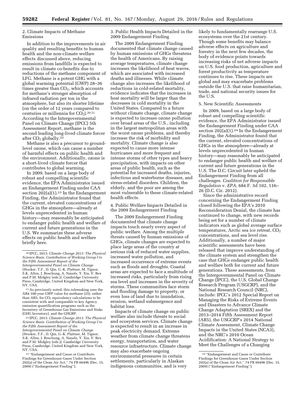# 2. Climate Impacts of Methane Emissions

In addition to the improvements in air quality and resulting benefits to human health and the non-climate welfare effects discussed above, reducing emissions from landfills is expected to result in climate co-benefits due to reductions of the methane component of LFG. Methane is a potent GHG with a global warming potential (GWP) 28–36 times greater than  $CO<sub>2</sub>$ , which accounts for methane's stronger absorption of infrared radiation per ton in the atmosphere, but also its shorter lifetime (on the order of 12 years compared to centuries or millennia for  $CO<sub>2</sub>$ ).<sup>2021</sup> According to the Intergovernmental Panel on Climate Change (IPCC) 5th Assessment Report, methane is the second leading long-lived climate forcer after  $CO<sub>2</sub>$  globally.<sup>22</sup>

Methane is also a precursor to groundlevel ozone, which can cause a number of harmful effects on public health and the environment. Additionally, ozone is a short-lived climate forcer that contributes to global warming.

In 2009, based on a large body of robust and compelling scientific evidence, the EPA Administrator issued an Endangerment Finding under CAA section  $202(a)(1).^{23}$  In the Endangerment Finding, the Administrator found that the current, elevated concentrations of GHGs in the atmosphere—already at levels unprecedented in human history—may reasonably be anticipated to endanger public health and welfare of current and future generations in the U.S. We summarize these adverse effects on public health and welfare briefly here.

22 IPCC, 2013: *Climate Change 2013: The Physical Science Basis. Contribution of Working Group I to the Fifth Assessment Report of the Intergovernmental Panel on Climate Change*  [Stocker, T.F., D. Qin, G.-K. Plattner, M. Tignor, S.K. Allen, J. Boschung, A. Nauels, Y. Xia, V. Bex and P.M. Midgley (eds.)]. Cambridge University Press, Cambridge, United Kingdom and New York, NY, USA.

23 ''Endangerment and Cause or Contribute Findings for Greenhouse Gases Under Section 202(a) of the Clean Air Act,'' 74 FR 66496 (Dec. 15, 2009) (''Endangerment Finding'').

3. Public Health Impacts Detailed in the 2009 Endangerment Finding

The 2009 Endangerment Finding documented that climate change caused by human emissions of GHGs threatens the health of Americans. By raising average temperatures, climate change increases the likelihood of heat waves, which are associated with increased deaths and illnesses. While climate change also increases the likelihood of reductions in cold-related mortality, evidence indicates that the increases in heat mortality will be larger than the decreases in cold mortality in the United States. Compared to a future without climate change, climate change is expected to increase ozone pollution over broad areas of the U.S., including in the largest metropolitan areas with the worst ozone problems, and thereby increase the risk of morbidity and mortality. Climate change is also expected to cause more intense hurricanes and more frequent and intense storms of other types and heavy precipitation, with impacts on other areas of public health, such as the potential for increased deaths, injuries, infectious and waterborne diseases, and stress-related disorders. Children, the elderly, and the poor are among the most vulnerable to these climate-related health effects.

4. Public Welfare Impacts Detailed in the 2009 Endangerment Finding

The 2009 Endangerment Finding documented that climate change impacts touch nearly every aspect of public welfare. Among the multiple threats caused by human emissions of GHGs, climate changes are expected to place large areas of the country at serious risk of reduced water supplies, increased water pollution, and increased occurrence of extreme events such as floods and droughts. Coastal areas are expected to face a multitude of increased risks, particularly from rising sea level and increases in the severity of storms. These communities face storm and flooding damage to property, or even loss of land due to inundation, erosion, wetland submergence and habitat loss.

Impacts of climate change on public welfare also include threats to social and ecosystem services. Climate change is expected to result in an increase in peak electricity demand. Extreme weather from climate change threatens energy, transportation, and water resource infrastructure. Climate change may also exacerbate ongoing environmental pressures in certain settlements, particularly in Alaskan indigenous communities, and is very

likely to fundamentally rearrange U.S. ecosystems over the 21st century. Though some benefits may balance adverse effects on agriculture and forestry in the next few decades, the body of evidence points towards increasing risks of net adverse impacts on U.S. food production, agriculture and forest productivity as temperature continues to rise. These impacts are global and may exacerbate problems outside the U.S. that raise humanitarian, trade, and national security issues for the U.S.

#### 5. New Scientific Assessments

In 2009, based on a large body of robust and compelling scientific evidence, the EPA Administrator issued the Endangerment Finding under CAA section  $202(a)(1).<sup>24</sup>$  In the Endangerment Finding, the Administrator found that the current, elevated concentrations of GHGs in the atmosphere—already at levels unprecedented in human history—may reasonably be anticipated to endanger public health and welfare of current and future generations in the U.S. The D.C. Circuit later upheld the Endangerment Finding from all challenges. *Coalition for Responsible Regulation* v. *EPA*, 684 F. 3d 102, 116– 26 (D.C. Cir. 2012).

Since the administrative record concerning the Endangerment Finding closed following the EPA's 2010 Reconsideration Denial, the climate has continued to change, with new records being set for a number of climate indicators such as global average surface  $temperatures, Arctic sea ice retreat,  $CO<sub>2</sub>$$ concentrations, and sea level rise. Additionally, a number of major scientific assessments have been released that improve understanding of the climate system and strengthen the case that GHGs endanger public health and welfare both for current and future generations. These assessments, from the Intergovernmental Panel on Climate Change (IPCC), the U.S. Global Change Research Program (USGCRP), and the National Research Council (NRC), include: IPCC's 2012 Special Report on Managing the Risks of Extreme Events and Disasters to Advance Climate Change Adaptation (SREX) and the 2013–2014 Fifth Assessment Report (AR5), the USGCRP's 2014 National Climate Assessment, Climate Change Impacts in the United States (NCA3), and the NRC's 2010 Ocean

Acidification: A National Strategy to Meet the Challenges of a Changing

<sup>20</sup> IPCC, 2013: *Climate Change 2013: The Physical Science Basis. Contribution of Working Group I to the Fifth Assessment Report of the Intergovernmental Panel on Climate Change*  [Stocker, T.F., D. Qin, G.-K. Plattner, M. Tignor, S.K. Allen, J. Boschung, A. Nauels, Y. Xia, V. Bex and P.M. Midgley (eds.)]. Cambridge University Press, Cambridge, United Kingdom and New York, NY, USA.

<sup>21</sup>As previously noted, this rulemaking uses the AR4 100-year GWP value for methane (25), rather than AR5, for  $CO<sub>2</sub>$  equivalency calculations to be consistent with and comparable to key Agency emission quantification programs such as the Inventory of Greenhouse Gas Emissions and Sinks (GHG Inventory), and the GHGRP.

<sup>24</sup> ''Endangerment and Cause or Contribute Findings for Greenhouse Gases Under Section 202(a) of the Clean Air Act,'' 74 FR 66496 (Dec. 15, 2009) (''Endangerment Finding'').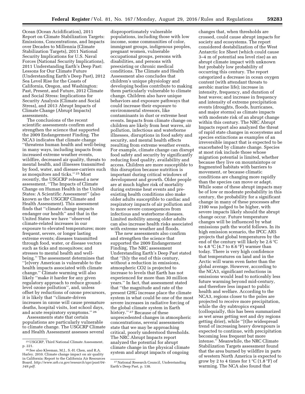Ocean (Ocean Acidification), 2011 Report on Climate Stabilization Targets: Emissions, Concentrations, and Impacts over Decades to Millennia (Climate Stabilization Targets), 2011 National Security Implications for U.S. Naval Forces (National Security Implications), 2011 Understanding Earth's Deep Past: Lessons for Our Climate Future (Understanding Earth's Deep Past), 2012 Sea Level Rise for the Coasts of California, Oregon, and Washington: Past, Present, and Future, 2012 Climate and Social Stress: Implications for Security Analysis (Climate and Social Stress), and 2013 Abrupt Impacts of Climate Change (Abrupt Impacts) assessments.

The conclusions of the recent scientific assessments confirm and strengthen the science that supported the 2009 Endangerment Finding. The NCA3 indicates that climate change ''threatens human health and well-being in many ways, including impacts from increased extreme weather events, wildfire, decreased air quality, threats to mental health, and illnesses transmitted by food, water, and disease-carriers such as mosquitoes and ticks.'' 25 Most recently, the USGCRP released a new assessment, ''The Impacts of Climate Change on Human Health in the United States: A Scientific Assessment'' (also known as the USGCRP Climate and Health Assessment). This assessment finds that ''climate change impacts endanger our health'' and that in the United States we have ''observed climate-related increases in our exposure to elevated temperatures; more frequent, severe, or longer lasting extreme events; diseases transmitted through food, water, or disease vectors such as ticks and mosquitoes; and stresses to mental health and wellbeing.'' The assessment determines that ''[e]very American is vulnerable to the health impacts associated with climate change.'' Climate warming will also likely ''make it harder for any given regulatory approach to reduce groundlevel ozone pollution'', and, unless offset by reductions of ozone precursors, it is likely that ''climate-driven increases in ozone will cause premature deaths, hospital visits, lost school days, and acute respiratory symptoms.'' 26

Assessments state that certain populations are particularly vulnerable to climate change. The USGCRP Climate and Health Assessment assesses several

disproportionately vulnerable populations, including those with low income, some communities of color, immigrant groups, indigenous peoples, pregnant women, vulnerable occupational groups, persons with disabilities, and persons with preexisting or chronic medical conditions. The Climate and Health Assessment also concludes that children's unique physiology and developing bodies contribute to making them particularly vulnerable to climate change. Children also have unique behaviors and exposure pathways that could increase their exposure to environmental stressors, like contaminants in dust or extreme heat events. Impacts from climate change on children are likely from heat waves, air pollution, infectious and waterborne illnesses, disruptions in food safety and security, and mental health effects resulting from extreme weather events. For example, climate change can disrupt food safety and security by significantly reducing food quality, availability and access. Children are more susceptible to this disruption because nutrition is important during critical windows of development and growth. Older people are at much higher risk of mortality during extreme heat events and preexisting health conditions also make older adults susceptible to cardiac and respiratory impacts of air pollution and to more severe consequences from infectious and waterborne diseases. Limited mobility among older adults can also increase health risks associated with extreme weather and floods.

The new assessments also confirm and strengthen the science that supported the 2009 Endangerment Finding. The NRC assessment Understanding Earth's Deep Past stated that ''[b]y the end of this century, without a reduction in emissions, atmospheric CO2 is projected to increase to levels that Earth has not experienced for more than 30 million years.'' In fact, that assessment stated that ''the magnitude and rate of the present GHG increase place the climate system in what could be one of the most severe increases in radiative forcing of the global climate system in Earth history.'' 27 Because of these unprecedented changes in atmospheric concentrations, several assessments state that we may be approaching critical, poorly understood thresholds. The NRC Abrupt Impacts report analyzed the potential for abrupt climate change in the physical climate system and abrupt impacts of ongoing

changes that, when thresholds are crossed, could cause abrupt impacts for society and ecosystems. The report considered destabilization of the West Antarctic Ice Sheet (which could cause 3–4 m of potential sea level rise) as an abrupt climate impact with unknown but probably low probability of occurring this century. The report categorized a decrease in ocean oxygen content (with attendant threats to aerobic marine life); increase in intensity, frequency, and duration of heat waves; and increase in frequency and intensity of extreme precipitation events (droughts, floods, hurricanes, and major storms) as climate impacts with moderate risk of an abrupt change within this century. The NRC Abrupt Impacts report also analyzed the threat of rapid state changes in ecosystems and species extinctions as examples of an irreversible impact that is expected to be exacerbated by climate change. Species at most risk include those whose migration potential is limited, whether because they live on mountaintops or fragmented habitats with barriers to movement, or because climatic conditions are changing more rapidly than the species can move or adapt. While some of these abrupt impacts may be of low or moderate probability in this century, the probability for a significant change in many of these processes after 2100 was judged to be higher, with severe impacts likely should the abrupt change occur. Future temperature changes will be influenced by what emissions path the world follows. In its high emission scenario, the IPCC AR5 projects that global temperatures by the end of the century will likely be 2.6 °C to 4.8  $\mathrm{C}$  (4.7 to 8.6  $\mathrm{F}$ ) warmer than today. There is very high confidence that temperatures on land and in the Arctic will warm even faster than the global average. However, according to the NCA3, significant reductions in emissions would lead to noticeably less future warming beyond mid-century, and therefore less impact to public health and welfare. According to the NCA3, regions closer to the poles are projected to receive more precipitation, while the dry subtropics expand (colloquially, this has been summarized as wet areas getting wet and dry regions getting drier), while ''[t]he widespread trend of increasing heavy downpours is expected to continue, with precipitation becoming less frequent but more intense.'' Meanwhile, the NRC Climate Stabilization Targets assessment found that the area burned by wildfire in parts of western North America is expected to grow by 2 to 4 times for  $1^{\circ}C$  (1.8 °F) of warming. The NCA also found that

<sup>25</sup>USGCRP, Third National Climate Assessment, p. 221.

<sup>26</sup>See also Kleeman, M.J., S.-H. Chen, and R.A. Harley. 2010. Climate change impact on air quality in California: Report to the California Air Resources Board. *[http://www.arb.ca.gov/research/apr/past/04-](http://www.arb.ca.gov/research/apr/past/04-349.pdf) [349.pdf.](http://www.arb.ca.gov/research/apr/past/04-349.pdf)* 

<sup>27</sup>National Research Council, Understanding Earth's Deep Past, p. 138.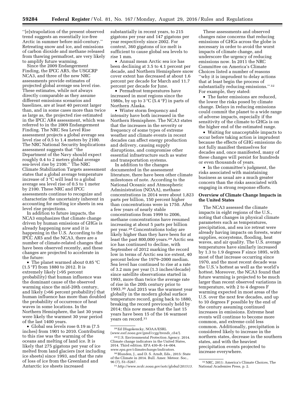''[e]xtrapolation of the present observed trend suggests an essentially ice-free Arctic in summer before mid-century.'' Retreating snow and ice, and emissions of carbon dioxide and methane released from thawing permafrost, are very likely to amplify future warming.

Since the 2009 Endangerment Finding, the IPCC AR5, the USGCRP NCA3, and three of the new NRC assessments provide estimates of projected global average sea level rise. These estimates, while not always directly comparable as they assume different emissions scenarios and baselines, are at least 40 percent larger than, and in some cases more than twice as large as, the projected rise estimated in the IPCC AR4 assessment, which was referred to in the 2009 Endangerment Finding. The NRC Sea Level Rise assessment projects a global average sea level rise of 0.5 to 1.4 meters by 2100. The NRC National Security Implications assessment suggests that ''the Department of the Navy should expect roughly 0.4 to 2 meters global average sea-level rise by 2100.'' The NRC Climate Stabilization Targets assessment states that a global average temperature increase of 3 °C will lead to a global average sea level rise of 0.5 to 1 meter by 2100. These NRC and IPCC assessments continue to recognize and characterize the uncertainty inherent in accounting for melting ice sheets in sea level rise projections.

In addition to future impacts, the NCA3 emphasizes that climate change driven by human emissions of GHGs is already happening now and it is happening in the U.S. According to the IPCC AR5 and the NCA3, there are a number of climate-related changes that have been observed recently, and these changes are projected to accelerate in the future:

• The planet warmed about 0.85 °C (1.5 °F) from 1880 to 2012. It is extremely likely (>95 percent probability) that human influence was the dominant cause of the observed warming since the mid-20th century, and likely (>66 percent probability) that human influence has more than doubled the probability of occurrence of heat waves in some locations. In the Northern Hemisphere, the last 30 years were likely the warmest 30 year period of the last 1400 years.

• Global sea levels rose 0.19 m (7.5 inches) from 1901 to 2010. Contributing to this rise was the warming of the oceans and melting of land ice. It is likely that 275 gigatons per year of ice melted from land glaciers (not including ice sheets) since 1993, and that the rate of loss of ice from the Greenland and Antarctic ice sheets increased

substantially in recent years, to 215 gigatons per year and 147 gigatons per year respectively since 2002. For context, 360 gigatons of ice melt is sufficient to cause global sea levels to rise 1 mm.

• Annual mean Arctic sea ice has been declining at 3.5 to 4.1 percent per decade, and Northern Hemisphere snow cover extent has decreased at about 1.6 percent per decade for March and 11.7 percent per decade for June.

• Permafrost temperatures have increased in most regions since the 1980s, by up to  $3^{\circ}C$  (5.4  $\circ$ F) in parts of Northern Alaska.

• Winter storm frequency and intensity have both increased in the Northern Hemisphere. The NCA3 states that the increases in the severity or frequency of some types of extreme weather and climate events in recent decades can affect energy production and delivery, causing supply disruptions, and compromise other essential infrastructure such as water and transportation systems.

In addition to the changes documented in the assessment literature, there have been other climate milestones of note. According to the National Oceanic and Atmospheric Administration (NOAA), methane concentrations in 2014 were about 1,823 parts per billion, 150 percent higher than concentrations were in 1750. After a few years of nearly stable concentrations from 1999 to 2006, methane concentrations have resumed increasing at about 5 parts per billion per year.28 Concentrations today are likely higher than they have been for at least the past 800,000 years.29 Arctic sea ice has continued to decline, with September of 2012 marking the record low in terms of Arctic sea ice extent, 40 percent below the 1979–2000 median. Sea level has continued to rise at a rate of 3.2 mm per year (1.3 inches/decade) since satellite observations started in 1993, more than twice the average rate of rise in the 20th century prior to 1993.30 And 2015 was the warmest year globally in the modern global surface temperature record, going back to 1880, breaking the record previously held by 2014; this now means that the last 15 years have been 15 of the 16 warmest years on record.31

These assessments and observed changes raise concerns that reducing emissions of GHGs across the globe is necessary in order to avoid the worst impacts of climate change, and underscore the urgency of reducing emissions now. In 2011 the NRC Committee on America's Climate Choices listed a number of reasons ''why it is imprudent to delay actions that at least begin the process of substantially reducing emissions.'' 32 For example, they stated:

• The faster emissions are reduced, the lower the risks posed by climate change. Delays in reducing emissions could commit the planet to a wide range of adverse impacts, especially if the sensitivity of the climate to GHGs is on the higher end of the estimated range.

• Waiting for unacceptable impacts to occur before taking action is imprudent because the effects of GHG emissions do not fully manifest themselves for decades and, once manifested, many of these changes will persist for hundreds or even thousands of years.

• In the committee's judgment, the risks associated with maintaining business as usual are a much greater concern than the risks associated with engaging in strong response efforts.

# **Overview of Climate Change Impacts in the United States**

The NCA3 assessed the climate impacts in eight regions of the U.S., noting that changes in physical climate parameters such as temperatures, precipitation, and sea ice retreat were already having impacts on forests, water supplies, ecosystems, flooding, heat waves, and air quality. The U.S. average temperatures have similarly increased by 1.3 to 1.9 degrees F since 1895, with most of that increase occurring since 1970, and the most recent decade was the U.S.'s hottest as well as the world's hottest. Moreover, the NCA3 found that future warming is projected to be much larger than recent observed variations in temperature, with 2 to 4 degrees F warming expected in most areas of the U.S. over the next few decades, and up to 10 degrees F possible by the end of the century assuming continued increases in emissions. Extreme heat events will continue to become more common, and extreme cold less common. Additionally, precipitation is considered likely to increase in the northern states, decrease in the southern states, and with the heaviest precipitation events projected to increase everywhere.

<sup>28</sup>Ed Dlugokencky, NOAA/ESRL

<sup>(</sup>*[www.esrl.noaa.gov/gmd/ccgg/trends](http://www.esrl.noaa.gov/gmd/ccgg/trends_ch4/)*\_*ch4/*). 29U.S. Environmental Protection Agency. 2014. Climate change indicators in the United States, 2014. Third edition. EPA 430–R–14–004. *[www.epa.gov/climatechange/indicators.](http://www.epa.gov/climatechange/indicators)* 

<sup>30</sup>Blunden, J., and D. S. Arndt, Eds., 2015: State of the Climate in 2014. Bull. Amer. Meteor. Soc., 96 (7), S1–S267.

<sup>31</sup>*[http://www.ncdc.noaa.gov/sotc/global/201513.](http://www.ncdc.noaa.gov/sotc/global/201513)* 

<sup>32</sup>NRC, 2011: America's Climate Choices, The National Academies Press, p. 2.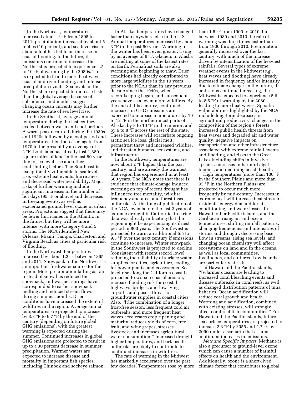In the Northeast, temperatures increased almost 2 °F from 1895 to 2011, precipitation increased by about 5 inches (10 percent), and sea level rise of about a foot has led to an increase in coastal flooding. In the future, if emissions continue to increase, the Northeast is projected to experience 4.5 to 10 °F of warming by the 2080s. This is expected to lead to more heat waves, coastal and river flooding, and intense precipitation events. Sea levels in the Northeast are expected to increase faster than the global average because of subsidence, and models suggest changing ocean currents may further increase the rate of sea level rise.

In the Southeast, average annual temperature during the last century cycled between warm and cool periods. A warm peak occurred during the 1930s and 1940s followed by a cool period and temperatures then increased again from 1970 to the present by an average of 2 °F. Louisiana has already lost 1,880 square miles of land in the last 80 years due to sea level rise and other contributing factors. The Southeast is exceptionally vulnerable to sea level rise, extreme heat events, hurricanes, and decreased water availability. Major risks of further warming include significant increases in the number of hot days (95 °F or above) and decreases in freezing events, as well as exacerbated ground level ozone in urban areas. Projections suggest that there may be fewer hurricanes in the Atlantic in the future, but they will be more intense, with more Category 4 and 5 storms. The NCA identified New Orleans, Miami, Tampa, Charleston, and Virginia Beach as cities at particular risk of flooding.

In the Northwest, temperatures increased by about 1.3 °F between 1895 and 2011. Snowpack in the Northwest is an important freshwater source for the region. More precipitation falling as rain instead of snow has reduced the snowpack, and warmer springs have corresponded to earlier snowpack melting and reduced stream flows during summer months. Drier conditions have increased the extent of wildfires in the region. Average annual temperatures are projected to increase by 3.3 °F to 9.7 °F by the end of the century (depending on future global GHG emissions), with the greatest warming is expected during the summer. Continued increases in global GHG emissions are projected to result in up to a 30 percent decrease in summer precipitation. Warmer waters are expected to increase disease and mortality in important fish species, including Chinook and sockeye salmon.

In Alaska, temperatures have changed faster than anywhere else in the U.S. Annual temperatures increased by about 3 °F in the past 60 years. Warming in the winter has been even greater, rising by an average of 6 °F. Glaciers in Alaska are melting at some of the fastest rates on Earth. Permafrost soils are also warming and beginning to thaw. Drier conditions had already contributed to more large wildfires in the 10 years prior to the NCA3 than in any previous decade since the 1940s, when recordkeeping began, and subsequent years have seen even more wildfires. By the end of this century, continued increases in GHG emissions are expected to increase temperatures by 10 to 12 °F in the northernmost parts of Alaska, by 8 to 10 °F in the interior, and by 6 to 8 °F across the rest of the state. These increases will exacerbate ongoing arctic sea ice loss, glacial melt, permafrost thaw and increased wildfire, and threaten humans, ecosystems, and infrastructure.

In the Southwest, temperatures are now about 2 °F higher than the past century, and are already the warmest that region has experienced in at least 600 years. The NCA notes that there is evidence that climate-change induced warming on top of recent drought has influenced tree mortality, wildfire frequency and area, and forest insect outbreaks. At the time of publication of the NCA, even before the last 2 years of extreme drought in California, tree ring data was already indicating that the region might be experiencing its driest period in 800 years. The Southwest is projected to warm an additional 5.5 to 9.5 °F over the next century if emissions continue to increase. Winter snowpack in the Southwest is projected to decline (consistent with recent record lows), reducing the reliability of surface water supplies for cities, agriculture, cooling for power plants, and ecosystems. Sea level rise along the California coast is projected to worsen coastal erosion, increase flooding risk for coastal highways, bridges, and low-lying airports, and pose a threat to groundwater supplies in coastal cities. Also, ''[t]he combination of a longer frost-free season, less frequent cold air outbreaks, and more frequent heat waves accelerates crop ripening and maturity, reduces yields of corn, tree fruit, and wine grapes, stresses livestock, and increases agricultural water consumption.'' Increased drought, higher temperatures, and bark beetle outbreaks are likely to contribute to continued increases in wildfires.

The rate of warming in the Midwest has markedly accelerated over the past few decades. Temperatures rose by more than 1.5 °F from 1900 to 2010, but between 1980 and 2010 the rate of warming was three times faster than from 1900 through 2010. Precipitation generally increased over the last century, with much of the increase driven by intensification of the heaviest rainfalls. Several types of extreme weather events in the Midwest (*e.g.*, heat waves and flooding) have already increased in frequency and/or intensity due to climate change. In the future, if emissions continue increasing, the Midwest is expected to experience 5.6 to 8.5 °F of warming by the 2080s, leading to more heat waves. Specific vulnerabilities highlighted by the NCA include long-term decreases in agricultural productivity, changes in the composition of the region's forests, increased public health threats from heat waves and degraded air and water quality, negative impacts on transportation and other infrastructure associated with extreme rainfall events and flooding, and risks to the Great Lakes including shifts in invasive species, increases in harmful algal blooms, and declining beach health.

High temperatures (more than 100 °F in the Southern Plains and more than 95 °F in the Northern Plains) are projected to occur much more frequently by mid-century. Increases in extreme heat will increase heat stress for residents, energy demand for air conditioning, and water losses. In Hawaii, other Pacific islands, and the Caribbean, rising air and ocean temperatures, shifting rainfall patterns, changing frequencies and intensities of storms and drought, decreasing base flow in streams, rising sea levels, and changing ocean chemistry will affect ecosystems on land and in the oceans, as well as local communities, livelihoods, and cultures. Low islands are particularly at risk.

In Hawaii and the Pacific islands, ''[w]armer oceans are leading to increased coral bleaching events and disease outbreaks in coral reefs, as well as changed distribution patterns of tuna fisheries. Ocean acidification will reduce coral growth and health. Warming and acidification, combined with existing stresses, will strongly affect coral reef fish communities.'' For Hawaii and the Pacific islands, future sea surface temperatures are projected to increase 2.3  $\mathrm{F}$  by 2055 and 4.7  $\mathrm{F}$  by 2090 under a scenario that assumes continued increases in emissions.

*Methane Specific Impacts.* Methane is also a precursor to ground-level ozone, which can cause a number of harmful effects on health and the environment. Additionally, ozone is a short-lived climate forcer that contributes to global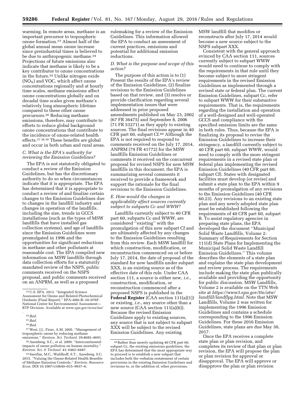warming. In remote areas, methane is an important precursor to tropospheric ozone formation.33 Almost half of the global annual mean ozone increase since preindustrial times is believed to be due to anthropogenic methane.<sup>34</sup> Projections of future emissions also indicate that methane is likely to be a key contributor to ozone concentrations in the future.35 Unlike nitrogen oxide  $(NO<sub>X</sub>)$  and VOC, which affect ozone concentrations regionally and at hourly time scales, methane emissions affect ozone concentrations globally and on decadal time scales given methane's relatively long atmospheric lifetime compared to these other ozone precursors.36 Reducing methane emissions, therefore, may contribute to efforts to reduce global background ozone concentrations that contribute to the incidence of ozone-related health effects.37 38 39 These benefits are global and occur in both urban and rural areas.

# *C. What is the EPA's authority for reviewing the Emission Guidelines?*

The EPA is not statutorily obligated to conduct a review of the Emission Guidelines, but has the discretionary authority to do so when circumstances indicate that it is appropriate. The EPA has determined that it is appropriate to conduct a review of and finalize certain changes to the Emission Guidelines due to changes in the landfill industry and changes in operation of the landfills, including the size, trends in GCCS installations (such as the types of MSW landfills that have installed gas collection systems), and age of landfills since the Emission Guidelines were promulgated in 1996 and the opportunities for significant reductions in methane and other pollutants at reasonable cost. The EPA compiled new information on MSW landfills through data collection efforts for a statutorily mandated review of the NSPS, public comments received on the NSPS proposal, and public comments received on an ANPRM, as well as a proposed

*.* 

rulemaking for a review of the Emission Guidelines. This information allowed the EPA to conduct an assessment of current practices, emissions and potential for additional emission reductions.

#### *D. What is the purpose and scope of this action?*

The purpose of this action is to (1) Present the results of the EPA's review of the Emission Guidelines, (2) finalize revisions to the Emission Guidelines based on that review, and (3) resolve or provide clarification regarding several implementation issues that were addressed in prior proposed amendments published on May 23, 2002 (67 FR 36475) and September 8, 2006 (71 FR 53271) as they apply to existing sources. The final revisions appear in 40 CFR part 60, subpart Cf.40 Although the EPA is not required to respond to comments received on the July 17, 2014, ANPRM (79 FR 41772) for the MSW landfills Emission Guidelines or comments it received on the concurrent proposal for revised NSPS for new MSW landfills in this document, the EPA is summarizing several comments it received to provide a framework and support the rationale for the final revisions to the Emission Guidelines.

# *E. How would the changes in applicability affect sources currently subject to subparts Cc and WWW?*

Landfills currently subject to 40 CFR part 60, subparts Cc and WWW, are considered ''existing'' with the promulgation of this new subpart Cf and are ultimately affected by any changes to the Emission Guidelines resulting from this review. Each MSW landfill for which construction, modification, or reconstruction commenced on or before July 17, 2014, the date of proposal of the standard for new landfills under subpart XXX, is an existing source as of the effective date of this rule. Under CAA section 111, a source is either new, *i.e.*, construction, modification, or reconstruction commenced after a proposed NSPS is published in the **Federal Register** (CAA section 111(a)(1)) or existing, *i.e.*, any source other than a new source (CAA section 111(a)(6)). Because the revised Emission Guidelines apply to existing sources, any source that is not subject to subpart XXX will be subject to the revised Emission Guidelines. Any existing

MSW landfill that modifies or reconstructs after July 17, 2014 would become a new source subject to the NSPS subpart XXX.

Consistent with the general approach evinced by CAA section 111, sources currently subject to subpart WWW would need to continue to comply with the requirements in that rule until they become subject to more stringent requirements in the revised Emission Guidelines as implemented through a revised state or federal plan. The current Emission Guidelines, subpart Cc, refer to subpart WWW for their substantive requirements. That is, the requirements regarding the installation and operation of a well-designed and well-operated GCCS and compliance with the specified emission limits are the same in both rules. Thus, because the EPA is finalizing its proposal to revise the Emission Guidelines to increase their stringency, a landfill currently subject to 40 CFR part 60, subpart WWW, would need to comply with the more stringent requirements in a revised state plan or federal plan implementing the revised Emission Guidelines (40 CFR part 60, subpart Cf). States with designated facilities must develop (or revise) and submit a state plan to the EPA within 9 months of promulgation of any revisions to the Emission Guidelines (40 CFR 60.23). Any revisions to an existing state plan and any newly adopted state plan must be established following the requirements of 40 CFR part 60, subpart B. To assist regulatory agencies in preparing state plans, the EPA developed the document ''Municipal Solid Waste Landfills, Volume 2: Summary of Requirements for Section 111(d) State Plans for Implementing the Municipal Solid Waste Landfill Emission Guidelines.'' This volume describes the elements of a state plan and explains the state plan development and review process. The requirements include making the state plan publically available and providing the opportunity for public discussion. MSW Landfills, Volume 2 is available on the TTN Web site at *[https://www3.epa.gov/ttn/atw/](https://www3.epa.gov/ttn/atw/landfill/landflpg.html)  [landfill/landflpg.html](https://www3.epa.gov/ttn/atw/landfill/landflpg.html)*. Note that MSW Landfills, Volume 2 was written for implementing the 1996 Emission Guidelines and contains a schedule corresponding to the 1996 Emission Guidelines. For these 2016 Emission Guidelines, state plans are due May 30, 2017.

Once the EPA receives a complete state plan or plan revision, and completes its review of that plan or plan revision, the EPA will propose the plan or plan revision for approval or disapproval. The EPA will approve or disapprove the plan or plan revision

<sup>33</sup>U.S. EPA. 2013. ''Integrated Science Assessment for Ozone and Related Photochemical Oxidants (Final Report).'' EPA–600–R–10–076F. National Center for Environmental Assessment— RTP Division. Available at *[www.epa.gov/ncea/isa/](http://www.epa.gov/ncea/isa/)* 

<sup>34</sup> *Ibid.* 

<sup>35</sup> *Ibid.* 

<sup>36</sup> *Ibid.* 

<sup>37</sup>West, J.J., Fiore, A.M. 2005. ''Management of tropospheric ozone by reducing methane

emissions.'' *Environ. Sci. Technol.* 39:4685–4691. 38Anenberg, S.C., et al. 2009. ''Intercontinental impacts of ozone pollution on human mortality,'' *Environ. Sci. & Technol.* 43: 6482–6487.

<sup>39</sup>Sarofim, M.C., Waldhoff, S.T., Anenberg, S.C. 2015. ''Valuing the Ozone-Related Health Benefits of Methane Emission Controls,'' *Environ. Resource Econ.* DOI 10.1007/s10640–015–9937–6.

<sup>40</sup>Rather than merely updating 40 CFR part 60, subpart Cc, the existing emissions guidelines, the EPA has determined that the most appropriate way to proceed is to establish a new subpart that includes both the verbatim restatement of certain provisions in the existing Emission Guidelines and revisions to, or the addition of, other provisions.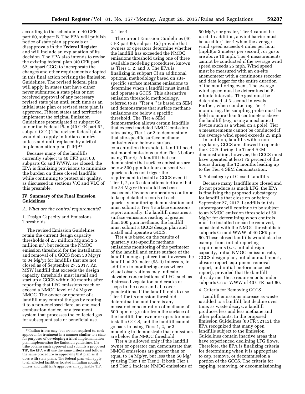according to the schedule in 40 CFR part 60, subpart B. The EPA will publish notice of state plan approvals or disapprovals in the **Federal Register**  and will include an explanation of its decision. The EPA also intends to revise the existing federal plan (40 CFR part 62, subpart GGG) to incorporate the changes and other requirements adopted in this final action revising the Emission Guidelines. The revised federal plan will apply in states that have either never submitted a state plan or not received approval of any necessary revised state plan until such time as an initial state plan or revised state plan is approved. Fifteen states and territories implement the original Emission Guidelines promulgated at subpart Cc under the Federal Plan (40 CFR part 62, subpart GGG) The revised federal plan would also apply in Indian country unless and until replaced by a tribal implementation plan (TIP).41

Because many of the landfills currently subject to 40 CFR part 60, subparts Cc and WWW, are closed, the EPA is finalizing provisions to minimize the burden on these closed landfills while continuing to protect air quality, as discussed in sections V.C and VI.C of this preamble.

#### **IV. Summary of the Final Emission Guidelines**

#### *A. What are the control requirements?*

1. Design Capacity and Emissions Thresholds

The revised Emission Guidelines retain the current design capacity thresholds of 2.5 million Mg and 2.5 million m3, but reduce the NMOC emission threshold for the installation and removal of a GCCS from 50 Mg/yr to 34 Mg/yr for landfills that are not closed as of September 27, 2017. An MSW landfill that exceeds the design capacity thresholds must install and start up a GCCS within 30 months after reporting that LFG emissions reach or exceed a NMOC level of 34 Mg/yr NMOC. The owner or operator of a landfill may control the gas by routing it to a non-enclosed flare, an enclosed combustion device, or a treatment system that processes the collected gas for subsequent sale or beneficial use.

# 2. Tier 4

The current Emission Guidelines (40 CFR part 60, subpart Cc) provide that owners or operators determine whether the landfill has exceeded the NMOC emissions threshold using one of three available modeling procedures, known as Tiers 1, 2, and 3. The EPA is finalizing in subpart Cf an additional optional methodology based on sitespecific surface methane emissions to determine when a landfill must install and operate a GCCS. This alternative emission threshold methodology, referred to as ''Tier 4,'' is based on SEM and demonstrates that surface methane emissions are below a specific threshold. The Tier 4 SEM demonstration allows certain landfills that exceed modeled NMOC emission rates using Tier 1 or 2 to demonstrate that site-specific surface methane emissions are below a surface concentration threshold (a landfill need not model emissions under Tier 3 before using Tier 4). A landfill that can demonstrate that surface emissions are below 500 ppm for four consecutive quarters does not trigger the requirement to install a GCCS even if Tier 1, 2, or 3 calculations indicate that the 34 Mg/yr threshold has been exceeded. Owners or operators continue to keep detailed records of each quarterly monitoring demonstration and must submit a Tier 4 surface emissions report annually. If a landfill measures a surface emissions reading of greater than 500 ppm methane, the landfill must submit a GCCS design plan and install and operate a GCCS.

Tier 4 is based on the results of quarterly site-specific methane emissions monitoring of the perimeter of the landfill and entire surface of the landfill along a pattern that traverses the landfill at 30-meter (98-ft) intervals, in addition to monitoring areas where visual observations may indicate elevated concentrations of LFG, such as distressed vegetation and cracks or seeps in the cover and all cover penetrations. If the landfill opts to use Tier 4 for its emission threshold determination and there is any measured concentration of methane of 500 ppm or greater from the surface of the landfill, the owner or operator must install a GCCS, and the landfill cannot go back to using Tiers 1, 2, or 3 modeling to demonstrate that emissions are below the NMOC threshold.

Tier 4 is allowed only if the landfill owner or operator can demonstrate that NMOC emissions are greater than or equal to 34 Mg/yr, but less than 50 Mg/ yr using Tier 1 or Tier 2. If both Tier 1 and Tier 2 indicate NMOC emissions of

50 Mg/yr or greater, Tier 4 cannot be used. In addition, a wind barrier must be used for Tier 4 when the average wind speed exceeds 4 miles per hour (mph)(or 2 meters per second), or gusts are above 10 mph. Tier 4 measurements cannot be conducted if the average wind speed exceeds 25 mph. Wind speed must be measured with an on-site anemometer with a continuous recorder and data logger for the entire duration of the monitoring event. The average wind speed must be determined at 5 minute intervals. The gust must be determined at 3-second intervals. Further, when conducting Tier 4 monitoring, the sampling probe must be held no more than 5 centimeters above the landfill (*e.g.,* using a mechanical device such as a wheel on a pole). Tier 4 measurements cannot be conducted if the average wind speed exceeds 25 mph

In addition, landfills with a nonregulatory GCCS are allowed to operate the GCCS during the Tier 4 SEM demonstration, however, the GCCS must have operated at least 75 percent of the hours during the 12 months leading up to the Tier 4 SEM demonstration.

#### 3. Subcategory of Closed Landfills

Because many landfills are closed and do not produce as much LFG, the EPA is finalizing the proposed subcategory for landfills that close on or before September 27, 2017. Landfills in this subcategory will continue to be subject to an NMOC emission threshold of 50 Mg/yr for determining when controls must be installed or can be removed, consistent with the NMOC thresholds in subparts Cc and WWW of 40 CFR part 60. These closed landfills would also be exempt from initial reporting requirements (*i.e.,* initial design capacity, initial NMOC emission rate, GCCS design plan, initial annual report, closure report, equipment removal report, and initial performance test report), provided that the landfill already met these requirements under subparts Cc or WWW of 40 CFR part 60.

#### 4. Criteria for Removing GCCS

Landfill emissions increase as waste is added to a landfill, but decline over time; as waste decays, a landfill produces less and less methane and other pollutants. In the proposed Emission Guidelines (80 FR 52112), the EPA recognized that many open landfills subject to the Emission Guidelines contain inactive areas that have experienced declining LFG flows. Therefore, the EPA is finalizing criteria for determining when it is appropriate to cap, remove, or decommission a portion of the GCCS. The criteria for capping, removing, or decommissioning

<sup>41</sup> Indian tribes may, but are not required to, seek approval for treatment in a manner similar to a state for purposes of developing a tribal implementation plan implementing the Emission guidelines. If a tribe obtains such approval and submits a proposed TIP, the EPA will use the same criteria and follow the same procedure in approving that plan as it does with state plans. The federal plan will apply to all affected facilities located in Indian country unless and until EPA approves an applicable TIP.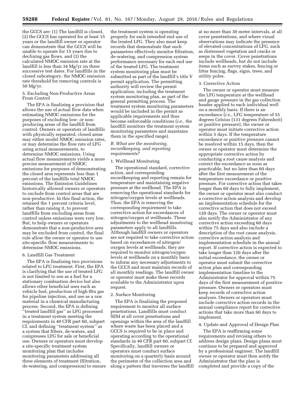the GCCS are: (1) The landfill is closed, (2) the GCCS has operated for at least 15 years or the landfill owner or operator can demonstrate that the GCCS will be unable to operate for 15 years due to declining gas flows, and (3) the calculated NMOC emission rate at the landfill is less than 34 Mg/yr on three successive test dates. For landfills in the closed subcategory, the NMOC emission rate threshold for removing controls is 50 Mg/yr.

#### 5. Excluding Non-Productive Areas From Control

The EPA is finalizing a provision that allows the use of actual flow data when estimating NMOC emissions for the purposes of excluding low- or nonproducing areas of the landfill from control. Owners or operators of landfills with physically separated, closed areas may either model NMOC emission rates, or may determine the flow rate of LFG using actual measurements, to determine NMOC emissions. Using actual flow measurements yields a more precise measurement of NMOC emissions for purposes of demonstrating the closed area represents less than 1 percent of the landfills total NMOC emissions. The Emission Guidelines historically allowed owners or operators to exclude from control areas that are non-productive. In this final action, the retained the 1 percent criteria level, rather than raising it, to prevent landfills from excluding areas from control unless emissions were very low. But, to help owners or operators demonstrate that a non-productive area may be excluded from control, the final rule allow the owner or operator to use site-specific flow measurements to determine NMOC emissions.

#### 6. Landfill Gas Treatment

The EPA is finalizing two provisions related to LFG treatment. First, the EPA is clarifying that the use of treated LFG is not limited to use as a fuel for a stationary combustion device but also allows other beneficial uses such as vehicle fuel, production of high-Btu gas for pipeline injection, and use as a raw material in a chemical manufacturing process. Second, the EPA is defining ''treated landfill gas'' as LFG processed in a treatment system meeting the requirements in 40 CFR part 60, subpart Cf, and defining ''treatment system'' as a system that filters, de-waters, and compresses LFG for sale or beneficial use. Owners or operators must develop a site-specific treatment system monitoring plan that includes monitoring parameters addressing all three elements of treatment (filtration, de-watering, and compression) to ensure the treatment system is operating properly for each intended end use of the treated LFG. They also must keep records that demonstrate that such parameters effectively monitor filtration, de-watering, and compression system performance necessary for each end use of the treated LFG. The treatment system monitoring plan must be submitted as part of the landfill's title V permit application. The permitting authority will review the permit application, including the treatment system monitoring plan, as part of the general permitting process. The treatment system monitoring parameters would be included in the permit as applicable requirements and thus become enforceable conditions (*i.e.,* the landfill monitors the treatment system monitoring parameters and maintains them in the specified range).

# *B. What are the monitoring, recordkeeping, and reporting requirements?*

#### 1. Wellhead Monitoring

The operational standard, corrective action, and corresponding recordkeeping and reporting remain for temperature and maintaining negative pressure at the wellhead. The EPA is removing the operational standards for nitrogen/oxygen levels at wellheads. Thus, the EPA is removing the corresponding requirement to take corrective action for exceedances of nitrogen/oxygen at wellheads. These adjustments to the wellhead monitoring parameters apply to all landfills. Although landfill owners or operators are not required to take corrective action based on exceedances of nitrogen/ oxygen levels at wellheads, they are required to monitor nitrogen/oxygen levels at wellheads on a monthly basis to inform any necessary adjustments to the GCCS and must maintain records of all monthly readings. The landfill owner or operator must make these records available to the Administrator upon request.

#### 2. Surface Monitoring

The EPA is finalizing the proposed requirement to monitor all surface penetrations. Landfills must conduct SEM at all cover penetrations and openings within the area of the landfill where waste has been placed and a GCCS is required to be in place and operating according to the operational standards in 40 CFR part 60, subpart Cf. Specifically, landfill owners or operators must conduct surface monitoring on a quarterly basis around the perimeter of the collection area and along a pattern that traverses the landfill

at no more than 30 meter intervals, at all cover penetrations, and where visual observations may indicate the presence of elevated concentrations of LFG, such as distressed vegetation and cracks or seeps in the cover. Cover penetrations include wellheads, but do not include items such as survey stakes, fencing or litter fencing, flags, signs, trees, and utility poles.

#### 3. Corrective Action

The owner or operator must measure the LFG temperature at the wellhead and gauge pressure in the gas collection header applied to each individual well on a monthly basis. If there is an exceedance (*i.e.,* LFG temperature of 55 degrees Celsius (131 degrees Fahrenheit) or positive pressure), the owner or operator must initiate corrective action within 5 days. If the temperature exceedance or positive pressure cannot be resolved within 15 days, then the owner or operator must determine the appropriate corrective action by conducting a root cause analysis and correct the exceedance as soon as practicable, but no later than 60 days after the first measurement of the temperature exceedance or positive pressure. For corrective action that takes longer than 60 days to fully implement, the owner or operator must also conduct a corrective action analysis and develop an implementation schedule for the corrective action that does not exceed 120 days. The owner or operator must also notify the Administrator of any corrective action exceeding 60 days within 75 days and also include a description of the root cause analysis, corrective action analysis and implementation schedule in the annual report. If corrective action is expected to take longer than 120 days after the initial exceedance, the owner or operator must submit the corrective action plan and corresponding implementation timeline to the Administrator for approval within 75 days of the first measurement of positive pressure. Owners or operators must keep records of corrective action analyses. Owners or operators must include corrective action records in the annual compliance report for corrective actions that take more than 60 days to implement.

# 4. Update and Approval of Design Plan

The EPA is reaffirming some requirements and revising others to address design plans. Design plans must continue to be prepared and approved by a professional engineer. The landfill owner or operator must then notify the Administrator that the plan is completed and provide a copy of the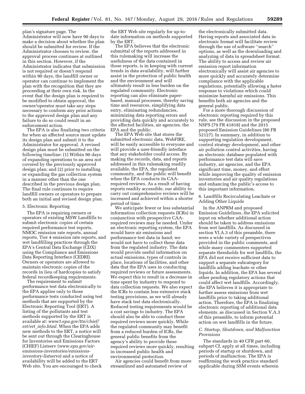plan's signature page. The Administrator will now have 90 days to make a decision about whether the plan should be submitted for review. If the Administrator chooses to review, the approval process continues at outlined in this section. However, if the Administrator indicates that submission is not required or doesn't respond within 90 days, the landfill owner or operator can continue to implement the plan with the recognition that they are proceeding at their own risk. In the event that the design plan is required to be modified to obtain approval, the owner/operator must take any steps necessary to conform any prior actions to the approved design plan and any failure to do so could result in an enforcement action.

The EPA is also finalizing two criteria for when an affected source must update its design plan and submit it to the Administrator for approval. A revised design plan must be submitted on the following timeline: (1) Within 90 days of expanding operations to an area not covered by the previously approved design plan; and (2) prior to installing or expanding the gas collection system in a manner other than the one described in the previous design plan. The final rule continues to require landfill owners or operators to prepare both an initial and revised design plan.

#### 5. Electronic Reporting

The EPA is requiring owners or operators of existing MSW Landfills to submit electronic copies of certain required performance test reports, NMOC emission rate reports, annual reports, Tier 4 emission rate reports, and wet landfilling practices through the EPA's Central Data Exchange (CDX) using the Compliance and Emissions Data Reporting Interface (CEDRI). Owners or operators are allowed to maintain electronic copies of the records in lieu of hardcopies to satisfy federal recordkeeping requirements.

The requirement to submit performance test data electronically to the EPA applies only to those performance tests conducted using test methods that are supported by the Electronic Reporting Tool (ERT). A listing of the pollutants and test methods supported by the ERT is available at: *[www3.epa.gov/ttn/chief/](http://www3.epa.gov/ttn/chief/ert/ert_info.html)  ert/ert*\_*[info.html.](http://www3.epa.gov/ttn/chief/ert/ert_info.html)* When the EPA adds new methods to the ERT, a notice will be sent out through the Clearinghouse for Inventories and Emissions Factors (CHIEF) Listserv (*www.epa.gov/airemissions-inventories/emissionsinventory-listservs*) and a notice of availability will be added to the ERT Web site. You are encouraged to check

the ERT Web site regularly for up-todate information on methods supported by the ERT.

The EPA believes that the electronic submittal of the reports addressed in this rulemaking will increase the usefulness of the data contained in those reports, is in keeping with current trends in data availability, will further assist in the protection of public health and the environment and will ultimately result in less burden on the regulated community. Electronic reporting can also eliminate paperbased, manual processes, thereby saving time and resources, simplifying data entry, eliminating redundancies, minimizing data reporting errors and providing data quickly and accurately to the affected facilities, air agencies, the EPA and the public.

The EPA Web site that stores the submitted electronic data, WebFIRE, will be easily accessible to everyone and will provide a user-friendly interface that any stakeholder could access. By making the records, data, and reports addressed in this rulemaking readily available, the EPA, the regulated community, and the public will benefit when the EPA conducts its CAArequired reviews. As a result of having reports readily accessible, our ability to carry out comprehensive reviews will be increased and achieved within a shorter period of time.

We anticipate fewer or less substantial information collection requests (ICRs) in conjunction with prospective CAArequired reviews may be needed. Under an electronic reporting system, the EPA would have air emissions and performance test data in hand; we would not have to collect these data from the regulated industry. The data would provide useful information on actual emissions, types of controls in place, locations of facilities, and other data that the EPA uses in conducting required reviews or future assessments. We expect this to result in a decrease in time spent by industry to respond to data collection requests. We also expect the ICRs to contain less extensive stack testing provisions, as we will already have stack test data electronically. Reduced testing requirements would be a cost savings to industry. The EPA should also be able to conduct these required reviews more quickly. While the regulated community may benefit from a reduced burden of ICRs, the general public benefits from the agency's ability to provide these required reviews more quickly, resulting in increased public health and environmental protection.

Air agencies could benefit from more streamlined and automated review of

the electronically submitted data. Having reports and associated data in electronic format will facilitate review through the use of software ''search'' options, as well as the downloading and analyzing of data in spreadsheet format. The ability to access and review air emission report information electronically will assist air agencies to more quickly and accurately determine compliance with the applicable regulations, potentially allowing a faster response to violations which could minimize harmful air emissions. This benefits both air agencies and the general public.

For a more thorough discussion of electronic reporting required by this rule, see the discussion in the proposed NSPS (79 FR 41818) and the 2015 proposed Emission Guidelines (80 FR 52127). In summary, in addition to supporting regulation development, control strategy development, and other air pollution control activities, having an electronic database populated with performance test data will save industry, air agencies, and the EPA significant time, money, and effort while improving the quality of emission inventories and air quality regulations and enhancing the public's access to this important information.

6. Landfills Recirculating Leachate or Adding Other Liquids

In the ANPRM and proposed Emission Guidelines, the EPA solicited input on whether additional action should be taken to address emissions from wet landfills. As discussed in section VI.A.3 of this preamble, there were a wide variety of perspectives provided in the public comments, and while many commenters supported separate thresholds for wet landfills, the EPA did not receive sufficient data to support a separate subcategory for landfills adding leachate or other liquids. In addition, the EPA has several other pending regulatory actions that could affect wet landfills. Accordingly, the EPA believes it is appropriate to further assess emissions from wet landfills prior to taking additional action. Therefore, the EPA is finalizing electronic reporting of additional data elements, as discussed in Section V.A.3 of this preamble, to inform potential action on wet landfills in the future.

# *C. Startup, Shutdown, and Malfunction Provisions*

The standards in 40 CFR part 60, subpart Cf, apply at all times, including periods of startup or shutdown, and periods of malfunction. The EPA is reaffirming the work practice standard applicable during SSM events wherein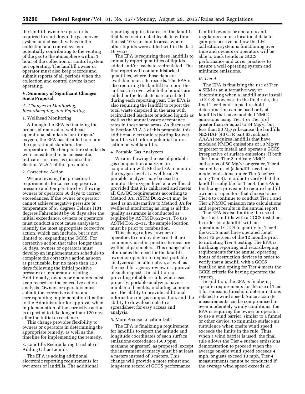the landfill owner or operator is required to shut down the gas mover system and close all valves in the collection and control system potentially contributing to the venting of the gas to the atmosphere within 1 hour of the collection or control system not operating. The landfill owner or operator must also keep records and submit reports of all periods when the collection and control device is not operating.

# **V. Summary of Significant Changes Since Proposal**

# *A. Changes to Monitoring, Recordkeeping, and Reporting*

# 1. Wellhead Monitoring

Although the EPA is finalizing the proposed removal of wellhead operational standards for nitrogen/ oxygen, the EPA has decided to retain the operational standards for temperature. The temperature standards were considered to be an essential indicator for fires, as discussed in Section VI.A.1 of this preamble.

# 2. Corrective Action

We are revising the procedural requirements for correcting positive pressure and temperature by allowing owners or operators 60 days to correct exceedances. If the owner or operator cannot achieve negative pressure or temperature of 55 degrees Celsius (131 degrees Fahrenheit) by 60 days after the initial exceedance, owners or operators must conduct a root cause analysis to identify the most appropriate corrective action, which can include, but is not limited to, expanding the GCCS. For corrective action that takes longer than 60 days, owners or operators must develop an implementation schedule to complete the corrective action as soon as practicable, but no more than 120 days following the initial positive pressure or temperature reading. Additionally, owners or operators must keep records of the corrective action analysis. Owners or operators must submit the corrective action and corresponding implementation timeline to the Administrator for approval when implementation of the corrective action is expected to take longer than 120 days after the initial exceedance.

This change provides flexibility to owners or operators in determining the appropriate remedy, as well as the timeline for implementing the remedy.

# 3. Landfills Recirculating Leachate or Adding Other Liquids

The EPA is adding additional electronic reporting requirements for wet areas of landfills. The additional

reporting applies to areas of the landfill that have recirculated leachate within the last 10 years and to areas where other liquids were added within the last 10 years.

The EPA is requiring these landfills to annually report quantities of liquids added and/or leachate recirculated. The first report will contain historical quantities, where those data are available in on-site records. The EPA is also requiring the landfill to report the surface area over which the liquids are added or the leachate is recirculated during each reporting year. The EPA is also requiring the landfill to report the total waste disposed in the area with recirculated leachate or added liquids as well as the annual waste acceptance rates in those same areas. As discussed in Section VI.A.3 of this preamble, this additional electronic reporting for wet landfills will inform potential future action on wet landfills.

# 4. Portable Gas Analyzers

We are allowing the use of portable gas composition analyzers in conjunction with Method 3A to monitor the oxygen level at a wellhead. A portable analyzer may be used to monitor the oxygen level at a wellhead provided that it is calibrated and meets all QA/QC requirements according to Method 3A. ASTM D6522–11 may be used as an alternative to Method 3A for wellhead monitoring as long as all the quality assurance is conducted as required by ASTM D6522–11. To use ASTM D6552–11, the sample location must be prior to combustion.

This change allows owners or operators to employ devices that are commonly used in practice to measure wellhead parameters. This change also eliminates the need for the landfill owner or operator to request portable analyzers as an alternative, as well as the need for agency review or approval of such requests. In addition to providing reliable results when used properly, portable analyzers have a number of benefits, including common use, the ability to provide additional information on gas composition, and the ability to download data to a spreadsheet for easy access and analysis.

#### 5. More Precise Location Data

The EPA is finalizing a requirement for landfills to report the latitude and longitude coordinates of each surface emissions exceedance (500 ppm methane or greater), as proposed, except the instrument accuracy must be at least 4 meters instead of 3 meters. This change will provide a more robust and long-term record of GCCS performance.

Landfill owners or operators and regulators can use locational data to gain perspective on how the LFG collection system is functioning over time and owners or operators will be able to track trends in GCCS performance and cover practices to ensure a well operating system and minimize emissions.

# *B. Tier 4*

The EPA is finalizing the use of Tier 4 SEM as an alternative way of determining when a landfill must install a GCCS; however, in the final rule, the final Tier 4 emissions threshold determination can be used only at landfills that have modeled NMOC emissions using Tier 1 or Tier 2 of greater than or equal to 34 Mg/yr but less than 50 Mg/yr because the landfills NESHAP (40 CFR part 63, subpart AAAA) requires landfills that have modeled NMOC emissions of 50 Mg/yr or greater to install and operate a GCCS irrespective of surface emissions. If both Tier 1 and Tier 2 indicate NMOC emissions of 50 Mg/yr or greater, Tier 4 cannot be used (a landfill need not model emissions under Tier 3 before using Tier 4). In order to verify that the landfill is eligible for Tier 4, the EPA is finalizing a provision to require landfill owners or operators that choose to use Tier 4 to continue to conduct Tier 1 and Tier 2 NMOC emission rate calculations and report results in the annual report. The EPA is also limiting the use of

Tier 4 at landfills with a GCCS installed. In order for a landfill with an operational GCCS to qualify for Tier 4, the GCCS must have operated for at least 75 percent of the 12 months prior to initiating Tier 4 testing. The EPA is finalizing reporting and recordkeeping requirements for the annual operating hours of destruction devices in order to verify that a landfill with a GCCS installed and opting for Tier 4 meets the GCCS criteria for having operated the system.

In addition, the EPA is finalizing specific requirements for the use of Tier 4 for emission threshold determinations related to wind speed. Since accurate measurements can be compromised in even moderately windy conditions, the EPA is requiring the owner or operator to use a wind barrier, similar to a funnel or other device, to minimize surface air turbulence when onsite wind speed exceeds the limits in the rule. Thus, when a wind barrier is used, the final rule allows the Tier 4 surface emissions demonstration to proceed when the average on-site wind speed exceeds 4 mph, or gusts exceed 10 mph. Tier 4 measurements cannot be conducted if the average wind speed exceeds 25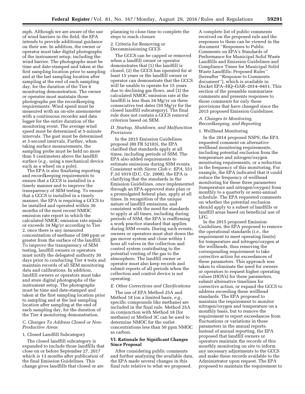mph. Although we are aware of the use of wind barriers in the field, the EPA intends to provide additional guidance on their use. In addition, the owner or operator must take digital photographs of the instrument setup, including the wind barrier. The photographs must be time and date-stamped and taken at the first sampling location prior to sampling and at the last sampling location after sampling at the end of each sampling day, for the duration of the Tier 4 monitoring demonstration. The owner or operator must maintain those photographs per the recordkeeping requirements. Wind speed must be measured with an on-site anemometer with a continuous recorder and data logger for the entire duration of the monitoring event. The average wind speed must be determined at 5-minute intervals. The gust must be determined at 3-second intervals. Further, when taking surface measurements, the sampling probe must be held no more than 5 centimeters above the landfill surface (*e.g.,* using a mechanical device such as a wheel on a pole).

The EPA is also finalizing reporting and recordkeeping requirements to ensure that a GCCS is installed in a timely manner and to improve the transparency of SEM testing. To ensure that a GCCS is installed in a timely manner, the EPA is requiring a GCCS to be installed and operated within 30 months of the most recent NMOC emission rate report in which the calculated NMOC emission rate equals or exceeds 34 Mg/yr according to Tier 2, once there is any measured concentration of methane of 500 ppm or greater from the surface of the landfill. To improve the transparency of SEM testing, landfill owners or operators must notify the delegated authority 30 days prior to conducting Tier 4 tests and maintain records of all SEM monitoring data and calibrations. In addition, landfill owners or operators must take and store digital photographs of the instrument setup. The photographs must be time and date-stamped and taken at the first sampling location prior to sampling and at the last sampling location after sampling at the end of each sampling day, for the duration of the Tier 4 monitoring demonstration.

# *C. Changes To Address Closed or Non-Productive Areas*

#### 1. Closed Landfill Subcategory

The closed landfill subcategory is expanded to include those landfills that close on or before September 27, 2017 which is 13 months after publication of the final Emission Guidelines. This change gives landfills that closed or are

planning to close time to complete the steps to reach closure.

# 2. Criteria for Removing or Decommissioning GCCS

The GCCS can be capped or removed when a landfill owner or operator demonstrates that (1) the landfill is closed, (2) the GCCS has operated for at least 15 years or the landfill owner or operator can demonstrate that the GCCS will be unable to operate for 15 years due to declining gas flows, and (3) the calculated NMOC emission rate at the landfill is less than 34 Mg/yr on three consecutive test dates (50 Mg/yr for the closed landfill subcategory). The final rule does not contain a GCCS removal criterion based on SEM.

# *D. Startup, Shutdown, and Malfunction Provisions*

In the 2015 Emission Guidelines proposal (80 FR 52103), the EPA clarified that standards apply at all times, including periods of SSM. The EPA also added requirements to estimate emissions during SSM events. Consistent with *Sierra Club* v. *EPA,* 551 F.3d 1019 (D.C. Cir. 2008), the EPA is clarifying that the standards in the Emission Guidelines, once implemented through an EPA-approved state plan or a promulgated federal plan, apply at all times. In recognition of the unique nature of landfill emissions, and consistent with the need for standards to apply at all times, including during periods of SSM, the EPA is reaffirming a work practice standard that applies during SSM events. During such events, owners or operators must shut down the gas mover system and close within 1 hour all valves in the collection and control system contributing to the potential venting of the gas to the atmosphere. The landfill owner or operator must also keep records and submit reports of all periods when the collection and control device is not operating.

#### *E. Other Corrections and Clarifications*

The use of EPA Method 25A and Method 18 (on a limited basis, *e.g.,*  specific compounds like methane) are included in the final rule. Method 25A in conjunction with Method 18 (for methane) or Method 3C can be used to determine NMOC for the outlet concentrations less than 50 ppm NMOC as carbon.

# **VI. Rationale for Significant Changes Since Proposal**

After considering public comments and further analyzing the available data, the EPA made several changes in this final rule relative to what we proposed.

A complete list of public comments received on the proposed rule and the responses to them can be viewed in the document ''Responses to Public Comments on EPA's Standards of Performance for Municipal Solid Waste Landfills and Emission Guidelines and Compliance Times for Municipal Solid Waste Landfills: Proposed Rules'' (hereafter ''Response to Comments document''), which is available in Docket EPA–HQ–OAR–2014–0451. This section of the preamble summarizes comments and presents responses to those comments for only those provisions that have changed since the 2015 proposed Emission Guidelines.

# *A. Changes to Monitoring, Recordkeeping, and Reporting*

#### 1. Wellhead Monitoring

In the 2014 proposed NSPS, the EPA requested comment on alternative wellhead monitoring requirements, including potential exclusion from the temperature and nitrogen/oxygen monitoring requirements, or a reduction in the frequency of this monitoring. For example, the EPA indicated that it could reduce the frequency of wellhead monitoring for these three parameters (temperature and nitrogen/oxygen) from monthly to a quarterly or semi-annual schedule. The EPA requested comments on whether the potential exclusion should apply to a subset of landfills or landfill areas based on beneficial use of LFG.

In the 2015 proposed Emission Guidelines, the EPA proposed to remove the operational standards (*i.e.,* the requirement to meet operating limits) for temperature and nitrogen/oxygen at the wellheads, thus removing the corresponding requirement to take corrective action for exceedances of these parameters. This approach was taken to eliminate the need for owners or operators to request higher operating values (HOVs) for these parameters, submit alternative timelines for corrective action, or expand the GCCS to address exceeding these wellhead standards. The EPA proposed to maintain the requirement to monitor nitrogen/oxygen and temperature on a monthly basis, but to remove the requirement to report exceedances from fluctuations or variations in these parameters in the annual reports. Instead of annual reporting, the EPA proposed that landfill owners or operators maintain the records of this monthly monitoring on site to inform any necessary adjustments to the GCCS and make these records available to the Administrator upon request. The EPA proposed to maintain the requirement to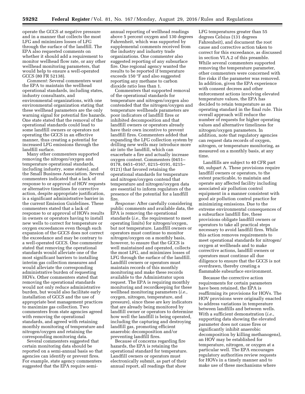operate the GCCS at negative pressure and in a manner that collects the most LFG and minimizes losses of LFG through the surface of the landfill. The EPA also requested comments on whether it should add a requirement to monitor wellhead flow rate, or any other wellhead monitoring parameters, that would help to ensure a well-operated GCCS (80 FR 52138).

*Comment:* Several commenters want the EPA to maintain the wellhead operational standards, including states, industry consultants, and environmental organizations, with one environmental organization stating that these wellhead parameters are the only warning signal for potential fire hazards. One state stated that the removal of the operational standards could lead to some landfill owners or operators not operating the GCCS in an effective manner, thus creating a potential for increased LFG emissions through the landfill surface.

Many other commenters supported removing the nitrogen/oxygen and temperature operational standards, including industry, some states), and the Small Business Association. Several commenters indicated that a lack of response to or approval of HOV requests or alternative timelines for corrective action, despite appropriate justification, is a significant administrative barrier in the current Emission Guidelines. These commenters stated that a lack of response to or approval of HOVs results in owners or operators having to install new wells to correct for temperature or oxygen exceedances even though such expansion of the GCCS does not correct the exceedance and may be contrary to a well-operated GCCS. One commenter stated that removing the operational standards would alleviate one of the most significant barriers to installing interim gas collection measures and would alleviate the corresponding administrative burden of requesting HOVs. Other commenters stated that removing the operational standards would not only reduce administrative burden, but would also facilitate early installation of GCCS and the use of appropriate best management practices to maximize gas collection. Two commenters from state agencies agreed with removing the operational standards, and agreed with retaining monthly monitoring of temperature and nitrogen/oxygen and retaining the corresponding monitoring data.

Several commenters suggested that certain monitoring data should be reported on a semi-annual basis so that agencies can identify or prevent fires. For example, state agency commenters suggested that the EPA require semi-

annual reporting of wellhead readings above 5 percent oxygen and 130 degrees Fahrenheit, which was supported by supplemental comments received from the industry and industry trade organizations. One commenter also suggested reporting of any subsurface fire. One regional agency wanted the results to be reported if temperature exceeds 150 °F and also suggested reporting any methane to carbon dioxide ratio less than 1.

Commenters that supported removal of the operational standards for temperature and nitrogen/oxygen also contended that the nitrogen/oxygen and temperature wellheads parameters are poor indicators of landfill fires or inhibited decomposition and that landfill owners or operators already have their own incentive to prevent landfill fires. Commenters added that expanding the LFG collection system by drilling new wells may introduce more air into the landfill, which can exacerbate a fire and actually increase oxygen content. Commenters (0451– 0178, 0451–0167, 0215–0191, 0215– 0121) that favored retaining the operational standards for temperature and nitrogen/oxygen contend that temperature and nitrogen/oxygen data are essential to inform regulators of the presence of the potential for a landfill fire.

*Response:* After carefully considering public comments and available data, the EPA is removing the operational standards (*i.e.,* the requirement to meet operating limits) for nitrogen/oxygen, but not temperature. Landfill owners or operators must continue to monitor nitrogen/oxygen on a monthly basis, however, to ensure that the GCCS is well maintained and operated, collects the most LFG, and minimizes losses of LFG through the surface of the landfill. Landfill owners or operators must maintain records of this monthly monitoring and make these records available to the Administrator upon request. The EPA is requiring monthly monitoring and recordkeeping for these wellhead monitoring parameters (*i.e.,*  oxygen, nitrogen, temperature, and pressure), since these are key indicators that are already being monitored by landfill owner or operators to determine how well the landfill is being operated, including the capturing and destroying landfill gas, promoting efficient anaerobic decomposition and/or preventing landfill fires.

Because of concerns regarding fire hazards, the EPA is retaining the operational standard for temperature. Landfill owners or operators must electronically submit, as part of their annual report, all readings that show

LFG temperatures greater than 55 degrees Celsius (131 degrees Fahrenheit), and document the root cause and corrective action taken to correct for this exceedance, as discussed in section VI.A.2 of this preamble. While several commenters supported removing the temperature parameter, other commenters were concerned with fire risks if the parameter was removed. In addition, given the EPA experience with consent decrees and other enforcement actions involving elevated temperature values, the EPA has decided to retain temperature as an operating standard in the final rule. This overall approach will reduce the number of requests for higher operating values and alternative timeliness for nitrogen/oxygen parameters. In addition, note that regulatory agencies can request data records of oxygen, nitrogen, or temperature monitoring, as measured on a monthly basis, at any time.

Landfills are subject to 40 CFR part 60, subpart A. These provisions require landfill owners or operators, to the extent practicable, to maintain and operate any affected facility including associated air pollution control equipment in a manner consistent with good air pollution control practice for minimizing emissions. Due to the extreme environmental consequences of a subsurface landfill fire, these provisions obligate landfill owners or operators to take all practical steps necessary to avoid landfill fires. While this action removes requirements to meet operational standards for nitrogen/ oxygen at wellheads and to make corrective actions, landfill owners or operators must continue all due diligence to ensure that the GCCS is not overdrawn, thereby creating a flammable subsurface environment.

Because the corrective action requirements for certain parameters have been retained, the EPA is reaffirming its provisions for HOVs. The HOV provisions were originally enacted to address variations in temperature between landfills and between wells. With a sufficient demonstration (*i.e.*, supporting data showing the elevated parameter does not cause fires or significantly inhibit anaerobic decomposition by killing methanogens), an HOV may be established for temperature, nitrogen, or oxygen at a particular well. The EPA encourages regulatory authorities review requests for HOVs in a timely manner and to make use of these mechanisms where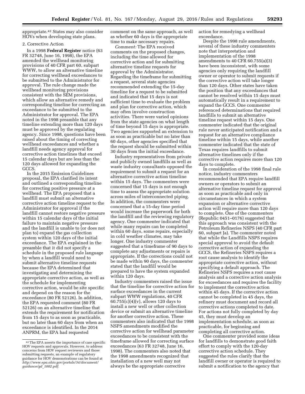appropriate.42 States may also consider HOVs when developing state plans.

# 2. Corrective Action

In a 1998 **Federal Register** notice (63 FR 32748, June 16, 1998), the EPA amended the wellhead monitoring provisions of 40 CFR part 60, subpart WWW, to allow an alternative timeline for correcting wellhead exceedances to be submitted to the Administrator for approval. The rule change made the wellhead monitoring provisions consistent with the SEM provisions, which allow an alternative remedy and corresponding timeline for correcting an exceedance to be submitted to the Administrator for approval. The EPA noted in the 1998 preamble that any timeline extending more than 120 days must be approved by the regulating agency. Since 1998, questions have been raised about the timing of correcting wellhead exceedances and whether a landfill needs agency approval for corrective action timelines that exceed 15 calendar days but are less than the 120 days allowed for expanding the GCCS.

In the 2015 Emission Guidelines proposal, the EPA clarified its intent and outlined a corresponding timeline for correcting positive pressure at a wellhead. The EPA proposed that a landfill must submit an alternative corrective action timeline request to the Administrator for approval if the landfill cannot restore negative pressure within 15 calendar days of the initial failure to maintain negative pressure and the landfill is unable to (or does not plan to) expand the gas collection system within 120 days of the initial exceedance. The EPA explained in the preamble that it did not specify a schedule in the proposed rule language by when a landfill would need to submit alternative timeline requests because the EPA determined that investigating and determining the appropriate corrective action, as well as the schedule for implementing corrective action, would be site specific and depend on the reason for the exceedance (80 FR 52126). In addition, the EPA requested comment (80 FR 52126) on an alternative timeline that extends the requirement for notification from 15 days to as soon as practicable, but no later than 60 days from when an exceedance is identified. In the 2014 ANPRM, the EPA had requested

comment on the same approach, as well as whether 60 days is the appropriate time to make necessary repairs.

*Comment:* The EPA received comments on the proposed changes, including the time allowed for corrective action and for submitting alternative timeline requests for approval by the Administrator. Regarding the timeframe for submitting a request, several state agencies recommended extending the 15-day timeline for a request to be submitted and indicated that 15 days is not sufficient time to evaluate the problem and plan for corrective action, which may often involve construction activities. There were varied opinions from the state agencies on what length of time beyond 15 days is appropriate. Two agencies supported an extension to as soon as practicable but no later than 60 days, other agencies specified that the request should be submitted within 30 days from the initial exceedance.

Industry representatives from private and publicly owned landfills as well as waste industry consultants opposed the requirement to submit a request for an alternative corrective action timeline within 15 days. The commenters were concerned that 15 days is not enough time to assess the appropriate solution across miles of interconnected piping. In addition, the commenters were concerned that a 15-day time period would increase the paperwork for both the landfill and the reviewing regulatory agency. One commenter indicated that while many repairs can be completed within 60 days, some repairs, especially in cold weather climates, may take longer. One industry commenter suggested that a timeframe of 90 days to complete any adjustments or repairs is appropriate. If the corrections could not be made within 90 days, the commenter stated that the landfill would be prepared to have the system expanded within 120 days.

Industry commenters raised the issue that the timeline for corrective action for surface exceedances in the current subpart WWW regulations, 40 CFR  $60.755(c)(4)(v)$ , allows 120 days to install a new well or other collection device or submit an alternative timeline for another corrective action. These commenters also indicated that the 1998 NSPS amendments modified the corrective action for wellhead parameter exceedances to be consistent with the timeframe allowed for correcting surface exceedances (63 FR 32748, June 16, 1998). The commenters also noted that the 1998 amendments recognized that installation of a new well may not always be the appropriate corrective

action for remedying a wellhead exceedance.

Despite the 1998 rule amendments, several of these industry commenters note that interpretation and implementation of the 1998 amendments to 40 CFR 60.755(a)(3) have been inconsistent, with some agencies only requiring the landfill owner or operator to submit requests if the corrective action will take longer than 120 days. Other states have taken the position that any exceedances that cannot be resolved within 15 days must automatically result in a requirement to expand the GCCS. One commenter referenced determinations that required landfills to submit an alternative timeline request within 15 days. One commenter indicated that the original rule never anticipated notification and a request for an alternative compliance timeline within 15 days, while another commenter indicated that the state of Texas requires landfills to submit alternative timelines only if the corrective action requires more than 120 days to complete.

In consideration of the 1998 final rule notice, industry commenters recommended that EPA require landfill owners or operators to submit an alternative timeline request for approval as soon as practicable and only in circumstances in which a system expansion or alternative corrective action will require more than 120 days to complete. One of the commenters (Republic 0451–0176) suggested that this approach was consistent with the Petroleum Refineries NSPS (40 CFR part 60, subpart Ja). The commenter noted that while the Landfills NSPS requires special approval to avoid the default corrective action of expanding the GCCS, the Refineries NSPS requires a root cause analysis to identify the appropriate corrective action, without specifying a default approach. The Refineries NSPS requires a root cause analysis and a corrective action analysis for exceedances and requires the facility to implement the corrective action within 45 days. If the corrective action cannot be completed in 45 days, the refinery must document and record all corrective actions completed to date. For actions not fully completed by day 45, they must develop an implementation schedule, as soon as practicable, for beginning and completing all corrective action.

One commenter provided some ideas for landfills to demonstrate good faith effort to comply with the 120-day corrective action schedule. They suggested the rules clarify that the landfill owner or operator is required to submit a notification to the agency that

<sup>42</sup>The EPA asserts the importance of case specific HOV requests and approvals. However, to address concerns from HOV request reviewers and those submitting requests, an example of regulatory guidance for HOV demonstrations can be found at *[http://www.epa.ohio.gov/portals/34/document/](http://www.epa.ohio.gov/portals/34/document/guidance/gd_1002.pdf)  [guidance/gd](http://www.epa.ohio.gov/portals/34/document/guidance/gd_1002.pdf)*\_*1002.pdf.*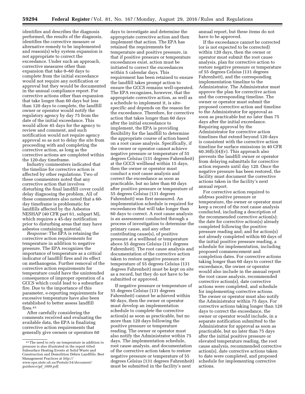identifies and describes the diagnosis performed, the results of the diagnosis, identifies the corrective measure or alternative remedy to be implemented and reason(s) why system expansion is not appropriate to correct the exceedance. Under such an approach, corrective measures other than expansion that take 0–60 days to complete from the initial exceedance would not require any notification or approval but they would be documented in the annual compliance report. For corrective actions other than expansion that take longer than 60 days but less than 120 days to complete, the landfill owner or operator would notify the regulatory agency by day 75 from the date of the initial exceedance. This would allow 45 days for the agency to review and comment, and such notification would not require agency approval so as not to delay the site from proceeding with and completing the corrective action, as long as the corrective actions are completed within the 120-day timeframe.

Industry commenters indicated that the timeline for corrective action is affected by other regulations. Two of these commenters noted that any corrective action that involves disturbing the final landfill cover could delay diagnosing the problem. All of these commenters also noted that a 60 day timeframe is problematic for landfills affected by the Asbestos NESHAP (40 CFR part 61, subpart M), which requires a 45-day notification prior to disturbing areas that may have asbestos containing material.

*Response:* The EPA is retaining the corrective action requirements for temperature in addition to negative pressure. The EPA recognizes the importance of temperature as a critical indicator of landfill fires and its effect on methanogens. Further removal of the corrective action requirements for temperature could have the unintended consequence of improper operation of a GCCS which could lead to a subsurface fire. Due to the importance of this parameter, e-reporting requirements for excessive temperature have also been established to better assess landfill fires.43

After carefully considering the comments received and evaluating the available data, the EPA is finalizing corrective action requirements that generally give owners or operators 60

days to investigate and determine the appropriate corrective action and then implement that action. The EPA has retained the requirements for temperature and positive pressure, in that if positive pressure or temperature exceedances exist, action must be initiated to correct the exceedances within 5 calendar days. This requirement has been retained to ensure the landfill takes prompt action to ensure the GCCS remains well-operated. The EPA recognizes, however, that the appropriate corrective action, as well as a schedule to implement it, is sitespecific and depends on the reason for the exceedance. Therefore, for corrective action that takes longer than 60 days after the initial exceedance to implement, the EPA is providing flexibility for the landfill to determine the appropriate course of action based on a root cause analysis. Specifically, if the owner or operator cannot achieve negative pressure or temperature of 55 degrees Celsius (131 degrees Fahrenheit) at the GCCS wellhead within 15 days, then the owner or operator must conduct a root cause analysis and correct the exceedance as soon as practicable, but no later than 60 days after positive pressure or temperature of 55 degrees Celsius (131 degrees Fahrenheit) was first measured. An implementation schedule is required for exceedances that will take longer than 60 days to correct. A root cause analysis is an assessment conducted through a process of investigation to determine the primary cause, and any other contributing cause(s), of positive pressure at a wellhead or temperature above 55 degrees Celsius (131 degrees Fahrenheit). The root cause analysis and documentation of the corrective action taken to restore negative pressure or temperature of 55 degrees Celsius (131 degrees Fahrenheit) must be kept on site as a record, but they do not have to be submitted or approved.

If negative pressure or temperature of 55 degrees Celsius (131 degrees Fahrenheit) cannot be achieved within 60 days, then the owner or operator must develop an implementation schedule to complete the corrective action(s) as soon as practicable, but no more than 120 days following the positive pressure or temperature reading. The owner or operator must also notify the Administrator within 75 days. The implementation schedule, root cause analysis, and documentation of the corrective action taken to restore negative pressure or temperature of 55 degrees Celsius (131 degrees Fahrenheit) must be submitted in the facility's next

annual report, but these items do not have to be approved.

If the exceedance cannot be corrected (or is not expected to be corrected) within 120 days, then the owner or operator must submit the root cause analysis, plan for corrective action to restore negative pressure or temperature of 55 degrees Celsius (131 degrees Fahrenheit), and the corresponding implementation timeline to the Administrator. The Administrator must approve the plan for corrective action and the corresponding timeline. The owner or operator must submit the proposed corrective action and timeline to the Administrator for approval as soon as practicable but no later than 75 days after the initial exceedance. Requiring approval by the Administrator for corrective action timelines that extend beyond 120 days is consistent with the corrective action timeline for surface emissions in 40 CFR  $60.36f(c)(4)(v)$ . This approach also prevents the landfill owner or operator from delaying submittals for corrective action requests until day 120. Once the negative pressure has been restored, the facility must document the corrective actions taken in the facility's next annual report.

For corrective action required to address positive pressure or temperature, the owner or operator must keep a record of the root cause analysis conducted, including a description of the recommended corrective action(s); the date for corrective action(s) already completed following the positive pressure reading and; and for action(s) not already completed within 60 days of the initial positive pressure reading, a schedule for implementation, including proposed commencement and completion dates. For corrective actions taking longer than 60 days to correct the exceedance, the owner or operator would also include in the annual report the root cause analysis, recommended corrective action(s), date corrective actions were completed, and schedule for implementing corrective actions. The owner or operator must also notify the Administrator within 75 days. For corrective actions taking longer than 120 days to correct the exceedance, the owner or operator would include, in a separate notification submitted to the Administrator for approval as soon as practicable, but no later than 75 days after the initial positive pressure or elevated temperature reading, the root cause analysis, recommended corrective action(s), date corrective actions taken to date were completed, and proposed schedule for implementing corrective actions.

<sup>43</sup>The need to rely on temperature in addition to pressure is also illustrated in the report titled Subsurface Heating Events at Solid Waste and Construction and Demolition Debris Landfills: Best Management Practices at *[http://](http://www.epa.state.oh.us/Portals/34/document/guidance/gd_1009.pdf) [www.epa.state.oh.us/Portals/34/document/](http://www.epa.state.oh.us/Portals/34/document/guidance/gd_1009.pdf) [guidance/gd](http://www.epa.state.oh.us/Portals/34/document/guidance/gd_1009.pdf)*\_*1009.pdf*.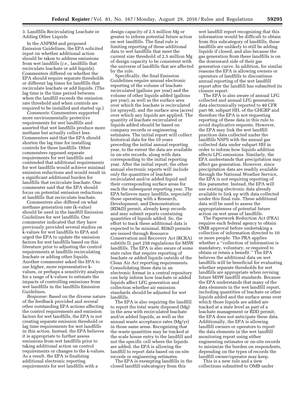# 3. Landfills Recirculating Leachate or Adding Other Liquids

In the ANPRM and proposed Emission Guidelines, the EPA solicited input on whether additional action should be taken to address emissions from wet landfills (*i.e.,* landfills that recirculate leachate or add liquids). Commenters differed on whether the EPA should require separate thresholds or different lag times for landfills that recirculate leachate or add liquids. (The lag time is the time period between when the landfill exceeds the emission rate threshold and when controls are required to be installed and started up.)

*Comments:* Commenters supported more environmentally protective requirements for wet landfills and asserted that wet landfills produce more methane but actually collect less. Commenters said that the EPA should shorten the lag time for installing controls for these landfills. Other commenters opposed separate requirements for wet landfills and contended that additional requirements for wet landfills would achieve minimal emission reductions and would result in a significant additional burden for landfills that recirculate leachate. One commenter said that the EPA should focus on potential emission reductions at landfills that recirculate leachate.

Commenters also differed on what methane generation rate (k-value) should be used in the landfill Emission Guidelines for wet landfills. One commenter indicated that they have previously provided several studies on k-values for wet landfills to EPA and urged the EPA to update the emission factors for wet landfills based on this literature prior to adjusting the control requirements at landfills recirculating leachate or adding other liquids. Another commenter asked the EPA to use higher, more representative kvalues, or perhaps a sensitivity analysis for a range of k-values to estimate the impacts of controlling emissions from wet landfills in the landfills Emission Guidelines.

*Response:* Based on the diverse nature of the feedback provided and several other outstanding EPA actions affecting the control requirements and emission factors for wet landfills, the EPA is not creating separate emission threshold or lag time requirements for wet landfills in this action. Instead, the EPA believes it is appropriate to further assess emissions from wet landfills prior to taking additional action on control requirements or changes to the k-values. As a result, the EPA is finalizing additional electronic reporting requirements for wet landfills with a

design capacity of 2.5 million Mg or greater to inform potential future action on wet landfills. The final rule is limiting reporting of these additional data to wet landfills that meet the current size threshold of 2.5 million Mg of design capacity to be consistent with the universe of landfills that are affected by the rule.

Specifically, the final Emission Guidelines require annual electronic reporting of the volume of leachate recirculated (gallons per year) and the volume of other liquids added (gallons per year), as well as the surface area over which the leachate is recirculated (or sprayed), and the surface area (acres) over which any liquids are applied. The quantity of leachate recirculated or liquids added should be based on company records or engineering estimates. The initial report will collect historical data for the 10 years preceding the initial annual reporting year, to the extent the data are available in on-site records, along with data corresponding to the initial reporting year. After the initial report, the other annual electronic reports will include only the quantities of leachate recirculated and/or added liquid and their corresponding surface areas for each the subsequent reporting year. The EPA believes many landfills, especially those operating with a Research, Development, and Demonstration (RD&D) permit, already keep records and may submit reports containing quantities of liquids added. So, the effort to track these additional data is expected to be minimal. RD&D permits are issued through Resource Conservation and Recovery Act (RCRA) subtitle D, part 258 regulations for MSW landfills. The EPA is also aware of some state rules that require reporting of leachate or added liquids outside of the Clean Air Act reporting requirements. Consolidating these data in an electronic format in a central repository can help inform how leachate or added liquids affect LFG generation and collection whether air emission standards should be adjusted for wet landfills.

The EPA is also requiring the landfill to report the total waste disposed (Mg) in the area with recirculated leachate and/or added liquids, as well as the annual waste acceptance rates (Mg/yr) in those same areas. Recognizing that the waste quantities may be tracked at the scale house entry to the landfill and not the specific cell where the liquids are added, the EPA is allowing the landfill to report data based on on-site records or engineering estimates.

The EPA is exempting landfills in the closed landfill subcategory from this

wet landfill report recognizing that this information would be difficult to obtain from this subcategory of landfills, these landfills are unlikely to still be adding liquids if closed, and also because the gas generation from these landfills is on the downward side of their gas generation curve. In addition, for similar reasons the EPA is allowing owners or operators of landfills to discontinue annual reporting of the wet landfill report after the landfill has submitted its closure report.

The EPA is also aware of annual LFG collected and annual LFG generation data electronically reported to 40 CFR part 98, subpart HH, of the GHGRP and therefore the EPA is not requesting reporting of these data in this rule to avoid duplicative requests. However, the EPA may link the wet landfill practices data collected under the landfills NSPS with the annual gas collected data under subpart HH in order to inform how liquids addition affects LFG emissions. Similarly, the EPA understands that precipitation may affect gas generation. However, since precipitation data are readily available through the National Weather Service, the EPA is not requiring reporting of this parameter. Instead, the EPA will use existing electronic data already available to link up with data collected under this final rule. These additional data will be used to assess the appropriateness of potential future action on wet areas of landfills.

The Paperwork Reduction Act (PRA) requires each federal agency to obtain OMB approval before undertaking a collection of information directed to 10 or more people. The PRA applies whether a ''collection of information is mandatory, voluntary, or required to obtain or retain a benefit.'' The EPA believes the additional data on wet landfills will be beneficial for evaluating whether separate thresholds for wet landfills are appropriate when revising future MSW landfill standards. Because the EPA understands that many of the data elements in the wet landfill report, including quantities of leachate or other liquids added and the surface areas over which those liquids are added are tracked at a state level as part of a leachate management or RDD permit, the EPA does not anticipate these data. Additionally, the EPA is allowing landfill owners or operators to report the data elements in the wet landfill monitoring report using either engineering estimates or on-site records to minimize the burden on respondents, depending on the types of records the landfill owner/operator may keep.

This is a new rule and a new collections submitted to OMB under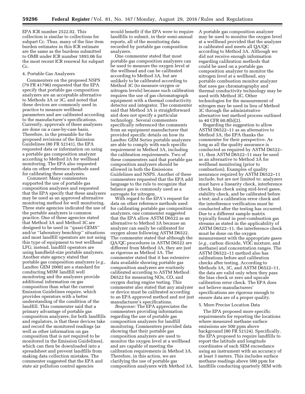EPA ICR number 2522.02. This collection is similar to collections for subpart Cc. Thus, many of the line item burden estimates in this ICR estimate are the same as the burdens submitted to OMB under ICR number 1893.06 for the most recent ICR renewal for subpart Cc.

#### 4. Portable Gas Analyzers

Commenters on the proposed NSPS (79 FR 41796) requested that the EPA specify that portable gas composition analyzers are an acceptable alternative to Methods 3A or 3C, and noted that these devices are commonly used in practice to measure wellhead parameters and are calibrated according to the manufacturer's specifications. Currently, approvals of these analyzers are done on a case-by-case basis. Therefore, in the preamble for the proposed revisions of the Emission Guidelines (80 FR 52141), the EPA requested data or information on using a portable gas composition analyzer according to Method 3A for wellhead monitoring. The EPA also requested data on other reference methods used for calibrating these analyzers.

*Comment:* Many commenters supported the use of portable gas composition analyzers and requested that the EPA specify that these analyzers may be used as an approved alternative monitoring method for well monitoring. Three state agencies indicated the use of the portable analyzers is common practice. One of these agencies stated that Method 3A and Method 3C are designed to be used in ''quasi-CEMS'' and/or ''laboratory benchtop'' situations and most landfill operators are not using this type of equipment to test wellhead LFG; instead, landfill operators are using handheld-size portable analyzers. Another state agency stated that portable gas composition analyzers (*e.g.,*  Landtec GEM 2000) are a standard for conducting MSW landfill well monitoring and the analyzers provide additional information on gas composition than what the current Emission Guidelines require, which provides operators with a better understanding of the condition of the landfill. This commenter said that a primary advantage of portable gas composition analyzers, for both landfills and regulators, is that these devices take and record the monitored readings (as well as other information on gas composition that is not required to be monitored in the Emission Guidelines), which can then be downloaded into a spreadsheet and prevent landfills from making data collection mistakes. The commenter suggested that the EPA and state air pollution control agencies

would benefit if the EPA were to require landfills to submit, in their semi-annual reports, all of the monitoring data recorded by portable gas composition analyzers.

One commenter stated that most portable gas composition analyzers can be used to measure the oxygen level at the wellhead and can be calibrated according to Method 3A, but are unlikely to be calibrated according to Method 3C (to measure oxygen or nitrogen levels) because such calibration requires the use of gas chromatograph equipment with a thermal conductivity detector and integrator. The commenter said that Method 3A is straightforward and does not specify a particular technology. Several commenters specifically referenced the comments from an equipment manufacturer that provided specific details on how its Landtec GEM Series portable analyzers are able to comply with each specific requirement in Method 3A, including the calibration requirements. Two of these commenters said that portable gas composition analyzers should be allowed in both the Emissions Guidelines and NSPS. Another of these commenters requested that the EPA add language to the rule to recognize that balance gas is commonly used as a surrogate for nitrogen.

With regard to the EPA's request for data on other reference methods used for calibrating portable gas composition analyzers, one commenter suggested that the EPA allow ASTM D6522 as an alternative to Method 3A because an analyzer can easily be calibrated for oxygen alone following ASTM D6522. The commenter stated that although the QA/QC procedures in ASTM D6522 are different from Method 3A, they are just as rigorous as Method 3A. The commenter stated that it has extensive data available showing portable gas composition analyzers are routinely calibrated according to ASTM Method D6522 for measuring NOx, CO, and oxygen during engine testing. This commenter also stated that any analyzer or device must be calibrated according to an EPA approved method and not just manufacturer's specifications.

*Response:* The EPA appreciates the commenters providing information regarding the use of portable gas composition analyzers for landfill monitoring. Commenters provided data showing that their portable gas composition analyzers are used to monitor the oxygen level at a wellhead and are capable of meeting the calibration requirements in Method 3A. Therefore, in this action, we are clarifying the use of portable gas composition analyzers with Method 3A. A portable gas composition analyzer may be used to monitor the oxygen level at a wellhead provided that the analyzer is calibrated and meets all QA/QC according to Method 3A. Although we did not receive enough information regarding calibration methods that could be used on a portable gas composition analyzer to monitor the nitrogen level at a wellhead, any portable combustion monitor analyzer that uses gas chromatography and thermal conductivity technology may be used with Method 3C. Other technologies for the measurement of nitrogen may be used in lieu of Method 3C through the administrative alternative test method process outlined in 40 CFR 60.8(b)(2).

Regarding the suggestion to allow ASTM D6522–11 as an alternative to Method 3A, the EPA thanks the commenter for their perspective. As long as all the quality assurance is conducted as required by ASTM D6522– 11, then ASTM D6522–11 may be used as an alternative to Method 3A for wellhead monitoring (prior to combustion). Examples of quality assurance required by ASTM D6522–11 include, but are not limited to: analyzers must have a linearity check, interference check, bias check using mid-level gases, stability check, and be calibrated before a test; and a calibration error check and the interference verification must be conducted after the testing has occurred. Due to a different sample matrix typically found in post-combustion gas streams as stated in the applicability of ASTM D6522–11, the interference check must be done on the oxygen measurement with the appropriate gases (*e.g.,* carbon dioxide, VOC mixture, and methane) and concentration ranges. The ASTM D6522–11 method also has calibrations before and calibration checks after testing. According to Methods 3A, 3C, and ASTM D6522–11, the data are valid only when they pass the bias check or zero and upscale calibration error check. The EPA does not believe manufacturers' specifications are rigorous enough to ensure data are of a proper quality.

#### 5. More Precise Location Data

The EPA proposed more specific requirements for reporting the locations where measured methane surface emissions are 500 ppm above background (80 FR 52124). Specifically, the EPA proposed to require landfills to report the latitude and longitude coordinates of each SEM exceedance using an instrument with an accuracy of at least 3 meters. This includes surface methane readings above 500 ppm for landfills conducting quarterly SEM with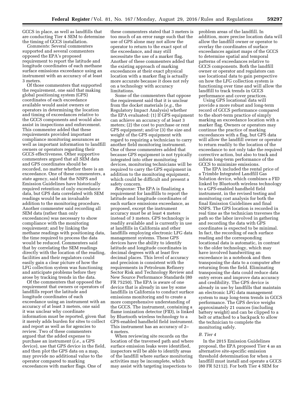GCCS in place, as well as landfills that are conducting Tier 4 SEM to determine the timing of GCCS installation.

*Comments:* Several commenters supported and several commenters opposed the EPA's proposed requirement to report the latitude and longitude coordinates of each methane surface emissions exceedance using an instrument with an accuracy of at least 3 meters.

Of those commenters that supported the requirement, one said that making global positioning system (GPS) coordinates of each exceedance available would assist owners or operators in determining the location and timing of exceedances relative to the GCCS components and would also assist in inspections and enforcement. This commenter added that these requirements provided important compliance monitoring assurances as well as important information to landfill owners or operators regarding their GCCS effectiveness. Other supportive commenters argued that all SEM data and GPS coordinates should be recorded, no matter whether there is an exceedance. One of these commenters, a state agency, said that the NSPS and Emission Guidelines have historically required retention of only exceedance data, but GPS data correlated with SEM readings would be an invaluable addition to the monitoring procedure. Another commenter said recording all SEM data (rather than only exceedances) was necessary to show compliance with the monitoring requirement; and by linking the methane readings with positioning data, the time required to process the data would be reduced. Commenters said that by correlating the SEM readings directly with the location of the reading, facilities and their regulators could easily gain a clear picture of how the LFG collection system was functioning and anticipate problems before they arose by tracking trends in the data.

Of the commenters that opposed the requirement that owners or operators of landfills report the latitude and longitude coordinates of each exceedance using an instrument with an accuracy of at least 3 meters, one said it was unclear why coordinate information must be reported, given that it merely adds burden for sites to collect and report as well as for agencies to review. Two of these commenters argued that the added expense to purchase an instrument (*i.e.,* a GPS device), use that GPS device in the field, and then plot the GPS data on a map, may provide no additional value to the operator compared to marking exceedances with marker flags. One of

these commenters stated that 3 meters is too much of an error range such that the use of GPS alone may not allow the operator to return to the exact spot of the exceedance, and may still necessitate the use of a marker flag. Another of these commenters added that the existing approach of marking exceedances at their exact physical location with a marker flag is actually more accurate because it does not rely on a technology with accuracy limitations.

Some of the commenters that oppose the requirement said that it is unclear from the docket materials (*e.g.,* the Regulatory Impact Analysis) whether the EPA evaluated: (1) If GPS equipment can achieve an accuracy of at least 3 meters; (2) the cost to purchase or rent GPS equipment; and/or (3) the size and weight of the GPS equipment with regard to requiring a technician to carry another field monitoring instrument. One of these commenters added that because GPS equipment is not typically integrated into other monitoring devices, monitoring technicians will be required to carry the GPS equipment in addition to the monitoring equipment, which could be difficult and present a safety concern.

*Response:* The EPA is finalizing a requirement for landfills to report the latitude and longitude coordinates of each surface emissions exceedance, as proposed, except the instrument accuracy must be at least 4 meters instead of 3 meters. GPS technology is readily available and is currently in use at landfills in California and other landfills employing electronic LFG data management systems. These GPS devices have the ability to identify latitude and longitude coordinates in decimal degrees with at least five decimal places. This level of accuracy and precision is consistent with the requirements in Petroleum Refinery Sector Risk and Technology Review and New Source Performance Standards (80 FR 75250). The EPA is aware of one device that is already in use by some landfills in California to conduct surface emissions monitoring and to create a more comprehensive understanding of the GCCS. The instrument, containing a flame ionization detector (FID), is linked by Bluetooth wireless technology to a GPS-enabled handheld field instrument. This instrument has an accuracy of 2– 4 meters.

When reviewing site records on the location of the traversed path and where surface emission leaks were identified, inspectors will be able to identify areas of the landfill where surface monitoring activities may be incomplete, which may assist with targeting inspections to

problem areas of the landfill. In addition, more precise location data will allow the landfill owner or operator to overlay the coordinates of surface exceedances against maps of the GCCS to determine spatial and temporal patterns of exceedances relative to GCCS components. Both the landfill owner or operator and regulators can use locational data to gain perspective on how the LFG collection system is functioning over time and will allow the landfill to track trends in GCCS performance and cover practices.

Using GPS locational data will provide a more robust and long-term record of GCCS performance compared to the short-term practice of simply marking an exceedance location with a marker flag. Owners or operators may continue the practice of marking exceedances with a flag, but GPS data will allow the landfill owner or operator to return readily to the location of the exceedance to not only take the required corrective action, but also to track and inform long-term performance of the GCCS to minimize emissions.

The EPA included the rental price of a Trimble Integrated Landfill Gas Solution device, which combines a FID linked by Bluetooth wireless technology to a GPS-enabled handheld field instrument, in the revised testing and monitoring cost analysis for both the final Emission Guidelines and final NSPS. The GPS location is recorded in real time as the technician traverses the path so the labor involved in gathering and recording the data with GPS coordinates is expected to be minimal. In fact, the recording of each surface reading and the corresponding locational data is automatic, in contrast to the older technology, which may have involved handwriting an exceedance in a notebook and then transposing the data to a computer after returning from the field. Eliminating transposing the data could reduce data entry errors and improve data accuracy and credibility. The GPS device is already in use by landfills that maintain an electronic LFG data management system to map long-term trends in GCCS performance. The GPS device weighs approximately 21 ounces (including battery weight) and can be clipped to a belt or attached to a backpack to allow the technician to complete the monitoring safely.

#### *B. Tier 4*

In the 2015 Emission Guidelines proposal, the EPA proposed Tier 4 as an alternative site-specific emission threshold determination for when a landfill must install and operate a GCCS (80 FR 52112). For both Tier 4 SEM for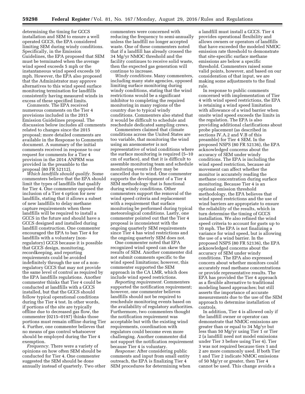determining the timing for GCCS installation and SEM to ensure a well operated GCCS, the EPA considered limiting SEM during windy conditions. Specifically, in the Emission Guidelines, the EPA proposed that SEM must be terminated when the average wind speed exceeds 5 mph or the instantaneous wind speed exceeds 10 mph. However, the EPA also proposed that the Administrator may approve alternatives to this wind speed surface monitoring termination for landfills consistently having measured winds in excess of these specified limits.

*Comments.* The EPA received numerous comments on the Tier 4 provisions included in the 2015 Emission Guidelines proposal. The discussion below includes all comments related to changes since the 2015 proposal; more detailed comments are available in the Response to Comments document. A summary of the initial comments received in response to our request for comments for a Tier 4 provision in the 2014 ANPRM was provided in the preamble to the proposal (80 FR 52112).

*Which landfills should qualify.* Some commenters believe that the EPA should limit the types of landfills that qualify for Tier 4. One commenter opposed the inclusion of a Tier 4 option for new landfills, stating that it allows a subset of new landfills to delay methane capture requirements when these landfills will be required to install a GCCS in the future and should have a GCCS designed and installed during landfill construction. One commenter encouraged the EPA to ban Tier 4 for landfills with a voluntary (nonregulatory) GCCS because it is possible that GCCS design, monitoring, recordkeeping, and reporting requirements could be avoided indefinitely through the use of a nonregulatory GCCS that may not provide the same level of control as required by the EPA landfills regulations. Another commenter thinks that Tier 4 could be conducted at landfills with a GCCS installed, but that the GCCS should follow typical operational conditions during the Tier 4 test. In other words, if portions of the site are typically offline due to decreased gas flow, the commenter (0215–0197) thinks those portions must remain offline during Tier 4. Further, one commenter believes that no means of gas control whatsoever should be employed during the Tier 4 exemption.

*Frequency.* There were a variety of opinions on how often SEM should be conducted for Tier 4. One commenter suggested the SEM should be done annually instead of quarterly. Two other commenters were concerned with reducing the frequency to semi-annually unless the landfill no longer accepted waste. One of these commenters noted that if a landfill has already crossed the 34 Mg/yr NMOC threshold and the facility continues to receive solid waste, then the expected gas generation will continue to increase.

*Windy conditions.* Many commenters, including many state agencies, opposed limiting surface monitoring during windy conditions, stating that the wind restrictions would be a significant inhibitor to completing the required monitoring in many regions of the country due to typical windy conditions. Commenters also stated that it would be difficult to schedule and reschedule dedicated sampling crews.

Commenters claimed that climate conditions across the United States are too variable, that monitoring the wind using an anemometer is not representative of wind conditions where the surface monitoring is required (5–10 cm of surface), and that it is difficult to assemble monitoring team and schedule monitoring events if they may be cancelled due to wind. One commenter supports the development of a Tier 4 SEM methodology that is functional during windy conditions. Other commenters support the removal of the wind speed criteria and replacement with a requirement that surface monitoring be performed during typical meteorological conditions. Lastly, one commenter pointed out that the Tier 4 proposal is inconsistent with the ongoing quarterly SEM requirements since Tier 4 has wind restrictions and the ongoing quarterly SEM does not.

One commenter noted that EPA recognized wind speed can skew the results of SEM. Another commenter did not submit comments specific to the wind speed limitations; however, this commenter supported the SEM approach in the CA LMR, which does include wind speed restrictions.

*Reporting requirement.* Commenters supported the notification requirement; however, one commenter believes landfills should not be required to reschedule monitoring events based on the availability of regulatory authorities. Furthermore, two commenters thought the notification requirement was acceptable but with the existing wind requirements, coordination with regulators could become even more challenging. Another commenter did not support the notification requirement because Tier 4 is voluntary.

*Response:* After considering public comments and input from small entity outreach, the EPA is finalizing Tier 4 SEM procedures for determining when a landfill must install a GCCS. Tier 4 provides operational flexibility and allows owners or operators of landfills that have exceeded the modeled NMOC emission rate threshold to demonstrate that site-specific surface methane emissions are below a specific threshold. Commenters raised some valid points, however, and based on our consideration of that input, we are making some adjustments to the final rule.

In response to public comments concerned with implementation of Tier 4 with wind speed restrictions, the EPA is retaining a wind speed limitation with allowance of a wind barrier when onsite wind speed exceeds the limits in the regulation. The EPA is also providing additional clarifications about probe placement (as described in sections IV.A.2 and V.B of this preamble) for Tier 4 SEM. In the proposed NSPS (80 FR 52136), the EPA acknowledged concerns about the accuracy of SEM under windy conditions. The EPA is including the wind speed restriction, because air movement can affect whether the monitor is accurately reading the methane concentration during surface monitoring. Because Tier 4 is an optional emission threshold methodology, the EPA believes that wind speed restrictions and the use of wind barriers are appropriate to ensure the reliability of the results, which in turn determine the timing of GCCS installation. We also refined the wind speed criteria to account for gusts up to 10 mph. The EPA is not finalizing a variance for wind speed, but is allowing the use of a wind barrier. In the proposed NSPS (80 FR 52136), the EPA acknowledged concerns about the accuracy of SEM under windy conditions. The EPA also expressed concern about whether monitors could accurately read methane concentrations or provide representative results. The EPA has provided the Tier 4 approach as a flexible alternative to traditional modeling based approaches; but still asserts the importance of accurate measurements due to the use of the SEM approach to determine installation of controls.

In addition, Tier 4 is allowed only if the landfill owner or operator can demonstrate that NMOC emissions are greater than or equal to 34 Mg/yr but less than 50 Mg/yr using Tier 1 or Tier 2 (a landfill need not model emissions under Tier 3 before using Tier 4). Tier 3 was not required because tiers 1 and 2 are more commonly used. If both Tier 1 and Tier 2 indicate NMOC emissions of 50 Mg/yr or greater, then Tier 4 cannot be used. This change avoids a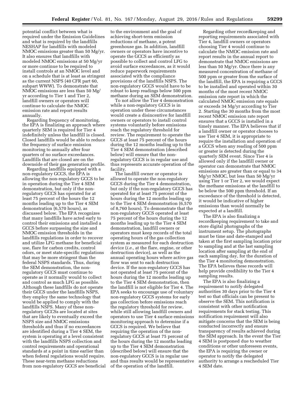potential conflict between what is required under the Emission Guidelines and what is required by the landfills NESHAP for landfills with modeled NMOC emissions greater than 50 Mg/yr. It also ensures that landfills with modeled NMOC emissions at 50 Mg/yr or more continue to be required to install controls at an NMOC level and on a schedule that is at least as stringent as the current NSPS (40 CFR part 60, subpart WWW). To demonstrate that NMOC emissions are less than 50 Mg/ yr according to Tier 1 and Tier 2, landfill owners or operators will continue to calculate the NMOC emission rate and report results annually.

Regarding frequency of monitoring, the EPA is finalizing an approach where quarterly SEM is required for Tier 4 indefinitely unless the landfill is closed. Closed landfills would be able to reduce the frequency of surface emission monitoring to annually after four quarters of no surface exceedances. Landfills that are closed are on the downside of their gas generation profile.

Regarding landfills equipped with a non-regulatory GCCS, the EPA is allowing the non-regulatory GCCS to be in operation during the Tier 4 SEM demonstration, but only if the nonregulatory GCCS has operated for at least 75 percent of the hours the 12 months leading up to the Tier 4 SEM demonstration (6,570 hours), as discussed below. The EPA recognizes that many landfills have acted early to control their emissions and installed a GCCS before surpassing the size and NMOC emission thresholds in the landfills regulations in order to recover and utilize LFG methane for beneficial use, flare for carbon credits, control odors, or meet state-specific regulations that may be more stringent than the federal NSPS standards. Thus, during the SEM demonstration, the nonregulatory GCCS must continue to operate as it normally would to collect and control as much LFG as possible. Although these landfills do not operate their GCCS under the landfills NSPS, they employ the same technology that would be applied to comply with the landfills NSPS. Many of these nonregulatory GCCSs are located at sites that are likely to eventually exceed the NSPS size and NMOC emissions thresholds and thus if no exceedances are identified during a Tier 4 SEM, the system is operating at a level consistent with the landfills NSPS collection and control requirements and operational standards at a point in time earlier than when federal regulations would require. These near-term methane reductions from non-regulatory GCCS are beneficial

to the environment and the goal of achieving short-term emission reductions of methane, a potent greenhouse gas. In addition, landfill owners or operators have incentive to operate the GCCS as efficiently as possible to collect and control LFG to avoid surface exceedances, as it would reduce paperwork requirements associated with the compliance provisions of the landfills NSPS. The non-regulatory GCCS would have to be robust to keep readings below 500 ppm methane during an SEM demonstration.

To not allow the Tier 4 demonstration while a non-regulatory GCCS is in operation under these circumstances would create a disincentive for landfill owners or operators to install control systems voluntarily before emissions reach the regulatory threshold for review. The requirement to operate the GCCS at least 75 percent of the hours during the 12 months leading up to the Tier 4 SEM demonstration (described below) will ensure that the nonregulatory GCCS is in regular use and thus represents accurate operation of the facility.

The landfill owner or operator is allowed to operate the non-regulatory GCCS during the Tier 4 demonstration, but only if the non-regulatory GCCS has operated for at least 75 percent of the hours during the 12 months leading up to the Tier 4 SEM demonstration (6,570 of 8,760 hours). To demonstrate that the non-regulatory GCCS operated at least 75 percent of the hours during the 12 months leading up to the Tier 4 SEM demonstration, landfill owners or operators must keep records of the total operating hours of the gas collection system as measured for each destruction device (*i.e.,* at the flare, engine, or other destruction device), as well as the annual operating hours where active gas flow was sent to each destruction device. If the non-regulatory GCCS has not operated at least 75 percent of the hours during the 12 months leading up to the Tier 4 SEM demonstration, then the landfill is not eligible for Tier 4. The EPA seeks to encourage use of voluntary non-regulatory GCCS systems for early gas collection before emissions reach the regulatory threshold for review, while still allowing landfill owners and operators to use Tier 4 surface emissions monitoring approach to determine if a GCCS is required. We believe that requiring the operation of the nonregulatory GCCS at least 75 percent of the hours during the 12 months leading up to the Tier 4 SEM demonstration (described below) will ensure that the non-regulatory GCCS is in regular use and thus results would be representative of the operation of the landfill.

Regarding other recordkeeping and reporting requirements associated with Tier 4, landfill owners or operators choosing Tier 4 would continue to calculate the NMOC emission rate and report results in the annual report to demonstrate that NMOC emissions are less than 50 Mg/yr. Once there is any measured concentration of methane of 500 ppm or greater from the surface of the landfill, the EPA is requiring a GCCS to be installed and operated within 30 months of the most recent NMOC emission rate report in which the calculated NMOC emission rate equals or exceeds 34 Mg/yr according to Tier 2. Starting the 30 months from the most recent NMOC emission rate report ensures that a GCCS is installed in a timely manner. The EPA believes that if a landfill owner or operator chooses to use Tier 4 SEM, it is appropriate to require the installation and operation of a GCCS when any reading of 500 ppm or greater is detected during the quarterly SEM event. Since Tier 4 is allowed only if the landfill owner or operator can demonstrate that NMOC emissions are greater than or equal to 34 Mg/yr NMOC, but less than 50 Mg/yr using Tier 1 or Tier 2, we would expect the methane emissions at the landfill to be below the 500 ppm threshold. If an exceedance of the threshold is detected, it would be indicative of higher emissions than would normally be expected at a landfill.

The EPA is also finalizing a recordkeeping requirement to take and store digital photographs of the instrument setup. The photographs must be time and date-stamped and taken at the first sampling location prior to sampling and at the last sampling location after sampling at the end of each sampling day, for the duration of the Tier 4 monitoring demonstration. The EPA believes these records will help provide credibility to the Tier 4 sampling results.

The EPA is also finalizing a requirement to notify delegated authorities 30 days prior to the Tier 4 test so that officials can be present to observe the SEM. This notification is consistent with other notification requirements for stack testing. This notification requirement will also mitigate concerns that the SEM is being conducted incorrectly and ensure transparency of results achieved during the SEM approach. In the event the Tier 4 SEM is postponed due to weather conditions or other unforeseen events, the EPA is requiring the owner or operator to notify the delegated authority to arrange a rescheduled Tier 4 SEM date.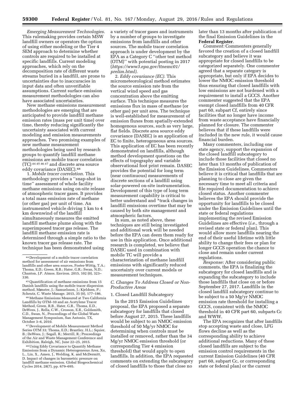*Emerging Measurement Technologies.*  This rulemaking provides certain MSW landfill owners or operators the option of using either modeling or the Tier 4 SEM approach to determine whether controls are required to be installed at specific landfills. Current modeling approaches, which rely on the decomposition rate of different waste streams buried in a landfill, are prone to uncertainties due to inaccuracies in input data and often unverifiable assumptions. Current surface emission measurement methodologies can also have associated uncertainties.

New methane emissions measurement methodologies are emerging that are anticipated to provide landfill methane emission rates (mass per unit time) over time, thereby reducing significantly the uncertainty associated with current modeling and emission measurements approaches. Two promising examples of new methane measurement methodologies being used by research groups to quantify landfill methane emissions are mobile tracer correlation (TC) 44 45 46 47 and discrete area source eddy covariance (DASEC).48

1. *Mobile tracer correlation.* This methodology provides a ''snap-shot in time'' assessment of whole facility methane emissions using on-site release of atmospheric tracer gases. It provides a total mass emission rate of methane (or other gas) per unit of time. An instrumented vehicle driving 1 km to 4 km downwind of the landfill simultaneously measures the emitted landfill methane plume along with the superimposed tracer gas release. The landfill methane emission rate is determined through a simple ratio to the known tracer gas release rate. The technique has been demonstrated using

45Quantification of methane emissions from 15 Danish landfills using the mobile tracer dispersion method, Mønster, J.; Samuelsson, J.; Kjeldsen, P.; Scheutz, C. Waste Manage. 2015, 35 (0), 177–186.

46Methane Emissions Measured at Two California Landfills by OTM–10 and an Acetylene Tracer Method, Green, R.B., Hater, G.R., Thoma, E.D., DeWees, J., Rella, C.W., Crosson, E.R., Goldsmith, C.D., Swan, N., Proceedings of the Global Waste Management Symposium, San Antonio, TX, October 3–6, 2010.

47 Development of Mobile Measurement Method Series OTM 33; Thoma, E.D.; Brantley, H.L.; Squier, B.; DeWees, J.; Segall, R.; Merrill, R.; Proceedings of the Air and Waste Management Conference and Exhibition, Raleigh, NC, June 22–25, 2015.

48Using Eddy Covariance to Quantify Methane Emissions from a Dynamic Heterogeneous Area, Xu, L., Lin, X., Amen, J., Welding, K. and McDermitt, D. Impact of changes in barometric pressure on landfill methane emission. Global Biogeochemical Cycles 2014, 28(7), pp. 679–695.

a variety of tracer gases and instruments by a number of groups to investigate emissions from landfills and other sources. The mobile tracer correlation approach is under development by the EPA as a Category C ''other test method (OTM)'' with potential posting in 2017 (*[https://www3.epa.gov/ttnemc01/](https://www3.epa.gov/ttnemc01/prelim.html)  [prelim.html\).](https://www3.epa.gov/ttnemc01/prelim.html)* 

2. *Eddy covariance (EC).* This micrometeorological method estimates the source emission rate from the vertical wind speed and gas concentration above the emitting surface. This technique measures the emissions flux in mass of methane (or other gas) per unit area. The technique is well-established for measurement of emission fluxes from spatially-extended homogenous sources, such as very large, flat fields. Discrete area source eddy covariance (DASEC) is an application of EC to finite, heterogeneous area sources. This application of EC has been recently demonstrated on landfills, although method development questions on the effects of topography and variable observational foot print remain. DASEC provides the potential for long term (near continuous) measurements of discrete sections of a landfill using solar-powered on-site instrumentation. Development of this type of long term measurement capability is critical to better understand and \*track changes in landfill emissions overtime that may be caused by both site management and atmospheric factors.

In sum, as noted above, these techniques are still being investigated and additional work will be needed before the EPA can deem them ready for use in this application. Once additional research is completed, we believe that DASEC used in combination with mobile TC will provide a characterization of methane landfill emissions with significantly reduced uncertainty over current models or measurement techniques.

# *C. Changes To Address Closed or Non-Productive Areas*

#### 1. Closed Landfill Subcategory

In the 2015 Emission Guidelines proposal, the EPA proposed a separate subcategory for landfills that closed before August 27, 2015. These landfills would be subject to an NMOC emission threshold of 50 Mg/yr NMOC for determining when controls must be installed or removed, rather than the 34 Mg/yr NMOC emission threshold (or corresponding Tier 4 emission threshold) that would apply to open landfills. In addition, the EPA requested comments on extending the subcategory of closed landfills to those that close no

later than 13 months after publication of the final Emission Guidelines in the **Federal Register**.

*Comment:* Commenters generally favored the creation of a closed landfill subcategory and believe it was appropriate for closed landfills to be categorized separately. One commenter agreed that a separate category is appropriate, but only if EPA decides to lower the NMOC emission threshold thus ensuring that closed landfills with low emissions are not burdened with a requirement to install a GCCS. Another commenter suggested that the EPA exempt closed landfills from 40 CFR part 60, subpart Cf, entirely since facilities that no longer have income from waste acceptance have financially planned for closure. The commenter believes that if these landfills were included in the new rule, it would cause financial burden.

Many commenters, including one state agency, support the expansion of the closed landfill subcategory to include those facilities that closed no later than 13 months of publication of the Emission Guidelines. Commenters believe it is critical that landfills that are planning to close are given the necessary time to meet all criteria and file required documentation to achieve closed status. Another commenter believes the EPA should provide the opportunity for landfills to be closed under the Emission Guidelines until the state or federal regulations implementing the revised Emission Guidelines are effective (*i.e.,* through a revised state or federal plan). This would allow more landfills nearing the end of their useful lifetime with little ability to change their fees or plan for longer GCCS operation the chance to close and remain under current regulations.

*Response:* After considering public comments, the EPA is finalizing the subcategory for closed landfills and is expanding the subcategory to include those landfills that close on or before September 27, 2017. Landfills in the closed landfill subcategory continue to be subject to a 50 Mg/yr NMOC emission rate threshold for installing a GCCS, consistent with the NMOC threshold in 40 CFR part 60, subparts Cc and WWW.

The EPA recognizes that after landfills stop accepting waste and close, LFG flows decline as well as the corresponding ability to achieve additional reductions. Many of these closed landfills are subject to the emission control requirements in the current Emission Guidelines (40 CFR part 60, subpart Cc, or corresponding state or federal plan) or the current

<sup>44</sup> Development of a mobile tracer correlation method for assessment of air emissions from landfills and other area sources, Foster-Wittig, T.A.; Thoma, E.D.; Green, R.B.; Hater, G.R.; Swan, N.D.; Chanton, J.P. Atmos. Environ. 2015, 102 (0), 323– 330.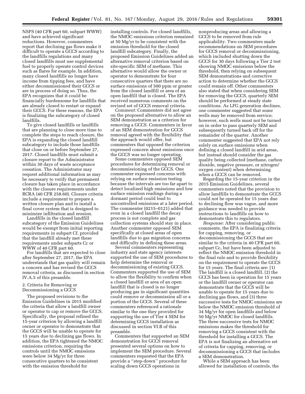NSPS (40 CFR part 60, subpart WWW) and have achieved significant reductions. However, commenters report that declining gas flows make it difficult to operate a GCCS according to the landfills regulations and many closed landfills must use supplemental fuel to properly operate control devices such as flares for example. In addition, many closed landfills no longer have income from tipping fees, and have either decommissioned their GCCS or are in process of doing so. Thus, the EPA recognizes that it could be financially burdensome for landfills that are already closed to restart or expand their GCCS. For these reasons, the EPA is finalizing the subcategory of closed landfills.

To give closed landfills or landfills that are planning to close more time to complete the steps to reach closure, the EPA is expanding the closed landfill subcategory to include those landfills that close on or before September 27, 2017. Closed landfills must submit a closure report to the Administrator within 30 days of waste acceptance cessation. The Administrator may request additional information as may be necessary to verify that permanent closure has taken place in accordance with the closure requirements under RCRA (40 CFR 258.60). Closure criteria include a requirement to prepare a written closure plan and to install a final cover system that is designed to minimize infiltration and erosion.

Landfills in the closed landfill subcategory of the Emission Guidelines would be exempt from initial reporting requirements in subpart Cf, provided that the landfill already met these requirements under subparts Cc or WWW of 40 CFR part 60.

For landfills that are expected to close after September 27, 2017, the EPA understands that gas quality will remain a concern and has revised the GCCS removal criteria, as discussed in section IV.A.5 of this preamble.

# 2. Criteria for Removing or Decommissioning a GCCS

The proposed revisions to the Emission Guidelines in 2015 modified the criteria that allow a landfill owner or operator to cap or remove the GCCS. Specifically, the proposal refined the 15-year criterion by allowing a landfill owner or operator to demonstrate that the GCCS will be unable to operate for 15 years due to declining gas flows. In addition, the EPA tightened the NMOC emissions criterion, requiring the controls until the NMOC emissions were below 34 Mg/yr for three consecutive quarters to be consistent with the emission threshold for

installing controls. For closed landfills, the NMOC emissions criterion remained at 50 Mg/yr to be consistent with the emission threshold for the closed landfill subcategory. Finally, the proposed Emission Guidelines added an alternative removal criterion based on site-specific SEM of methane. This alternative would allow the owner or operator to demonstrate for four consecutive quarters that there are no surface emissions of 500 ppm or greater from the closed landfill or area of an open landfill that is closed. The EPA received numerous comments on the revised set of GCCS removal criteria.

*Comment:* Commenters did not agree on the proposed alternative to allow an SEM demonstration as a criterion for removing a GCCS. Commenters in favor of an SEM demonstration for GCCS removal agreed with the flexibility that the approach would offer, but commenters that opposed the criterion expressed concern about emissions once the GCCS was no longer operating.

Some commenters opposed SEM procedures for determining removal or decommissioning of the GCCS. One commenter expressed concerns with relying on surface emission testing because the intervals are too far apart to detect localized high emissions and low surface emission readings during a dormant period could lead to uncontrolled emissions at a later period. The commenter (0215–0121) added that even in a closed landfill the decay process is not complete and gas collection systems should stay in place. Another commenter opposed SEM specifically at closed areas of open landfills due to gas migration concerns and difficulty in defining these areas.

Several commenters representing industry and state agency interests supported the use of SEM procedures to help determine the removal or decommissioning of existing GCCS. Commenters supported the use of SEM to allow the flexibility to confirm when a closed landfill or area of an open landfill that is closed is no longer producing gas in significant quantities could remove or decommission all or a portion of the GCCS. Several of these commenters referenced a rationale similar to the one they provided for supporting the use of Tier 4 SEM for determining GCCS installation as discussed in section VI.B of this preamble.

Commenters that supported an SEM demonstration for GCCS removal presented several options on how to implement the SEM procedure. Several commenters requested that the EPA provide a ''step-down'' procedure for scaling down GCCS operations in

nonproducing areas and allowing a GCCS to be removed from rule applicability. Two commenters made recommendations on SEM procedures for GCCS removal or decommissioning, which included shutting down the GCCS for 30 days following a Tier 2 test showing NMOC emissions below the threshold, then relying on subsequent SEM demonstrations and corrective action to determine whether the GCCS could remain off. Other commenters also stated that when considering SEM for removing the GCCS, quarterly SEM should be performed at steady state conditions. As LFG generation declines, one commenter suggested that some wells may be removed from service; however, such wells must not be turned on in order to pass quarterly SEM and subsequently turned back off for the remainder of the quarter. Another commenter suggested that EPA not rely solely on surface emissions when defining a closed landfill in arid areas, but instead should consider the gas quality being collected (methane, carbon dioxide, negative pressure, or nitrogen/ oxygen content) when determining when a GCCS can be removed.

Regarding the 15-year criterion in the 2015 Emission Guidelines, several commenters noted that the provision to allow landfills to demonstrate the GCCS could not be operated for 15 years due to declining flow was vague, and more guidance was needed to provide instructions to landfills on how to demonstrate this to regulators.

*Response:* After considering public comments, the EPA is finalizing criteria for capping, removing, or decommissioning the GCCS that are similar to the criteria in 40 CFR part 60, subpart Cc, but have been adjusted to reflect the NMOC emission threshold in the final rule and to provide flexibility on the requirement to operate the GCCS for 15 years. The final criteria are: (1) The landfill is a closed landfill, (2) the GCCS has been in operation for 15 years or the landfill owner or operator can demonstrate that the GCCS will be unable to operate for 15 years due to declining gas flows, and (3) three successive tests for NMOC emissions are below the NMOC emission threshold of 34 Mg/yr for open landfills and below 50 Mg/yr NMOC for closed landfills. The three successive tests for NMOC emissions makes the threshold for removing a GCCS consistent with the threshold for installing a GCCS. The EPA is not finalizing an alternative set of criteria for capping, removing, or decommissioning a GCCS that includes a SEM demonstration.

While a SEM approach has been allowed for installation of controls, the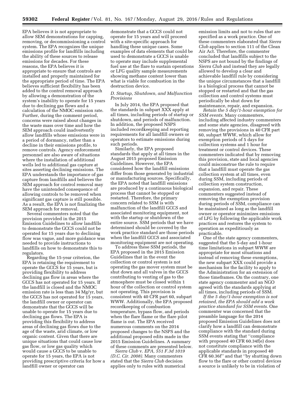EPA believes it is not appropriate to allow SEM demonstrations for capping, removing, or decommissioning a control system. The EPA recognizes the unique emissions profile for landfills including the ability of these sources to release emissions for decades. For these reasons, the EPA believes it is appropriate to ensure that controls are installed and properly maintained for the appropriate period of time. The EPA believes sufficient flexibility has been added to the control removal approach by allowing a demonstration of the system's inability to operate for 15 years due to declining gas flows and a calculation of the NMOC emission rate. Further, during the comment period, concerns were raised about changes in the waste mass over time and how the SEM approach could inadvertently allow landfills whose emissions were in a period of dormancy, rather than a decline in their emissions profile, to remove controls. Agency enforcement personnel are also aware of situations where the installation of additional wells led to additional gas capture at sites asserting declining emissions. The EPA understands the importance of gas capture from landfills and believes the SEM approach for control removal may have the unintended consequence of allowing controls to be removed when significant gas capture is still possible. As a result, the EPA is not finalizing the SEM approach for removal.

Several commenters noted that the provision provided in the 2015 Emission Guidelines to allow landfills to demonstrate the GCCS could not be operated for 15 years due to declining flow was vague, and more guidance was needed to provide instructions to landfills on how to demonstrate this to regulators.

Regarding the 15-year criterion, the EPA is retaining the requirement to operate the GCCS for 15 years, but is providing flexibility to address declining gas flow in areas where the GCCS has not operated for 15 years. If the landfill is closed and the NMOC emission rate is less than 34 Mg/yr, but the GCCS has not operated for 15 years, the landfill owner or operator can demonstrate that the GCCS will be unable to operate for 15 years due to declining gas flows. The EPA is providing this flexibility to address areas of declining gas flows due to the age of the waste, arid climate, or low organic content. Given that there are unique situations that could cause low gas flow, or low gas quality which would cause a GCCS to be unable to operate for 15 years, the EPA is not providing prescriptive criteria for how a landfill owner or operator can

demonstrate that a GCCS could not operate for 15 years and will proceed with a site-specific approach for handling these unique cases. Some examples of data elements that could be used to demonstrate a GCCS is unable to operate may include supplemental fuel use at the flare to sustain operations or LFG quality sample measurements showing methane content lower than what is viable for combustion in the destruction device.

# *D. Startup, Shutdown, and Malfunction Provisions*

In July 2014, the EPA proposed that the standards in subpart XXX apply at all times, including periods of startup or shutdown, and periods of malfunction. In addition, the proposed NSPS included recordkeeping and reporting requirements for all landfill owners or operators to estimate emissions during such periods.

Similarly, the EPA proposed standards that apply at all times in the August 2015 proposed Emission Guidelines. However, the EPA considered how the landfill emissions differ from those generated by industrial or manufacturing sources. Specifically, the EPA noted that landfill emissions are produced by a continuous biological process that cannot be stopped or restarted. Therefore, the primary concern related to SSM is with malfunction of the landfill GCCS and associated monitoring equipment, not with the startup or shutdown of the entire source. SSM periods that we have determined should be covered by the work practice standard are those periods when the landfill GCCS and associated monitoring equipment are not operating.

To address these SSM periods, the EPA proposed in the 2015 Emission Guidelines that in the event the collection or control system is not operating the gas mover system must be shut down and all valves in the GCCS contributing to venting of gas to the atmosphere must be closed within 1 hour of the collection or control system not operating. This provision is consistent with 40 CFR part 60, subpart WWW. Additionally, the EPA proposed recordkeeping of combustion temperature, bypass flow, and periods when the flare flame or the flare pilot flame is out. The EPA received numerous comments on the 2014 proposed changes to the NSPS and the additional proposed edits made in the 2015 Emission Guidelines. A summary of these comments are presented below.

*Sierra Club* v. *EPA, 551 F.3d 1019 (D.C. Cir. 2008).* Many commenters stated that the *Sierra Club* decision applies only to rules with numerical

emission limits and not to rules that are specified as a work practice. One of these commenters elaborated that *Sierra Club* applies to section 111 of the Clean Air Act. Therefore, the commenter concluded that landfills subject to the NSPS are not bound by the findings of *Sierra Club* and instead they are legally allowed to develop a clear and achievable landfill rule by considering the unique circumstances that a landfill is a biological process that cannot be stopped or restarted and that the gas collection and control systems must periodically be shut down for maintenance, repair, and expansion.

*Retain the 5 day/1-hour exemption for SSM events.* Many commenters, including affected industry commenters and some state agencies, disagreed with removing the provisions in 40 CFR part 60, subpart WWW, which allow for exemption periods of 5 days for collection systems and 1 hour for treatment or control devices. These commenters indicated that by removing this provision, state and local agencies could misconstrue the rule to require that a landfill must operate the gas collection system at all times, even during SSM, including periods of collection system construction, expansion, and repair. These commenters suggested instead of removing the exemption provision during periods of SSM, compliance can be maintained as long as the landfill owner or operator minimizes emissions of LFG by following the applicable work practices and restores the system to operation as expeditiously as practicable.

One of the state agency commenters, suggested that the 5-day and 1-hour time limitations in subpart WWW are appropriate for most situations and instead of removing these exemptions, the new subpart XXX could provide a mechanism for the facility to apply to the Administration for an extension of those timeframes. On the contrary, one state agency commenter and an NGO agreed with the standards applying at all times, including periods of SSM.

*If the 5 day/1-hour exemption is not retained, the EPA should add a work practice standard for SSM events.* One commenter was concerned that the preamble language for the 2014 proposed Emission Guidelines does not clarify how a landfill can demonstrate compliance with the standard during SSM events stating that ''compliance with proposed 40 CFR 60.34f(e) does not constitute compliance with the applicable standards in proposed 40 CFR 60.36f'' and that ''by shutting down flow to the flare or other control devices a source is unlikely to be in violation of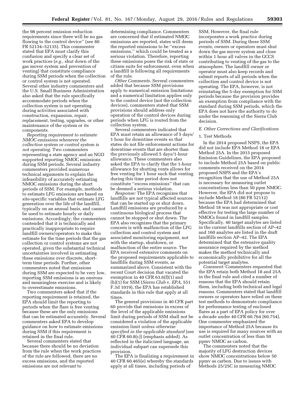the 98 percent emission reduction requirements since there will be no gas flowing to the control device'' (see 80 FR 52134–52135). This commenter stated that EPA must clarify this confusion and specify a clear set of work practices (*e.g.,* shut down of the gas mover system and prevention of venting) that constitute compliance during SSM periods when the collection or control system is not operated. Several other industry commenters and the U.S. Small Business Administration also asked that the rule specifically accommodate periods when the collection system is not operating during activities associated with construction, expansion, repair, replacement, testing, upgrades, or other maintenance of the system or its components.

*Reporting requirement to estimate NMOC emissions whenever the collection system or control system is not operating.* Two commenters representing a state agency and an NGO supported reporting NMOC emissions during SSM periods. Several industry commenters provided numerous technical arguments to explain the infeasibility of accurately estimating NMOC emissions during the short periods of SSM. For example, methods to estimate LFG emissions are based on site-specific variables that estimate LFG generation over the life of the landfill, typically on an annual basis, and cannot be used to estimate hourly or daily emissions. Accordingly, the commenters contended that it is technically and practically inappropriate to require landfill owners/operators to make this estimate for the time periods that the gas collection or control systems are not operated, given the substantial technical uncertainties involved in estimating these emissions over discrete, shortterm time periods. Further, other commenters noted that emissions during SSM are expected to be very low, reporting SSM emissions is an onerous and meaningless exercise and is likely to overestimate emissions.

Two commenters asked that if the reporting requirement is retained, the EPA should limit the reporting to periods when the flare is free venting because these are the only emissions that can be estimated accurately. Several commenters asked EPA to develop guidance on how to estimate emissions during SSM if this requirement is retained in the final rule.

Several commenters stated that because there should be no deviation from the rule when the work practices of the rule are followed, there are no excess emissions, and the reported emissions are not relevant to

determining compliance. Commenters are concerned that if estimated NMOC emissions are reported, states will deem the reported emissions to be ''excess emissions,'' which could be treated as a serious violation. Therefore, reporting these emissions poses the risk of state or citizen suits for enforcement, even when a landfill is following all requirements of the rule.

*Other Comments.* Several commenters added that because SSM provisions apply to numerical emission limitations and a numerical limitation applies only to the control device (not the collection devices), commenters stated that SSM provisions should address only operation of the control devices during periods when LFG is routed from the collection system.

Several commenters indicated that EPA must retain an allowance of 5 days/ 1 hour for downtime events so that states do not file enforcement actions for downtime events that are shorter than the previously allowed 5 days/1-hour allowance. These commenters also asked the EPA to clarify that the 1-hour allowance for shutting vents allows for free venting for 1 hour such that venting during this time period does not constitute ''excess emissions'' that can be deemed a serious violation.

*Response:* The EPA recognizes that landfills are not typical affected sources that can be started up or shut down. Landfill emissions are produced by a continuous biological process that cannot be stopped or shut down. The EPA also recognizes that the primary concern is with malfunction of the LFG collection and control system and associated monitoring equipment, not with the startup, shutdown, or malfunction of the entire source. The EPA received extensive comments on the proposed requirements applicable to landfills during SSM events, as summarized above. Consistent with the recent Court decision that vacated the exemption in 40 CFR 63.6(f)(1) and (h)(1) for SSM (*Sierra Club* v. *EPA,* 551 F.3d 1019), the EPA has established standards in this rule that apply at all times.

The general provisions in 40 CFR part 60 provide that emissions in excess of the level of the applicable emissions limit during periods of SSM shall not be considered a violation of the applicable emission limit *unless otherwise specified in the applicable standard* (see 40 CFR 60.8(c)) (emphasis added). As reflected in the italicized language, an individual subpart can supersede this provision.

The EPA is finalizing a requirement in 40 CFR 60.465(e) whereby the standards apply at all times, including periods of

SSM. However, the final rule incorporates a work practice during periods of SSM. During these SSM events, owners or operators must shut down the gas mover system and close within 1 hour all valves in the GCCS contributing to venting of the gas to the atmosphere. The landfill owner or operator must also keep records and submit reports of all periods when the collection and control device is not operating. The EPA, however, is not reinstating the 5-day exemption for SSM periods because the provision provides an exemption from compliance with the standard during SSM periods, which the EPA does not have the authority to do under the reasoning of the Sierra Club decision.

#### *E. Other Corrections and Clarifications*

#### 1. Test Methods

In the 2014 proposed NSPS, the EPA did not include EPA Method 18 or EPA Method 25A. In the 2015 proposed Emission Guidelines, the EPA proposed to include Method 25A based on public comments received on the 2014 proposed NSPS and the EPA's recognition that the use of Method 25A is necessary for measuring outlet concentrations less than 50 ppm NMOC. However, the EPA did not propose to include Method 18 (80 FR 52112) because the EPA had determined that Method 18 was not appropriate or cost effective for testing the large number of NMOCs found in landfill samples. Specifically, 40 target analytes are listed in the current landfills section of AP–42 and 160 analytes are listed in the draft landfills section AP–42. The EPA determined that the extensive quality assurance required by the method makes the method technically and economically prohibitive for all the potential target analytes.

*Comment:* Commenters requested that the EPA retain both Method 18 and 25A in the final rule and cited a number of reasons that the EPA should retain them, including both technical and legal reasons. Commenters stated that landfill owners or operators have relied on these test methods to demonstrate compliance for performance testing of enclosed flares as a part of EPA policy for over a decade under 40 CFR 60.764 [60.754]. One commenter emphasized the importance of Method 25A because its use is required for many sources with an outlet concentration of less than 50 ppmv NMOC as carbon.

The commenters noted that the majority of LFG destruction devices show NMOC concentrations below 50 ppmv as carbon. Due to issues with Methods 25/25C in measuring NMOC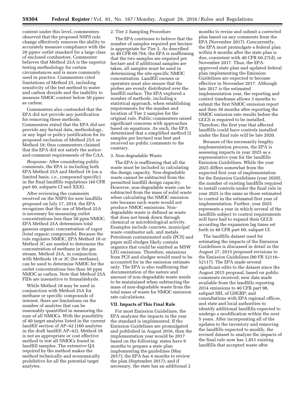content under this level, commenters observed that the proposed NSPS rule change effectively removes the ability to accurately measure compliance with the 20 ppmv outlet standard for a large class of enclosed combustors. Commenter believes that Method 25A is the superior testing methodology for certain circumstances and is more commonly used in practice. Commenters cited limitations of Method 25, including sensitivity of the test method to water and carbon dioxide and the inability to measure NMOC content below 50 ppmv as carbon.

Commenters also contended that the EPA did not provide any justification for removing these methods. Commenters stated that the EPA did not provide any factual data, methodology, or any legal or policy justification for its proposed exclusion of Method 25A or Method 18; thus commenters claimed that the EPA did not satisfy the noticeand-comment requirements of the CAA.

*Response:* After considering public comments, the EPA is including both EPA Method 25A and Method 18 (on a limited basis, *i.e.,* compound specific) in the final landfills regulations (40 CFR part 60, subparts Cf and XXX).

After reviewing the comments received on the NSPS for new landfills proposed on July 17, 2014, the EPA recognizes that the use of Method 25A is necessary for measuring outlet concentrations less than 50 ppm NMOC. EPA Method 25A determines total gaseous organic concentration of vapor (total organic compounds). Because the rule regulates NMOC, EPA Method 18 or Method 3C are needed to determine the concentration of methane in the gas stream. Method 25A, in conjunction with Methods 18 or 3C (for methane), can be used to determine NMOC for the outlet concentrations less than 50 ppm NMOC as carbon. Note that Method 25A FIDs are insensitive to formaldehyde.

While Method 18 may be used in conjunction with Method 25A for methane or specific compounds of interest, there are limitations on the number of analytes that can be reasonably quantified in measuring the sum of all NMOCs. With the possibility of 40 target analytes listed in the current landfill section of AP–42 (160 analytes in the draft landfill AP–42), Method 18 is not an appropriate or cost effective method to test all NMOCs found in landfill samples. The extensive QA required by the method makes the method technically and economically prohibitive for all the potential target analytes.

# 2. Tier 2 Sampling Procedure

The EPA continues to believe that the number of samples required per hectare is appropriate for Tier 2. As described in 40 CFR 60.764, the EPA is reaffirming that the two samples are required per hectare and if additional samples are taken, all samples must be used in determining the site-specific NMOC concentration. Landfill owners or operators must also ensure that the probes are evenly distributed over the landfill surface. The EPA explored a number of methods, including a statistical approach, when establishing requirements for the number and location of Tier 2 samples for the original rule. Public commenters raised significant concerns with approaches based on equations. As such, the EPA determined that a simplified method (2 samples per hectare) was best and received no public comments to the contrary.

#### 3. Non-degradable Waste

The EPA is reaffirming that all the waste must be included in calculating the design capacity. Non-degradable waste cannot be subtracted from the permitted landfill design capacity. However, non-degradable waste can be subtracted from the mass of solid waste when calculating the NMOC emission rate because such waste would not produce NMOC emissions. Nondegradable waste is defined as waste that does not break down through chemical or microbiological activity. Examples include concrete, municipal waste combustor ash, and metals. Petroleum contaminated soils (PCS) and paper mill sludges likely contain organics that could be emitted as MSW LFG emissions. Therefore, emissions from PCS and sludges would need to be accounted for in the emission estimate only. The EPA is also reaffirming that documentation of the nature and amount of non-degradable waste needs to be maintained when subtracting the mass of non-degradable waste from the total mass of waste for NMOC emission rate calculations.

#### **VII. Impacts of This Final Rule**

For most Emission Guidelines, the EPA analyzes the impacts in the year the standard is implemented. If the Emission Guidelines are promulgated and published in August 2016, then the implementation year would be 2017 based on the following: states have 9 months to prepare a state plan implementing the guidelines (May 2017); the EPA has 4 months to review the plan (September 2017); and if necessary, the state has an additional 2

months to revise and submit a corrected plan based on any comments from the EPA (November 2017). Concurrently, the EPA must promulgate a federal plan within 6 months after the state plan is due, consistent with 40 CFR 60.27(d), or November 2017. Thus, the EPAapproved state plan and updated federal plan implementing the Emission Guidelines are expected to become effective in November 2017. Although late 2017 is the estimated implementation year, the reporting and control timeframe allows 3 months to submit the first NMOC emission report and then 30 months after reporting the NMOC emission rate results before the GCCS is required to be installed. Therefore, the first year that affected landfills could have controls installed under the final rule will be late 2020.

Because of the necessarily lengthy implementation process, the EPA is assessing impacts in year 2025 as a representative year for the landfills Emission Guidelines. While the year 2025 differs somewhat from the expected first year of implementation for the Emission Guidelines (year 2020), the number of existing landfills required to install controls under the final rule in year 2025 is the same as those estimated to control in the estimated first year of implementation. Further, year 2025 represents a year in which several of the landfills subject to control requirements will have had to expand their GCCS according the expansion lag times set forth in 40 CFR part 60, subpart Cf.

The landfills dataset used for estimating the impacts of the Emission Guidelines is discussed in detail in the August 27, 2015 proposed revisions to the Emission Guidelines (80 FR 52116– 52117). The EPA made several significant edits to the dataset since the August 2015 proposal, based on public comments received; new data made available from the landfills reporting 2014 emissions to 40 CFR part 98, subpart HH, of GHGRP; and consultations with EPA regional offices, and state and local authorities to identify additional landfills expected to undergo a modification within the next 5 years. After incorporating all of the updates to the inventory and removing the landfills expected to modify, the revised dataset to analyze the impacts of the final rule now has 1,851 existing landfills that accepted waste after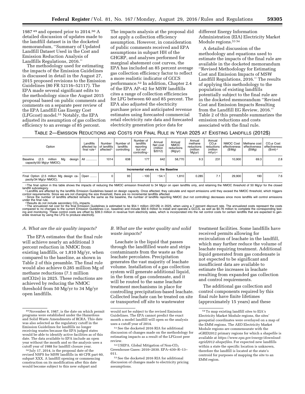1987 49 and opened prior to 2014.50 A detailed discussion of updates made to the landfill dataset is in the docketed memorandum, ''Summary of Updated Landfill Dataset Used in the Cost and Emission Reduction Analysis of Landfills Regulations, 2016.''

The methodology used for estimating the impacts of the Emission Guidelines is discussed in detail in the August 27, 2015 proposed revisions to the Emission Guidelines (80 FR 52116–52117). The EPA made several significant edits to the methodology since the August 2015 proposal based on public comments and comments on a separate peer review of the EPA Landfill Gas Energy Cost (LFGcost) model.51 Notably, the EPA adjusted its assumption of gas collection efficiency to an average of 85 percent.

The impacts analysis at the proposal did not apply a collection efficiency assumption. However, in consideration of public comments received and EPA assumptions in subpart HH of the GHGRP, and analyses performed for marginal abatement cost curves, the EPA has included an 85 percent average gas collection efficiency factor to reflect a more realistic indicator of GCCS performance.52 In addition, Chapter 2.4 of the EPA AP–42 for MSW landfills cites a range of collection efficiencies for LFG between 60 and 85 percent. The EPA also adjusted the electricity purchase price and anticipated revenue estimates using forecasted commercial retail electricity rate data and forecasted electricity generation price data for

different Energy Information Administration (EIA) Electricity Market Module regions.<sup>53</sup> 54

A detailed discussion of the methodology and equations used to estimate the impacts of the final rule are available in the docketed memorandum ''Revised Methodology for Estimating Cost and Emission Impacts of MSW Landfill Regulations, 2016.'' The results of applying this methodology to the population of existing landfills potentially subject to the final rule are in the docketed memorandum ''Revised Cost and Emission Impacts Resulting from the Landfill EG Review, 2016.'' Table 2 of this preamble summarizes the emission reductions and costs associated with the final rule.

# TABLE 2—EMISSION REDUCTIONS AND COSTS FOR FINAL RULE IN YEAR 2025 AT EXISTING LANDFILLS (2012\$)

| Option                                                                   | Landfills<br>affected by<br>final rule <sup>a</sup> | Number<br>of landfills<br>affected <sup>b</sup> | Number of<br>landfills<br>controlling | Number of<br>landfills<br>reporting<br>but not<br>controlling <sup>c</sup> | Annual<br>Net cost<br>(million<br>\$2012) | Annual<br><b>NMOC</b><br>reductions<br>(Mg\yr) | Annual<br>methane<br>reductions<br>(million | Annual<br>CO <sub>2</sub> e<br>reductions<br>(million | NMOC Cost<br>effectiveness<br>$(S\backslash\text{Mq})$ | Methane cost<br>effectiveness<br>$(S\backslash\text{Mq})$ | CO <sub>2</sub> e Cost<br>effectiveness<br>$($\mathbb{R})^d$ |
|--------------------------------------------------------------------------|-----------------------------------------------------|-------------------------------------------------|---------------------------------------|----------------------------------------------------------------------------|-------------------------------------------|------------------------------------------------|---------------------------------------------|-------------------------------------------------------|--------------------------------------------------------|-----------------------------------------------------------|--------------------------------------------------------------|
| (2.5)<br>Mq<br>million<br>Baseline<br>design<br>capacity\50 Mg\yr NMOC). | All                                                 | 1014                                            | 638                                   | 177                                                                        | 642                                       | 58.770                                         | Mg\yr)<br>9.3                               | $m t \ yr$ ) <sup>d</sup><br>231                      | 10.900                                                 | 69.3                                                      | 2.8                                                          |
| Incremental values vs. the Baseline                                      |                                                     |                                                 |                                       |                                                                            |                                           |                                                |                                             |                                                       |                                                        |                                                           |                                                              |
| Final Option (2.5 million Mg design ca-<br>pacity/34 Mg/yr NMOC).        | Open                                                | 0                                               | 93                                    | $-100$                                                                     | $e$ 54.1                                  | 1.810                                          | 0.285                                       | 7.1                                                   | 29,900                                                 | 190                                                       | 7.6                                                          |

aThe final option in this table shows the impacts of reducing the NMOC emission threshold to 34 Mg/yr on open landfills only, and retaining the NMOC threshold of 50 Mg/yr for the closed landfill subcategory.<br>D Landfills are affected by the landfills Emission Guidelines based on design capacity. Once affected, they calculate and report emissions until they exceed the NMOC threshold, which triggers

control requirements. Since we are not changing the size threshold, there are no incremental landfills affected.<br>Since the number of landfills affected remains the same as the baseline, the number of landfills reporting NM

under the final rule.<br>"Results do not include secondary CO<sub>2</sub> impacts.<br>"The annualized net cost for the final Emission Guidelines is estimated to be \$54.1 million (2012\$) in 2025, when using a 7 percent discount rate. The ing and monitoring. These control costs are offset by \$39.3 million in revenue from electricity sales, which is incorporated into the net control costs for certain landfills that are expected to generate revenue by using the LFG to produce electricity

# *A. What are the air quality impacts?*

The EPA estimates that the final rule will achieve nearly an additional 3 percent reduction in NMOC from existing landfills, or 1,810 Mg/yr, when compared to the baseline, as shown in Table 2 of this preamble. The final rule would also achieve 0.285 million Mg of methane reductions (7.1 million mtCO2e) in 2025. These reductions are achieved by reducing the NMOC threshold from 50 Mg/yr to 34 Mg/yr open landfills.

# *B. What are the water quality and solid waste impacts?*

Leachate is the liquid that passes through the landfilled waste and strips contaminants from the waste as the leachate percolates. Precipitation generates the vast majority of leachate volume. Installation of a gas collection system will generate additional liquid, in the form of gas condensate, and it will be routed to the same leachate treatment mechanisms in place for controlling precipitation-based leachate. Collected leachate can be treated on site or transported off site to wastewater

treatment facilities. Some landfills have received permits allowing for recirculation of leachate in the landfill, which may further reduce the volume of leachate requiring treatment. Additional liquid generated from gas condensate is not expected to be significant and insufficient data are available to estimate the increases in leachate resulting from expanded gas collection and control requirements.

The additional gas collection and control components required by this final rule have finite lifetimes (approximately 15 years) and these

<sup>49</sup>November 8, 1987, is the date on which permit programs were established under the Hazardous and Solid Waste Amendments of RCRA. This date was also selected as the regulatory cutoff in the Emission Guidelines for landfills no longer receiving wastes because the EPA judged states would be able to identify active facilities as of this date. The data available to EPA include an open year without the month and so the analysis uses a cutoff year of 1988 for landfill closure year.

<sup>50</sup> July 17, 2014, is the proposal date of the revised NSPS for MSW landfills in 40 CFR part 60, subpart XXX. A landfill opening or commencing construction on its modification after this date would become subject to this new subpart and

would not be subject to the revised Emission Guidelines. The EPA cannot predict the exact month a model landfill will open so the analysis uses a cutoff year of 2014.

<sup>51</sup>See the docketed 2016 RIA for additional discussion of changes made on the methodology for estimating impacts as a result of the LFGcost peer review.

<sup>&</sup>lt;sup>52</sup> USEPA. Global Mitigation of Non-CO<sub>2</sub> Greenhouse Gases: 2010–2030. EPA–430–R–13– 011.

 $^{53}\rm{See}$  the docketed 2016 RIA for additional discussion of changes made to electricity pricing assumptions.

<sup>54</sup>To map existing landfill sites to EIA's Electricity Market Module regions, the sites' geospatial coordinates were overlayed on a map of the EMM regions. The AEO Electricity Market Module regions are commensurate with the eGRID2012 primary regions for which a shapefile is available at *[https://www.epa.gov/energy/download](https://www.epa.gov/energy/download-egrid2012-shapefiles)[egrid2012-shapefiles.](https://www.epa.gov/energy/download-egrid2012-shapefiles)* For expected new landfills within a state the specific location is unknown, therefore the landfill is located at the state's centroid for purposes of mapping the site to an EMM region.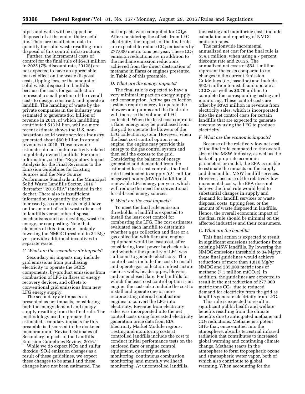pipes and wells will be capped or disposed of at the end of their useful life. There are insufficient data to quantify the solid waste resulting from disposal of this control infrastructure.

Further, the incremental costs of control for the final rule of \$54.1 million in 2025 (7% discount rate, 2012\$) are not expected to have an appreciable market effect on the waste disposal costs, tipping fees, or the amount of solid waste disposed in landfills because the costs for gas collection represent a small portion of the overall costs to design, construct, and operate a landfill. The handling of waste by the private companies in the industry was estimated to generate \$55 billion of revenue in 2011, of which landfilling contributed \$13 billion, while a more recent estimate shows the U.S. nonhazardous solid waste services industry generated about \$60 billion in annual revenues in 2015. These revenue estimates do not include activity related to publicly owned landfills. For more information, see the ''Regulatory Impact Analysis for the Final Revisions to the Emission Guidelines for Existing Sources and the New Source Performance Standards in the Municipal Solid Waste Landfills Sector, 2016'' (hereafter ''2016 RIA'') included in the docket. There also is insufficient information to quantify the effect increased gas control costs might have on the amount of solid waste disposed in landfills versus other disposal mechanisms such as recycling, waste-toenergy, or composting. Note that elements of this final rule—notably lowering the NMOC threshold to 34 Mg/ yr—provide additional incentives to separate waste.

#### *C. What are the secondary air impacts?*

Secondary air impacts may include grid emissions from purchasing electricity to operate the GCCS components, by-product emissions from combustion of LFG in flares or energy recovery devices, and offsets to conventional grid emissions from new LFG energy supply.

The secondary air impacts are presented as net impacts, considering both the energy demand and energy supply resulting from the final rule. The methodology used to prepare the estimated secondary impacts for this preamble is discussed in the docketed memorandum ''Revised Estimates of Secondary Impacts of the Landfills Emission Guidelines Review, 2016.''

While we do expect NOx and sulfur  $divide (SO<sub>2</sub>)$  emission changes as a result of these guidelines, we expect these changes to be small and these changes have not been estimated. The

net impacts were computed for CO<sub>2</sub>e. After considering the offsets from LFG electricity, the impacts of the final rule are expected to reduce  $CO<sub>2</sub>$  emissions by 277,000 metric tons per year. These  $CO<sub>2</sub>$ emission reductions are in addition to the methane emission reductions achieved from the direct destruction of methane in flares or engines presented in Table 2 of this preamble.

#### *D. What are the energy impacts?*

The final rule is expected to have a very minimal impact on energy supply and consumption. Active gas collection systems require energy to operate the blowers and pumps and the final rule will increase the volume of LFG collected. When the least cost control is a flare, energy may be purchased from the grid to operate the blowers of the LFG collection system. However, when the least cost control option is an engine, the engine may provide this energy to the gas control system and then sell the excess to the grid. Considering the balance of energy generated and demanded from the estimated least cost controls, the final rule is estimated to supply 0.51 million megawatt hours (MWh) of additional renewable LFG energy per year, which will reduce the need for conventional fossil-based energy sources.

#### *E. What are the cost impacts?*

To meet the final rule emission thresholds, a landfill is expected to install the least cost control for combusting the LFG. The cost estimates evaluated each landfill to determine whether a gas collection and flare or a gas collection with flare and engine equipment would be least cost, after considering local power buyback rates and whether the quantity of LFG was sufficient to generate electricity. The control costs include the costs to install and operate gas collection infrastructure such as wells, header pipes, blowers, and an enclosed flare. For landfills for which the least cost control option is an engine, the costs also include the cost to install and operate one or more reciprocating internal combustion engines to convert the LFG into electricity. Revenue from electricity sales was incorporated into the net control costs using forecasted electricity generation price data from EIA Electricity Market Module regions. Testing and monitoring costs at controlled landfills include the cost to conduct initial performance tests on the enclosed flare or engine control equipment, quarterly surface monitoring, continuous combustion monitoring, and monthly wellhead monitoring. At uncontrolled landfills,

the testing and monitoring costs include calculation and reporting of NMOC emission rates.

The nationwide incremental annualized net cost for the final rule is \$54.1 million, when using a 7 percent discount rate and 2012\$. The annualized net costs of \$54.1 million represent the costs compared to no changes to the current Emission Guidelines (*i.e.,* baseline) and include \$92.6 million to install and operate a GCCS, as well as \$0.76 million to complete the corresponding testing and monitoring. These control costs are offset by \$39.3 million in revenue from electricity sales, which is incorporated into the net control costs for certain landfills that are expected to generate revenue by using the LFG to produce electricity.

#### *F. What are the economic impacts?*

Because of the relatively low net cost of the final rule compared to the overall size of the MSW industry, as well as the lack of appropriate economic parameters or model, the EPA is unable to estimate the impacts on the supply and demand for MSW landfill services. However, because of the relatively low incremental costs, the EPA does not believe the final rule would lead to substantial changes in supply and demand for landfill services or waste disposal costs, tipping fees, or the amount of waste disposed in landfills. Hence, the overall economic impact of the final rule should be minimal on the affected industries and their consumers.

#### *G. What are the benefits?*

This final action is expected to result in significant emissions reductions from existing MSW landfills. By lowering the NMOC emissions threshold to 34 Mg/yr, these final guidelines would achieve reductions of more than 1,810 Mg/yr NMOC and 285,000 metric tons of methane  $(7.1 \text{ million mtCO}_2)$ . In addition, the guidelines are expected to result in the net reduction of 277,000 metric tons  $CO<sub>2</sub>$ , due to reduced demand for electricity from the grid as landfills generate electricity from LFG.

This rule is expected to result in significant public health and welfare benefits resulting from the climate benefits due to anticipated methane and CO2 reductions. Methane is a potent GHG that, once emitted into the atmosphere, absorbs terrestrial infrared radiation that contributes to increased global warming and continuing climate change. Methane reacts in the atmosphere to form tropospheric ozone and stratospheric water vapor, both of which also contribute to global warming. When accounting for the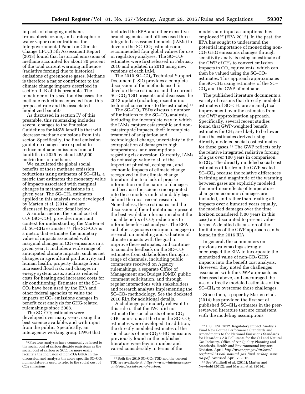impacts of changing methane, tropospheric ozone, and stratospheric water vapor concentrations, the Intergovernmental Panel on Climate Change (IPCC) 5th Assessment Report (2013) found that historical emissions of methane accounted for about 30 percent of the total current warming influence (radiative forcing) due to historical emissions of greenhouse gases. Methane is therefore a major contributor to the climate change impacts described in section III.B of this preamble. The remainder of this section discusses the methane reductions expected from this proposed rule and the associated monetized benefits.

As discussed in section IV of this preamble, this rulemaking includes several changes to the Emission Guidelines for MSW landfills that will decrease methane emissions from this sector. Specifically, the final emission guideline changes are expected to reduce methane emissions from all landfills in 2025 by about 285,000 metric tons of methane.

We calculated the global social benefits of these methane emission reductions using estimates of SC–CH<sub>4</sub>, a metric that estimates the monetary value of impacts associated with marginal changes in methane emissions in a given year. The SC–CH4 estimates applied in this analysis were developed by Marten et al. (2014) and are discussed in greater detail below.

A similar metric, the social cost of  $CO<sub>2</sub>$  (SC–CO<sub>2</sub>), provides important context for understanding the Marten et al. SC–CH<sub>4</sub> estimates.<sup>55</sup> The SC–CO<sub>2</sub> is a metric that estimates the monetary value of impacts associated with marginal changes in  $CO<sub>2</sub>$  emissions in a given year. It includes a wide range of anticipated climate impacts, such as net changes in agricultural productivity and human health, property damage from increased flood risk, and changes in energy system costs, such as reduced costs for heating and increased costs for air conditioning. Estimates of the SC– CO2 have been used by the EPA and other federal agencies to value the impacts of  $CO<sub>2</sub>$  emissions changes in benefit cost analysis for GHG-related rulemakings since 2008.

The SC– $CO<sub>2</sub>$  estimates were developed over many years, using the best science available, and with input from the public. Specifically, an interagency working group (IWG) that

included the EPA and other executive branch agencies and offices used three integrated assessment models (IAMs) to develop the SC–CO<sub>2</sub> estimates and recommended four global values for use in regulatory analyses. The  $SC$ – $CO<sub>2</sub>$ estimates were first released in February 2010 and updated in 2013 using new versions of each IAM.

The 2010  $SC$ – $CO<sub>2</sub>$  Technical Support Document (TSD) provides a complete discussion of the methods used to develop these estimates and the current SC–CO2 TSD presents and discusses the 2013 update (including recent minor technical corrections to the estimates).56

The  $SC$ – $CO<sub>2</sub>$  TSDs discuss a number of limitations to the  $SC$ – $CO<sub>2</sub>$  analysis, including the incomplete way in which the IAMs capture catastrophic and noncatastrophic impacts, their incomplete treatment of adaptation and technological change, uncertainty in the extrapolation of damages to high temperatures, and assumptions regarding risk aversion. Currently, IAMs do not assign value to all of the important physical, ecological, and economic impacts of climate change recognized in the climate change literature due to a lack of precise information on the nature of damages and because the science incorporated into these models understandably lags behind the most recent research. Nonetheless, these estimates and the discussion of their limitations represent the best available information about the social benefits of  $CO<sub>2</sub>$  reductions to inform benefit-cost analysis. The EPA and other agencies continue to engage in research on modeling and valuation of climate impacts with the goal to improve these estimates, and continue to consider feedback on the  $SC$ – $CO<sub>2</sub>$ estimates from stakeholders through a range of channels, including public comments received on Agency rulemakings, a separate Office of Management and Budget (OMB) public comment solicitation, and through regular interactions with stakeholders and research analysts implementing the SC–CO2 methodology. See the docketed 2016 RIA for additional details.

A challenge particularly relevant to this rule is that the IWG did not estimate the social costs of non- $CO<sub>2</sub>$ GHG emissions at the time the  $SC$ – $CO<sub>2</sub>$ estimates were developed. In addition, the directly modeled estimates of the social costs of non- $CO<sub>2</sub>$  GHG emissions previously found in the published literature were few in number and varied considerably in terms of the

models and input assumptions they employed 57 (EPA 2012). In the past, the EPA has sought to understand the potential importance of monetizing non-CO2 GHG emissions changes through sensitivity analysis using an estimate of the GWP of  $CH<sub>4</sub>$  to convert emission impacts to  $CO<sub>2</sub>$  equivalents, which can then be valued using the  $SC$ – $CO<sub>2</sub>$ estimates. This approach approximates the SC–CH4 using estimates of the SC–  $CO<sub>2</sub>$  and the GWP of methane.

The published literature documents a variety of reasons that directly modeled estimates of SC–CH4 are an analytical improvement over the estimates from the GWP approximation approach. Specifically, several recent studies found that GWP-weighted benefit estimates for CH4 are likely to be lower than the estimates derived using directly modeled social cost estimates for these gases.58 The GWP reflects only the relative integrated radiative forcing of a gas over 100 years in comparison to CO2. The directly modeled social cost estimates differ from the GWP-scaled SC–CO2 because the relative differences in timing and magnitude of the warming between gases are explicitly modeled, the non-linear effects of temperature change on economic damages are included, and rather than treating all impacts over a hundred years equally, the modeled damages over the time horizon considered (300 years in this case) are discounted to present value terms. A detailed discussion of the limitations of the GWP approach can be found in the 2016 RIA.

In general, the commenters on previous rulemakings strongly encouraged the EPA to incorporate the monetized value of non-CO<sub>2</sub> GHG impacts into the benefit cost analysis. However, they noted the challenges associated with the GWP approach, as discussed above, and encouraged the use of directly modeled estimates of the SC–CH4 to overcome those challenges.

Since then, a paper by Marten et al. (2014) has provided the first set of published SC–CH4 estimates in the peerreviewed literature that are consistent with the modeling assumptions

<sup>55</sup>Previous analyses have commonly referred to the social cost of carbon dioxide emissions as the social cost of carbon or SCC. To more easily facilitate the inclusion of non- $CO<sub>2</sub>$  GHGs in the discussion and analysis the more specific SC–CO2 nomenclature is used to refer to the social cost of CO<sub>2</sub> emissions.

 $^{56}\,$  Both the 2010 SC–CO $_2$  TSD and the current TSD are available at: *[https://www.whitehouse.gov/](https://www.whitehouse.gov/omb/oira/social-cost-of-carbon)  [omb/oira/social-cost-of-carbon.](https://www.whitehouse.gov/omb/oira/social-cost-of-carbon)* 

<sup>57</sup>U.S. EPA. 2012. Regulatory Impact Analysis Final New Source Performance Standards and Amendments to the National Emissions Standards for Hazardous Air Pollutants for the Oil and Natural Gas Industry. Office of Air Quality Planning and Standards, Health and Environmental Impacts Division. April. *[http://www.epa.gov/ttn/ecas/](http://www.epa.gov/ttn/ecas/regdata/RIAs/oil_natural_gas_final_neshap_nsps_ria.pdf) [regdata/RIAs/oil](http://www.epa.gov/ttn/ecas/regdata/RIAs/oil_natural_gas_final_neshap_nsps_ria.pdf)*\_*natural*\_*gas*\_*final*\_*neshap*\_*nsps*\_ *[ria.pdf.](http://www.epa.gov/ttn/ecas/regdata/RIAs/oil_natural_gas_final_neshap_nsps_ria.pdf)* Accessed April 7, 2016.

<sup>58</sup>See Waldhoff et al. (2011); Marten and Newbold (2012); and Marten et al. (2014).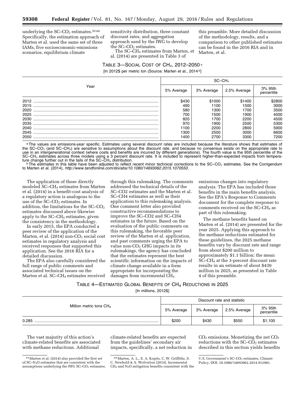underlying the  $SC$ – $CO<sub>2</sub>$  estimates.<sup>5960</sup> Specifically, the estimation approach of Marten et al. used the same set of three IAMs, five socioeconomic-emissions scenarios, equilibrium climate

sensitivity distribution, three constant discount rates, and aggregation approach used by the IWG to develop the  $SC$ – $CO<sub>2</sub>$  estimates.

The SC–CH4 estimates from Marten, et al. (2014) are presented in Table 3 of

this preamble. More detailed discussion of the methodology, results, and a comparison to other published estimates can be found in the 2016 RIA and in Marten, et al.

# TABLE  $3-$ Social Cost of CH $_4$ , 2012–2050  $^{\rm a}$

[In 2012\$ per metric ton (Source: Marten et al., 2014b]

|      | $SC-CH4$   |            |              |                       |  |  |
|------|------------|------------|--------------|-----------------------|--|--|
| Year | 5% Average | 3% Average | 2.5% Average | 3% 95th<br>percentile |  |  |
| 2012 | \$430      | \$1000     | \$1400       | 2800                  |  |  |
| 2015 | 490        | 1100       | 1500         | 3000                  |  |  |
| 2020 | 580        | 1300       | 1700         | 3500                  |  |  |
| 2025 | 700        | 1500       | 1900         | 4000                  |  |  |
| 2030 | 820        | 1700       | 2200         | 4500                  |  |  |
| 2035 | 970        | 1900       | 2500         | 5300                  |  |  |
| 2040 | 100        | 2200       | 2800         | 5900                  |  |  |
| 2045 | 1300       | 2500       | 3000         | 6600                  |  |  |
| 2050 | 1400       | 2700       | 3300         | 7200                  |  |  |

aThe values are emissions-year specific. Estimates using several discount rates are included because the literature shows that estimates of the SC–CO2 (and SC–CH4) are sensitive to assumptions about the discount rate, and because no consensus exists on the appropriate rate to use in an intergenerational context (where costs and benefits are incurred by different generations). The fourth value is the 95th percentile of the SC–CH<sub>4</sub> estimates across three models using a 3 percent discount rate. It is included to represent higher-than-expected impacts from tempera-<br>ture change further out in the tails of the SC–CH<sub>4</sub> distribution.

<sup>b</sup> The estimates in this table have been adjusted to reflect recent minor technical corrections to the SC–CO<sub>2</sub> estimates. See the Corrigendum to Marten et al. (2014), *[http://www.tandfonline.com/doi/abs/10.1080/14693062.2015.1070550.](http://www.tandfonline.com/doi/abs/10.1080/14693062.2015.1070550)* 

The application of these directly modeled SC–CH4 estimates from Marten et al. (2014) in a benefit-cost analysis of a regulatory action is analogous to the use of the  $SC$ – $CO<sub>2</sub>$  estimates. In addition, the limitations for the  $SC$ – $CO<sub>2</sub>$ estimates discussed above likewise apply to the  $SC-CH_4$  estimates, given the consistency in the methodology.

In early 2015, the EPA conducted a peer review of the application of the Marten, et al.  $(2014)$  non-CO<sub>2</sub> social cost estimates in regulatory analysis and received responses that supported this application. See the 2016 RIA for a detailed discussion.

The EPA also carefully considered the full range of public comments and associated technical issues on the Marten et al. SC–CH<sub>4</sub> estimates received

through this rulemaking. The comments addressed the technical details of the SC–CO2 estimates and the Marten et al. SC–CH4 estimates as well as their application to this rulemaking analysis. One comment letter also provided constructive recommendations to improve the SC–CO2 and SC–CH4 estimates in the future. Based on the evaluation of the public comments on this rulemaking, the favorable peer review of the Marten et al. application, and past comments urging the EPA to value non- $CO<sub>2</sub>$  GHG impacts in its rulemakings, the agency has concluded that the estimates represent the best scientific information on the impacts of climate change available in a form appropriate for incorporating the damages from incremental CH4

emissions changes into regulatory analysis. The EPA has included those benefits in the main benefits analysis. See the EPA's Response to Comments document for the complete response to comments received on the  $SC-CH<sub>4</sub>$  as part of this rulemaking.

The methane benefits based on Marten et al. (2014) are presented for the year 2025. Applying this approach to the methane reductions estimated for these guidelines, the 2025 methane benefits vary by discount rate and range from about \$200 million to approximately \$1.1 billion; the mean SC–CH4 at the 3-percent discount rate results in an estimate of about \$430 million in 2025, as presented in Table 4 of this preamble.

# TABLE 4—ESTIMATED GLOBAL BENEFITS OF  $CH_4$  Reductions in 2025

[In millions, 2012\$]

|                           | Discount rate and statistic |            |              |                       |  |
|---------------------------|-----------------------------|------------|--------------|-----------------------|--|
| Million metric tons $CH4$ | 5% Average                  | 3% Average | 2.5% Average | 3% 95th<br>percentile |  |
| 0.285                     | \$200                       | \$430      | \$550        | \$1,100               |  |

The vast majority of this action's climate-related benefits are associated with methane reductions. Additional

climate-related benefits are expected from the guidelines' secondary air impacts, specifically, a net reduction in

60Marten, A. L., E. A. Kopits, C. W. Griffiths, S. C. Newbold & A. Wolverton (2014). Incremental  $CH<sub>4</sub>$  and  $N<sub>2</sub>O$  mitigation benefits consistent with the

<sup>59</sup>Marten et al. (2014) also provided the first set of SC–N2O estimates that are consistent with the assumptions underlying the IWG  $SC$ – $CO<sub>2</sub>$  estimates.

 $CO<sub>2</sub>$  emissions. Monetizing the net  $CO<sub>2</sub>$ reductions with the SC–CO<sub>2</sub> estimates described in this section yields benefits

U.S. Government's SC-CO<sub>2</sub> estimates, Climate Policy, DOI: 10.1080/14693062.2014.912981.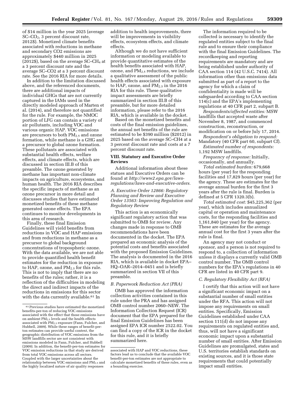of \$14 million in the year 2025 (average SC–CO2, 3 percent discount rate, 2012\$). Monetized climate benefits associated with reductions in methane and secondary CO2 emissions are approximately \$440 million in 2025  $(2012\$ ), based on the average SC–CH<sub>4</sub> at a 3 percent discount rate and the average SC–CO2 at a 3 percent discount rate. See the 2016 RIA for more details.

In addition to the limitation discussed above, and the referenced documents, there are additional impacts of individual GHGs that are not currently captured in the IAMs used in the directly modeled approach of Marten et al. (2014), and therefore not quantified for the rule. For example, the NMOC portion of LFG can contain a variety of air pollutants, including VOC and various organic HAP. VOC emissions are precursors to both  $PM_{2.5}$  and ozone formation, while methane is a GHG and a precursor to global ozone formation. These pollutants are associated with substantial health effects, welfare effects, and climate effects, which are discussed in section III.B of this preamble. The ozone generated by methane has important non-climate impacts on agriculture, ecosystems, and human health. The 2016 RIA describes the specific impacts of methane as an ozone precursor in more detail and discusses studies that have estimated monetized benefits of these methane generated ozone effects. The EPA continues to monitor developments in this area of research.

Finally, these final Emission Guidelines will yield benefits from reductions in VOC and HAP emissions and from reductions in methane as a precursor to global background concentrations of tropospheric ozone. With the data available, we are not able to provide quantified health benefit estimates for the reduction in exposure to HAP, ozone, and  $PM_{2.5}$  for this rule. This is not to imply that there are no benefits of the rules; rather, it is a reflection of the difficulties in modeling the direct and indirect impacts of the reductions in emissions for this sector with the data currently available.<sup>61</sup> In

addition to health improvements, there will be improvements in visibility effects, ecosystem effects, and climate effects.

Although we do not have sufficient information or modeling available to provide quantitative estimates of the health benefits associated with HAP, ozone, and  $PM<sub>2.5</sub>$  reductions, we include a qualitative assessment of the public health effects associated with exposure to HAP, ozone, and  $PM_{2.5}$  in the 2016 RIA for this rule. These qualitative impact assessments are briefly summarized in section III.B of this preamble, but for more detailed information, please refer to the 2016 RIA, which is available in the docket.

Based on the monetized benefits and costs of the final emission guidelines, the annual net benefits of the rule are estimated to be \$390 million (\$2012) in 2025 based on the average SC–CH4 at a 3 percent discount rate and costs at a 7 percent discount rate.

# **VIII. Statutory and Executive Order Reviews**

Additional information about these statues and Executive Orders can be found at *[http://www2.epa.gov/laws](http://www2.epa.gov/laws-regulations/laws-and-executive-orders)[regulations/laws-and-executive-orders.](http://www2.epa.gov/laws-regulations/laws-and-executive-orders)* 

*A. Executive Order 12866: Regulatory Planning and Review and Executive Order 13563: Improving Regulation and Regulatory Review* 

This action is an economically significant regulatory action that was submitted to OMB for review. Any changes made in response to OMB recommendations have been documented in the docket. The EPA prepared an economic analysis of the potential costs and benefits associated with the proposed Emission Guidelines. The analysis is documented in the 2016 RIA, which is available in docket EPA– HQ–OAR–2014–0451 and is briefly summarized in section VII of this preamble.

#### *B. Paperwork Reduction Act (PRA)*

OMB has approved the information collection activities contained in this rule under the PRA and has assigned OMB control number 2060–NEW. The Information Collection Request (ICR) document that the EPA prepared for the final Emission Guidelines has been assigned EPA ICR number 2522.02. You can find a copy of the ICR in the docket for this rule, and it is briefly summarized here.

The information required to be collected is necessary to identify the regulated entities subject to the final rule and to ensure their compliance with the final Emission Guidelines. The recordkeeping and reporting requirements are mandatory and are being established under authority of CAA section 114 (42 U.S.C. 7414). All information other than emissions data submitted as part of a report to the agency for which a claim of confidentiality is made will be safeguarded according to CAA section 114(c) and the EPA's implementing regulations at 40 CFR part 2, subpart B.

*Respondents/affected entities:* MSW landfills that accepted waste after November 8, 1987, and commenced construction, reconstruction, or modification on or before July 17, 2014.

*Respondent's obligation to respond:*  Mandatory (40 CFR part 60, subpart Cf).

*Estimated number of respondents:*  1,192 MSW landfills.

*Frequency of response:* Initially, occasionally, and annually.

*Total estimated burden:* 679,668 hours (per year) for the responding facilities and 17,829 hours (per year) for the agency. These are estimates for the average annual burden for the first 3 years after the rule is final. Burden is defined at 5 CFR 1320.3(b).

*Total estimated cost:* \$45,225,362 (per year), which includes annualized capital or operation and maintenance costs, for the responding facilities and 1,161,840 (per year) for the agency. These are estimates for the average annual cost for the first 3 years after the rule is final.

An agency may not conduct or sponsor, and a person is not required to respond to, a collection of information unless it displays a currently valid OMB control number. The OMB control numbers for the EPA's regulations in 40 CFR are listed in 40 CFR part 9.

# *C. Regulatory Flexibility Act (RFA)*

I certify that this action will not have a significant economic impact on a substantial number of small entities under the RFA. This action will not impose any requirements on small entities. Specifically, Emission Guidelines established under CAA section 111(d) do not impose any requirements on regulated entities and, thus, will not have a significant economic impact upon a substantial number of small entities. After Emission Guidelines are promulgated, states and U.S. territories establish standards on existing sources, and it is those state requirements that could potentially impact small entities.

<sup>61</sup>Previous studies have estimated the monetized benefits-per-ton of reducing VOC emissions associated with the effect that those emissions have on ambient  $PM_{2.5}$  levels and the health effects associated with PM2.5 exposure (Fann, Fulcher, and Hubbell, 2009). While these ranges of benefit-perton estimates can provide useful context, the geographic distribution of VOC emissions from the MSW landfills sector are not consistent with emissions modeled in Fann, Fulcher, and Hubbell (2009). In addition, the benefit-per-ton estimates for VOC emission reductions in that study are derived from total VOC emissions across all sectors. Coupled with the larger uncertainties about the relationship between VOC emissions and PM2.5 and the highly localized nature of air quality responses

associated with HAP and VOC reductions, these factors lead us to conclude that the available VOC benefit-per-ton estimates are not appropriate to calculate monetized benefits of these rules, even as a bounding exercise.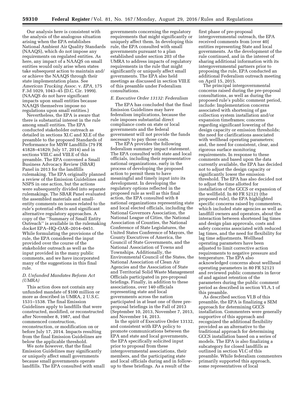Our analysis here is consistent with the analysis of the analogous situation arising when the EPA establishes National Ambient Air Quality Standards (NAAQS), which do not impose any requirements on regulated entities. As here, any impact of a NAAQS on small entities would only arise when states take subsequent action to maintain and/ or achieve the NAAQS through their state implementation plans. See *American Trucking Assoc.* v. *EPA,* 175 F.3d 1029, 1043–45 (D.C. Cir. 1999). (NAAQS do not have significant impacts upon small entities because NAAQS themselves impose no regulations upon small entities.)

Nevertheless, the EPA is aware that there is substantial interest in the rule among small entities. The EPA conducted stakeholder outreach as detailed in sections XI.C and XI.E of the preamble to the proposed Standards of Performance for MSW Landfills (79 FR 41828–41829; July 17, 2014) and in sections VIII.C and VIII.E of this preamble. The EPA convened a Small Business Advocacy Review (SBAR) Panel in 2013 for the landfills rulemaking. The EPA originally planned a review of the Emission Guidelines and NSPS in one action, but the actions were subsequently divided into separate rulemakings. The SBAR Panel evaluated the assembled materials and smallentity comments on issues related to the rule's potential effects and significant alternative regulatory approaches. A copy of the ''Summary of Small Entity Outreach'' is available in the rulemaking docket EPA–HQ–OAR–2014–0451. While formulating the provisions of the rule, the EPA considered the input provided over the course of the stakeholder outreach as well as the input provided in the many public comments, and we have incorporated many of the suggestions in this final rule.

# *D. Unfunded Mandates Reform Act (UMRA)*

This action does not contain any unfunded mandate of \$100 million or more as described in UMRA, 2 U.S.C. 1531–1538. The final Emission Guidelines apply to landfills that were constructed, modified, or reconstructed after November 8, 1987, and that commenced construction, reconstruction, or modification on or before July 17, 2014. Impacts resulting from the final Emission Guidelines are below the applicable threshold.

We note however, that the final Emission Guidelines may significantly or uniquely affect small governments because small governments operate landfills. The EPA consulted with small

governments concerning the regulatory requirements that might significantly or uniquely affect them. In developing this rule, the EPA consulted with small governments pursuant to a plan established under section 203 of the UMRA to address impacts of regulatory requirements in the rule that might significantly or uniquely affect small governments. The EPA also held meetings as discussed in section VIII.E of this preamble under Federalism consultations.

#### *E. Executive Order 13132: Federalism*

The EPA has concluded that the final Emission Guidelines may have federalism implications, because the rule imposes substantial direct compliance costs on state or local governments and the federal government will not provide the funds necessary to pay those costs.

The EPA provides the following federalism summary impact statement. The EPA consulted with state and local officials, including their representative national organizations, early in the process of developing the proposed action to permit them to have meaningful and timely input into its development. In developing the regulatory options reflected in the proposed rule as well as this final action, the EPA consulted with 8 national organizations representing state and local elected officials, including the National Governors Association, the National League of Cities, the National Association of Counties, the National Conference of State Legislatures, the United States Conference of Mayors, the County Executives of America, the Council of State Governments, and the National Association of Towns and Townships. Additionally, the Environmental Council of the States, the National Association of Clean Air Agencies and the Association of State and Territorial Solid Waste Management Officials participated in pre-proposal briefings. Finally, in addition to these associations, over 140 officials representing state and local governments across the nation participated in at least one of three preproposal briefings in the Fall of 2013 (September 10, 2013, November 7, 2013, and November 14, 2013.

In the spirit of Executive Order 13132, and consistent with EPA policy to promote communications between the EPA and state and local governments, the EPA specifically solicited input prior to proposal from these intergovernmental associations, their members, and the participating state and local officials during and in followup to these briefings. As a result of the

first phase of pre-proposal intergovernmental outreach, the EPA received comments from [over 40] entities representing State and local governments. As the development of the rule continued, and in the interest of sharing additional information with its intergovernmental partners prior to proposing the rule, EPA conducted an additional Federalism outreach meeting on April 15, 2015.

The principal intergovernmental concerns raised during the pre-proposal consultations, as well as during the proposed rule's public comment period, include: Implementation concerns associated with shortening of gas collection system installation and/or expansion timeframes; concerns regarding significant lowering of the design capacity or emission thresholds; the need for clarifications associated with wellhead operating parameters; and, the need for consistent, clear, and rigorous surface monitoring requirements. In response to these comments and based upon the data currently available, the EPA has decided not to adjust the design capacity or significantly lower the emission threshold. The EPA has also decided not to adjust the time allotted for installation of the GCCS or expansion of the wellfield. In 80 FR 52121 (the proposed rule), the EPA highlighted specific concerns raised by commenters, which included state agencies as well as landfill owners and operators, about the interaction between shortened lag times and design plan approvals, costs and safety concerns associated with reduced lag times, and the need for flexibility for lag time adjustments. Wellhead operating parameters have been adjusted to limit corrective action requirements to negative pressure and temperature. The EPA also acknowledged concerns about wellhead operating parameters in 80 FR 52121 and reviewed public comments in favor of and against retention of the parameters during the public comment period as described in section VI.A.1 of this preamble.

As described section VI.B of this preamble, the EPA is finalizing a SEM approach for determining GCCS installation. Commenters were generally supportive of this approach and recognized the additional flexibility provided as an alternative to the traditional approach for determining GCCS installation based on a series of models. The EPA is also finalizing a subcategory for closed landfills as outlined in section VI.C of this preamble. While federalism commenters primarily supported this approach, some representatives of local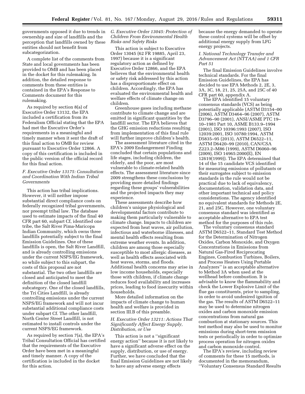governments opposed it due to trends in ownership and size of landfills and the perception that landfills owned by these entities should not benefit from subcategorization.

A complete list of the comments from State and local governments has been provided to OMB and has been placed in the docket for this rulemaking. In addition, the detailed response to comments from these entities is contained in the EPA's Response to Comments document for this rulemaking.

As required by section 8(a) of Executive Order 13132, the EPA included a certification from its Federalism Official stating that the EPA had met the Executive Order's requirements in a meaningful and timely manner when it sent the draft of this final action to OMB for review pursuant to Executive Order 12866. A copy of this certification is included in the public version of the official record for this final action.

# *F. Executive Order 13175: Consultation and Coordination With Indian Tribal Governments*

This action has tribal implications. However, it will neither impose substantial direct compliance costs on federally recognized tribal governments, nor preempt tribal law. The database used to estimate impacts of the final 40 CFR part 60, subpart Cf, identified one tribe, the Salt River Pima-Maricopa Indian Community, which owns three landfills potentially subject to the final Emission Guidelines. One of these landfills is open, the Salt River Landfill, and is already controlling emissions under the current NSPS/EG framework, so while subject to this subpart, the costs of this proposal are not substantial. The two other landfills are closed and anticipated to meet the definition of the closed landfill subcategory. One of the closed landfills, the Tri Cities Landfill, is already controlling emissions under the current NSPS/EG framework and will not incur substantial additional compliance costs under subpart Cf. The other landfill, North Center Street Landfill, is not estimated to install controls under the current NSPS/EG framework.

As required by section 7(a), the EPA's Tribal Consultation Official has certified that the requirements of the Executive Order have been met in a meaningful and timely manner. A copy of the certification is included in the docket for this action.

# *G. Executive Order 13045: Protection of Children From Environmental Health Risks and Safety Risks*

This action is subject to Executive Order 13045 (62 FR 19885, April 23, 1997) because it is a significant regulatory action as defined by Executive Order 12866, and the EPA believes that the environmental health or safety risk addressed by this action has a disproportionate effect on children. Accordingly, the EPA has evaluated the environmental health and welfare effects of climate change on children.

Greenhouse gases including methane contribute to climate change and are emitted in significant quantities by the landfill sector. The EPA believes that the GHG emission reductions resulting from implementation of this final rule will further improve children's health.

The assessment literature cited in the EPA's 2009 Endangerment Finding concluded that certain populations and life stages, including children, the elderly, and the poor, are most vulnerable to climate-related health effects. The assessment literature since 2009 strengthens these conclusions by providing more detailed findings regarding these groups' vulnerabilities and the projected impacts they may experience.

These assessments describe how children's unique physiological and developmental factors contribute to making them particularly vulnerable to climate change. Impacts to children are expected from heat waves, air pollution, infectious and waterborne illnesses, and mental health effects resulting from extreme weather events. In addition, children are among those especially susceptible to most allergic diseases, as well as health effects associated with heat waves, storms, and floods. Additional health concerns may arise in low income households, especially those with children, if climate change reduces food availability and increases prices, leading to food insecurity within households.

More detailed information on the impacts of climate change to human health and welfare is provided in section III.B of this preamble.

# *H. Executive Order 13211: Actions That Significantly Affect Energy Supply, Distribution, or Use*

This action is not a ''significant energy action'' because it is not likely to have a significant adverse effect on the supply, distribution, or use of energy. Further, we have concluded that the final Emission Guidelines are not likely to have any adverse energy effects

because the energy demanded to operate these control systems will be offset by additional energy supply from LFG energy projects.

# *I. National Technology Transfer and Advancement Act (NTTAA) and 1 CFR Part 51*

The final Emission Guidelines involve technical standards. For the final Emission Guidelines, the EPA has decided to use EPA Methods 2, 2E, 3, 3A, 3C, 18, 21, 25, 25A, and 25C of 40 CFR part 60, appendix A.

The EPA identified 15 voluntary consensus standards (VCS) as being potentially applicable (ASTM D3154–00 (2006), ASTM D3464–96 (2007), ASTM D3796–90 (2001), ANSI/ASME PTC 19– 10–1981 Part 10, ASME B133.9–1994 (2001), ISO 10396:1993 (2007), ISO 12039:2001, ISO 10780:1994, ASTM D5835–95 (2013), ASTM D6522–11, ASTM D6420–99 (2010), CAN/CSA Z223.2–M86 (1999), ASTM D6060–96 (2009), ISO 14965:2000(E), EN 12619(1999)). The EPA determined that 14 of the 15 candidate VCS identified for measuring emissions of pollutants or their surrogates subject to emission standards in the rule would not be practical due to lack of equivalency, documentation, validation data, and other important technical and policy considerations. The agency identified no equivalent standards for Methods 2E, 21, and 25C. However, one voluntary consensus standard was identified as acceptable alternative to EPA test method for the purposes of this rule.

The voluntary consensus standard ASTM D6522–11, Standard Test Method for the Determination of Nitrogen Oxides, Carbon Monoxide, and Oxygen Concentrations in Emissions from Natural Gas-Fired Reciprocating Engines, Combustion Turbines, Boilers, and Process Heaters Using Portable Analyzers'' is an acceptable alternative to Method 3A when used at the wellhead before combustion. It is advisable to know the flammability and check the Lower Explosive Limit of the flue gas constituents, prior to sampling, in order to avoid undesired ignition of the gas. The results of ASTM D6522–11 may be used to determine nitrogen oxides and carbon monoxide emission concentrations from natural gas combustion at stationary sources. This test method may also be used to monitor emissions during short-term emission tests or periodically in order to optimize process operation for nitrogen oxides and carbon monoxide control.

The EPA's review, including review of comments for these 15 methods, is documented in the memorandum, ''Voluntary Consensus Standard Results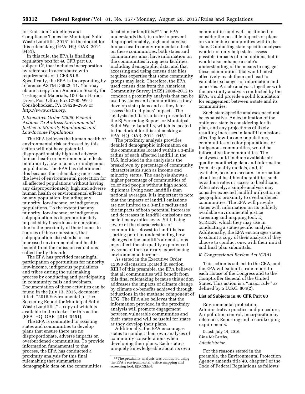for Emission Guidelines and Compliance Times for Municipal Solid Waste Landfills, 2016'' in the docket for this rulemaking (EPA–HQ–OAR–2014– 0451).

In this rule, the EPA is finalizing regulatory text for 40 CFR part 60, subpart Cf, that includes incorporation by reference in accordance with requirements of 1 CFR 51.5. Specifically, the EPA is incorporating by reference ASTM D6522–11. You may obtain a copy from American Society for Testing and Materials, 100 Barr Harbor Drive, Post Office Box C700, West Conshohocken, PA 19428–2959 or *[http://www.astm.org.](http://www.astm.org)* 

# *J. Executive Order 12898: Federal Actions To Address Environmental Justice in Minority Populations and Low-Income Populations*

The EPA believes the human health or environmental risk addressed by this action will not have potential disproportionately high and adverse human health or environmental effects on minority, low-income, or indigenous populations. The EPA has determined this because the rulemaking increases the level of environmental protection for all affected populations without having any disproportionately high and adverse human health or environmental effects on any population, including any minority, low-income, or indigenous populations. To the extent that any minority, low-income, or indigenous subpopulation is disproportionately impacted by hazardous air emissions due to the proximity of their homes to sources of these emissions, that subpopulation also stands to see increased environmental and health benefit from the emission reductions called for by this rule.

The EPA has provided meaningful participation opportunities for minority, low-income, indigenous populations and tribes during the rulemaking process by conducting and participating in community calls and webinars. Documentation of these activities can be found in the July 13, 2016, document titled, ''2016 Environmental Justice Screening Report for Municipal Solid Waste Landfills,'' a copy of which is available in the docket for this action (EPA–HQ–OAR–2014–0451).

The EPA is committed to assisting states and communities to develop plans that ensure there are no disproportionate, adverse impacts on overburdened communities. To provide information fundamental to that process, the EPA has conducted a proximity analysis for this final rulemaking that summarizes demographic data on the communities

located near landfills.62 The EPA understands that, in order to prevent disproportionately, high and adverse human health or environmental effects on these communities, both states and communities must have information on the communities living near facilities, including demographic data, and that accessing and using census data files requires expertise that some community groups may lack. Therefore, the EPA used census data from the American Community Survey (ACS) 2008–2012 to conduct a proximity analysis that can be used by states and communities as they develop state plans and as they later assess the final plans' impacts. The analysis and its results are presented in the EJ Screening Report for Municipal Solid Waste Landfills, which is located in the docket for this rulemaking at EPA–HQ–OAR–2014–0451.

The proximity analysis provides detailed demographic information on the communities located within a 3-mile radius of each affected landfill in the U.S. Included in the analysis is the breakdown by percentage of community characteristics such as income and minority status. The analysis shows a higher percentage of communities of color and people without high school diplomas living near landfills than national averages. It is important to note that the impacts of landfill emissions are not limited to a 3-mile radius and the impacts of both potential increases and decreases in landfill emissions can be felt many miles away. Still, being aware of the characteristics of communities closest to landfills is a starting point in understanding how changes in the landfill's air emissions may affect the air quality experienced by some of those already experiencing environmental burdens.

As stated in the Executive Order 12898 discussion located in section XIII.J of this preamble, the EPA believes that all communities will benefit from this final rulemaking because this action addresses the impacts of climate change by climate co-benefits achieved through reductions in the methane component of LFG. The EPA also believes that the information provided in the proximity analysis will promote engagement between vulnerable communities and their states and will be useful for states as they develop their plans.

Additionally, the EPA encourages states to conduct their own analyses of community considerations when developing their plans. Each state is uniquely knowledgeable about its own

communities and well-positioned to consider the possible impacts of plans on vulnerable communities within its state. Conducting state-specific analyses would not only help states assess possible impacts of plan options, but it would also enhance a state's understanding of the means to engage these communities that would most effectively reach them and lead to valuable exchanges of information and concerns. A state analysis, together with the proximity analysis conducted by the EPA, would provide a solid foundation for engagement between a state and its communities.

Such state-specific analyses need not be exhaustive. An examination of the options a state is considering for its plan, and any projections of likely resulting increases in landfill emissions affecting low-income populations, communities of color populations, or indigenous communities, would be informative for communities. The analyses could include available air quality monitoring data and information from air quality models, and, if available, take into account information about local health vulnerabilities such as asthma rates or access to healthcare. Alternatively, a simple analysis may consider expected landfill utilization in geographic proximity to overburdened communities. The EPA will provide states with information on its publicly available environmental justice screening and mapping tool, EJ SCREEN, which they may use in conducting a state-specific analysis. Additionally, the EPA encourages states to submit a copy of their analysis if they choose to conduct one, with their initial and final plan submittals.

#### *K. Congressional Review Act (CRA)*

This action is subject to the CRA, and the EPA will submit a rule report to each House of the Congress and to the Comptroller General of the United States. This action is a ''major rule'' as defined by 5 U.S.C. 804(2).

#### **List of Subjects in 40 CFR Part 60**

Environmental protection, Administrative practice and procedure, Air pollution control, Incorporation by reference, Reporting and recordkeeping requirements.

Dated: July 14, 2016.

# **Gina McCarthy,**

*Administrator.* 

For the reasons stated in the preamble, the Environmental Protection Agency amends title 40, chapter I of the Code of Federal Regulations as follows:

<sup>62</sup>The proximity analysis was conducted using the EPA's environmental justice mapping and screening tool, EJSCREEN.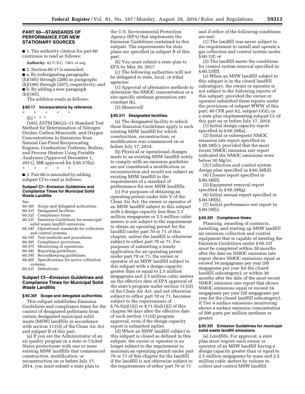#### **PART 60—STANDARDS OF PERFORMANCE FOR NEW STATIONARY SOURCES**

■ 1. The authority citation for part 60 continues to read as follows:

**Authority:** 42 U.S.C. 7401 *et seq.* 

■ 2. Section 60.17 is amended: ■ a. By redesignating paragraphs (h)(185) through (206) as paragraphs (h)(186) through (207), respectively; and ■ b. By adding a new paragraph

(h)(185).

The addition reads as follows:

#### **§ 60.17 Incorporations by reference.**

\* \* \* \* \* (h) \* \* \*

(185) ASTM D6522–11 Standard Test Method for Determination of Nitrogen Oxides, Carbon Monoxide, and Oxygen Concentrations in Emissions from Natural Gas-Fired Reciprocating Engines, Combustion Turbines, Boilers, and Process Heaters Using Portable Analyzers (Approved December 1, 2011), IBR approved for § 60.37f(a).

\* \* \* \* \*

■ 3. Part 60 is amended by adding subpart Cf to read as follows:

### **Subpart Cf—Emission Guidelines and Compliance Times for Municipal Solid Waste Landfills**

Sec.

- 60.30f Scope and delegated authorities.
- 60.31f Designated facilities.
- 60.32f Compliance times.
- 60.33f Emission Guidelines for municipal solid waste landfill emissions.
- 60.34f Operational standards for collection and control systems.
- 60.35f Test methods and procedures.
- 60.36f Compliance provisions.
- 60.37f Monitoring of operations.
- 60.38f Reporting guidelines.
- 60.39f Recordkeeping guidelines.
- 60.40f Specifications for active collection systems.

60.41f Definitions.

# **Subpart Cf—Emission Guidelines and Compliance Times for Municipal Solid Waste Landfills**

# **§ 60.30f Scope and delegated authorities.**

This subpart establishes Emission Guidelines and compliance times for the control of designated pollutants from certain designated municipal solid waste (MSW) landfills in accordance with section 111(d) of the Clean Air Act and subpart B of this part.

(a) If you are the Administrator of an air quality program in a state or United States protectorate with one or more existing MSW landfills that commenced construction, modification, or reconstruction on or before July 17, 2014, you must submit a state plan to

the U.S. Environmental Protection Agency (EPA) that implements the Emission Guidelines contained in this subpart. The requirements for state plans are specified in subpart B of this part.

(b) You must submit a state plan to EPA by May 30, 2017.

(c) The following authorities will not be delegated to state, local, or tribal agencies:

(1) Approval of alternative methods to determine the NMOC concentration or a site-specific methane generation rate constant (k).

(2) [Reserved]

#### **§ 60.31f Designated facilities.**

(a) The designated facility to which these Emission Guidelines apply is each existing MSW landfill for which construction, reconstruction, or modification was commenced on or before July 17, 2014.

(b) Physical or operational changes made to an existing MSW landfill solely to comply with an emission guideline are not considered a modification or reconstruction and would not subject an existing MSW landfill to the requirements of a standard of performance for new MSW landfills.

(c) For purposes of obtaining an operating permit under title V of the Clean Air Act, the owner or operator of an MSW landfill subject to this subpart with a design capacity less than 2.5 million megagrams or 2.5 million cubic meters is not subject to the requirement to obtain an operating permit for the landfill under part 70 or 71 of this chapter, unless the landfill is otherwise subject to either part 70 or 71. For purposes of submitting a timely application for an operating permit under part 70 or 71, the owner or operator of an MSW landfill subject to this subpart with a design capacity greater than or equal to 2.5 million megagrams and 2.5 million cubic meters on the effective date of EPA approval of the state's program under section 111(d) of the Clean Air Act, and not otherwise subject to either part 70 or 71, becomes subject to the requirements of § 70.5(a)(1)(i) or § 71.5(a)(1)(i) of this chapter 90 days after the effective date of such section 111(d) program approval, even if the design capacity report is submitted earlier.

(d) When an MSW landfill subject to this subpart is closed as defined in this subpart, the owner or operator is no longer subject to the requirement to maintain an operating permit under part 70 or 71 of this chapter for the landfill if the landfill is not otherwise subject to the requirements of either part 70 or 71

and if either of the following conditions are met:

(1) The landfill was never subject to the requirement to install and operate a gas collection and control system under § 60.33f; or

(2) The landfill meets the conditions for control system removal specified in § 60.33f(f).

(e) When an MSW landfill subject to this subpart is in the closed landfill subcategory, the owner or operator is not subject to the following reports of this subpart, provided the owner or operator submitted these reports under the provisions of subpart WWW of this part; 40 CFR part 62, subpart GGG; or a state plan implementing subpart Cc of this part on or before July 17, 2014:

(1) Initial design capacity report specified in § 60.38f(a).

(2) Initial or subsequent NMOC emission rate report specified in § 60.38f(c), provided that the most recent NMOC emission rate report indicated the NMOC emissions were below 50 Mg/yr.

(3) Collection and control system design plan specified in § 60.38f(d).

(4) Closure report specified in § 60.38f(f).

(5) Equipment removal report specified in § 60.38f(g).

(6) Initial annual report specified in § 60.38f(h).

(7) Initial performance test report in § 60.38f(i).

#### **§ 60.32f Compliance times.**

Planning, awarding of contracts, installing, and starting up MSW landfill air emission collection and control equipment that is capable of meeting the Emission Guidelines under § 60.33f must be completed within 30 months after the date an NMOC emission rate report shows NMOC emissions equal or exceed 34 megagrams per year (50 megagrams per year for the closed landfill subcategory); or within 30 months after the date of the most recent NMOC emission rate report that shows NMOC emissions equal or exceed 34 megagrams per year (50 megagrams per year for the closed landfill subcategory), if Tier 4 surface emissions monitoring shows a surface emission concentration of 500 parts per million methane or greater.

# **§ 60.33f Emission Guidelines for municipal solid waste landfill emissions.**

(a) *Landfills.* For approval, a state plan must require each owner or operator of an MSW landfill having a design capacity greater than or equal to 2.5 million megagrams by mass and 2.5 million cubic meters by volume to collect and control MSW landfill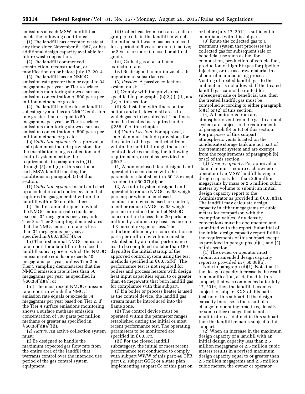emissions at each MSW landfill that meets the following conditions:

(1) The landfill has accepted waste at any time since November 8, 1987, or has additional design capacity available for future waste deposition.

(2) The landfill commenced construction, reconstruction, or modification on or before July 17, 2014.

(3) The landfill has an NMOC emission rate greater than or equal to 34 megagrams per year or Tier 4 surface emissions monitoring shows a surface emission concentration of 500 parts per million methane or greater.

(4) The landfill in the closed landfill subcategory and has an NMOC emission rate greater than or equal to 50 megagrams per year or Tier 4 surface emissions monitoring shows a surface emission concentration of 500 parts per million methane or greater.

(b) *Collection system.* For approval, a state plan must include provisions for the installation of a gas collection and control system meeting the requirements in paragraphs (b)(1) through (3) and (c) of this section at each MSW landfill meeting the conditions in paragraph (a) of this section.

(1) *Collection system.* Install and start up a collection and control system that captures the gas generated within the landfill within 30 months after:

(i) The first annual report in which the NMOC emission rate equals or exceeds 34 megagrams per year, unless Tier 2 or Tier 3 sampling demonstrates that the NMOC emission rate is less than 34 megagrams per year, as specified in  $§ 60.38f(d)(4);$  or

(ii) The first annual NMOC emission rate report for a landfill in the closed landfill subcategory in which the NMOC emission rate equals or exceeds 50 megagrams per year, unless Tier 2 or Tier 3 sampling demonstrates that the NMOC emission rate is less than 50 megagrams per year, as specified in  $§ 60.38f(d)(4);$  or

(iii) The most recent NMOC emission rate report in which the NMOC emission rate equals or exceeds 34 megagrams per year based on Tier 2, if the Tier 4 surface emissions monitoring shows a surface methane emission concentration of 500 parts per million methane or greater as specified in  $§ 60.38f(d)(4)(iii).$ 

(2) *Active.* An active collection system must:

(i) Be designed to handle the maximum expected gas flow rate from the entire area of the landfill that warrants control over the intended use period of the gas control system equipment.

(ii) Collect gas from each area, cell, or group of cells in the landfill in which the initial solid waste has been placed for a period of 5 years or more if active; or 2 years or more if closed or at final grade.

(iii) Collect gas at a sufficient extraction rate.

(iv) Be designed to minimize off-site migration of subsurface gas.

(3) *Passive.* A passive collection system must:

(i) Comply with the provisions specified in paragraphs (b)(2)(i), (ii), and (iv) of this section.

(ii) Be installed with liners on the bottom and all sides in all areas in which gas is to be collected. The liners must be installed as required under § 258.40 of this chapter.

(c) *Control system.* For approval, a state plan must include provisions for the control of the gas collected from within the landfill through the use of control devices meeting the following requirements, except as provided in § 60.24.

(1) A non-enclosed flare designed and operated in accordance with the parameters established in § 60.18 except as noted in § 60.37f(d); or

(2) A control system designed and operated to reduce NMOC by 98 weight percent; or when an enclosed combustion device is used for control, to either reduce NMOC by 98 weight percent or reduce the outlet NMOC concentration to less than 20 parts per million by volume, dry basis as hexane at 3 percent oxygen or less. The reduction efficiency or concentration in parts per million by volume must be established by an initial performance test to be completed no later than 180 days after the initial startup of the approved control system using the test methods specified in § 60.35f(d). The performance test is not required for boilers and process heaters with design heat input capacities equal to or greater than 44 megawatts that burn landfill gas for compliance with this subpart.

(i) If a boiler or process heater is used as the control device, the landfill gas stream must be introduced into the flame zone.

(ii) The control device must be operated within the parameter ranges established during the initial or most recent performance test. The operating parameters to be monitored are specified in § 60.37f.

(iii) For the closed landfill subcategory, the initial or most recent performance test conducted to comply with subpart WWW of this part; 40 CFR part 62, subpart GGG; or a state plan implementing subpart Cc of this part on or before July 17, 2014 is sufficient for compliance with this subpart.

(3) Route the collected gas to a treatment system that processes the collected gas for subsequent sale or beneficial use such as fuel for combustion, production of vehicle fuel, production of high-Btu gas for pipeline injection, or use as a raw material in a chemical manufacturing process. Venting of treated landfill gas to the ambient air is not allowed. If the treated landfill gas cannot be routed for subsequent sale or beneficial use, then the treated landfill gas must be controlled according to either paragraph  $(c)(1)$  or  $(2)$  of this section.

(4) All emissions from any atmospheric vent from the gas treatment system are subject to the requirements of paragraph (b) or (c) of this section. For purposes of this subpart, atmospheric vents located on the condensate storage tank are not part of the treatment system and are exempt from the requirements of paragraph (b) or (c) of this section.

(d) *Design capacity.* For approval, a state plan must require each owner or operator of an MSW landfill having a design capacity less than 2.5 million megagrams by mass or 2.5 million cubic meters by volume to submit an initial design capacity report to the Administrator as provided in § 60.38f(a). The landfill may calculate design capacity in either megagrams or cubic meters for comparison with the exemption values. Any density conversions must be documented and submitted with the report. Submittal of the initial design capacity report fulfills the requirements of this subpart except as provided in paragraphs (d)(1) and (2) of this section.

(1) The owner or operator must submit an amended design capacity report as provided in § 60.38f(b).

Note to paragraph (d)(1): Note that if the design capacity increase is the result of a modification, as defined in this subpart, that was commenced after July 17, 2014, then the landfill becomes subject to subpart XXX of this part instead of this subpart. If the design capacity increase is the result of a change in operating practices, density, or some other change that is not a modification as defined in this subpart, then the landfill remains subject to this subpart.

(2) When an increase in the maximum design capacity of a landfill with an initial design capacity less than 2.5 million megagrams or 2.5 million cubic meters results in a revised maximum design capacity equal to or greater than 2.5 million megagrams and 2.5 million cubic meters, the owner or operator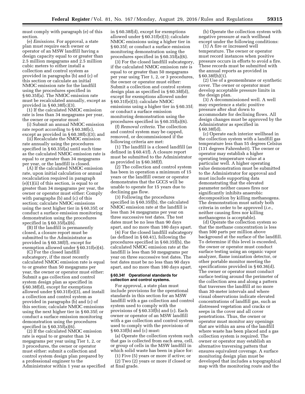must comply with paragraph (e) of this section.

(e) *Emissions.* For approval, a state plan must require each owner or operator of an MSW landfill having a design capacity equal to or greater than 2.5 million megagrams and 2.5 million cubic meters to either install a collection and control system as provided in paragraphs (b) and (c) of this section or calculate an initial NMOC emission rate for the landfill using the procedures specified in § 60.35f(a). The NMOC emission rate must be recalculated annually, except as provided in § 60.38f(c)(3).

(1) If the calculated NMOC emission rate is less than 34 megagrams per year, the owner or operator must:

(i) Submit an annual NMOC emission rate report according to § 60.38f(c), except as provided in § 60.38f(c)(3); and

(ii) Recalculate the NMOC emission rate annually using the procedures specified in § 60.35f(a) until such time as the calculated NMOC emission rate is equal to or greater than 34 megagrams per year, or the landfill is closed.

(A) If the calculated NMOC emission rate, upon initial calculation or annual recalculation required in paragraph (e)(1)(ii) of this section, is equal to or greater than 34 megagrams per year, the owner or operator must either: Comply with paragraphs (b) and (c) of this section; calculate NMOC emissions using the next higher tier in § 60.35f; or conduct a surface emission monitoring demonstration using the procedures specified in  $§ 60.35f(a)(6)$ .

(B) If the landfill is permanently closed, a closure report must be submitted to the Administrator as provided in § 60.38f(f), except for exemption allowed under § 60.31f(e)(4).

(C) For the closed landfill subcategory, if the most recently calculated NMOC emission rate is equal to or greater than 50 megagrams per year, the owner or operator must either: Submit a gas collection and control system design plan as specified in § 60.38f(d), except for exemptions allowed under § 60.31f(e)(3), and install a collection and control system as provided in paragraphs (b) and (c) of this section; calculate NMOC emissions using the next higher tier in § 60.35f; or conduct a surface emission monitoring demonstration using the procedures specified in  $\S 60.35f(a)(6)$ .

(2) If the calculated NMOC emission rate is equal to or greater than 34 megagrams per year using Tier 1, 2, or 3 procedures, the owner or operator must either: submit a collection and control system design plan prepared by a professional engineer to the Administrator within 1 year as specified in § 60.38f(d), except for exemptions allowed under § 60.31f(e)(3); calculate NMOC emissions using a higher tier in § 60.35f; or conduct a surface emission monitoring demonstration using the procedures specified in § 60.35f(a)(6).

(3) For the closed landfill subcategory, if the calculated NMOC emission rate is equal to or greater than 50 megagrams per year using Tier 1, 2, or 3 procedures, the owner or operator must either: Submit a collection and control system design plan as specified in § 60.38f(d), except for exemptions allowed under § 60.31f(e)(3); calculate NMOC emissions using a higher tier in § 60.35f; or conduct a surface emission monitoring demonstration using the procedures specified in § 60.35f(a)(6).

(f) *Removal criteria.* The collection and control system may be capped, removed, or decommissioned if the following criteria are met:

(1) The landfill is a closed landfill (as defined in § 60.41f). A closure report must be submitted to the Administrator as provided in § 60.38f(f).

(2) The collection and control system has been in operation a minimum of 15 years or the landfill owner or operator demonstrates that the GCCS will be unable to operate for 15 years due to declining gas flow.

(3) Following the procedures specified in § 60.35f(b), the calculated NMOC emission rate at the landfill is less than 34 megagrams per year on three successive test dates. The test dates must be no less than 90 days apart, and no more than 180 days apart.

(4) For the closed landfill subcategory (as defined in § 60.41), following the procedures specified in § 60.35f(b), the calculated NMOC emission rate at the landfill is less than 50 megagrams per year on three successive test dates. The test dates must be no less than 90 days apart, and no more than 180 days apart.

#### **§ 60.34f Operational standards for collection and control systems.**

For approval, a state plan must include provisions for the operational standards in this section for an MSW landfill with a gas collection and control system used to comply with the provisions of § 60.33f(b) and (c). Each owner or operator of an MSW landfill with a gas collection and control system used to comply with the provisions of § 60.33f(b) and (c) must:

(a) Operate the collection system such that gas is collected from each area, cell, or group of cells in the MSW landfill in which solid waste has been in place for:

(1) Five (5) years or more if active; or

(2) Two (2) years or more if closed or at final grade.

(b) Operate the collection system with negative pressure at each wellhead except under the following conditions:

(1) A fire or increased well temperature. The owner or operator must record instances when positive pressure occurs in efforts to avoid a fire. These records must be submitted with the annual reports as provided in § 60.38f(h)(1).

(2) Use of a geomembrane or synthetic cover. The owner or operator must develop acceptable pressure limits in the design plan.

(3) A decommissioned well. A well may experience a static positive pressure after shut down to accommodate for declining flows. All design changes must be approved by the Administrator as specified in § 60.38f(d).

(c) Operate each interior wellhead in the collection system with a landfill gas temperature less than 55 degrees Celsius (131 degrees Fahrenheit). The owner or operator may establish a higher operating temperature value at a particular well. A higher operating value demonstration must be submitted to the Administrator for approval and must include supporting data demonstrating that the elevated parameter neither causes fires nor significantly inhibits anaerobic decomposition by killing methanogens. The demonstration must satisfy both criteria in order to be approved (*i.e.,*  neither causing fires nor killing methanogens is acceptable).

(d) Operate the collection system so that the methane concentration is less than 500 parts per million above background at the surface of the landfill. To determine if this level is exceeded, the owner or operator must conduct surface testing using an organic vapor analyzer, flame ionization detector, or other portable monitor meeting the specifications provided in § 60.36(d). The owner or operator must conduct surface testing around the perimeter of the collection area and along a pattern that traverses the landfill at no more than 30-meter intervals and where visual observations indicate elevated concentrations of landfill gas, such as distressed vegetation and cracks or seeps in the cover and all cover penetrations. Thus, the owner or operator must monitor any openings that are within an area of the landfill where waste has been placed and a gas collection system is required. The owner or operator may establish an alternative traversing pattern that ensures equivalent coverage. A surface monitoring design plan must be developed that includes a topographical map with the monitoring route and the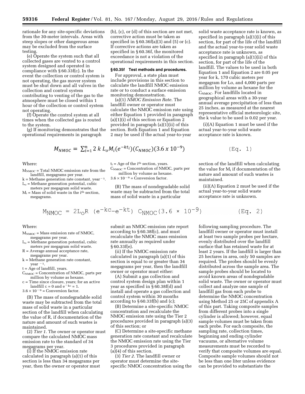rationale for any site-specific deviations from the 30-meter intervals. Areas with steep slopes or other dangerous areas may be excluded from the surface testing.

(e) Operate the system such that all collected gases are vented to a control system designed and operated in compliance with § 60.33f(c). In the event the collection or control system is not operating, the gas mover system must be shut down and all valves in the collection and control system contributing to venting of the gas to the atmosphere must be closed within 1 hour of the collection or control system not operating.

(f) Operate the control system at all times when the collected gas is routed to the system.

(g) If monitoring demonstrates that the operational requirements in paragraph

(b), (c), or (d) of this section are not met, corrective action must be taken as specified in  $\S 60.36f(a)(3)$  and  $(5)$  or  $(c)$ . If corrective actions are taken as specified in § 60.36f, the monitored exceedance is not a violation of the operational requirements in this section.

#### **§ 60.35f Test methods and procedures.**

For approval, a state plan must include provisions in this section to calculate the landfill NMOC emission rate or to conduct a surface emission monitoring demonstration.

(a)(1) *NMOC Emission Rate.* The landfill owner or operator must calculate the NMOC emission rate using either Equation 1 provided in paragraph  $(a)(1)(i)$  of this section or Equation 2 provided in paragraph (a)(1)(ii) of this section. Both Equation 1 and Equation 2 may be used if the actual year-to-year

$$
M_{NMOC} = \sum_{i=1}^{n} 2 k L_o M_i(e^{-kt_i}) (C_{NMOC}) (3.6 \times 10^{-9})
$$

Where:

Where:

- $M_{\text{NMOC}}$  = Total NMOC emission rate from the landfill, megagrams per year.
- $k = M$ ethane generation rate constant, year<sup> $-1$ </sup>.  $L<sub>o</sub>$  = Methane generation potential, cubic
- meters per megagram solid waste.  $M_i$  = Mass of solid waste in the i<sup>th</sup> section,
	- megagrams. mass of solid waste in a particular

submit an NMOC emission rate report

 $M_{\text{NMOC}} = 2L_0R$  ( $e^{-kC}-e^{-kt}$ )  $C_{\text{NMOC}}(3.6 \times 10^{-9})$ 

 $t_i$  = Age of the i<sup>th</sup> section, years.

 $C_{\text{NMOC}}$  = Concentration of NMOC, parts per million by volume as hexane.  $3.6 \times 10^{-9}$  = Conversion factor.

(B) The mass of nondegradable solid waste may be subtracted from the total

 $M_{NMOC}$  = Mass emission rate of NMOC, megagrams per year.

- Lo = Methane generation potential, cubic meters per megagram solid waste.
- $R = A$ verage annual acceptance rate,
- megagrams per year. k = Methane generation rate constant,
- year  $^{-1}$ .
- t = Age of landfill, years.
- CNMOC = Concentration of NMOC, parts per million by volume as hexane.
- c = Time since closure, years; for an active landfill  $c = 0$  and  $e^{-kc} = 1$ .
- $3.6\times10^{-9}$  = Conversion factor.

(B) The mass of nondegradable solid waste may be subtracted from the total mass of solid waste in a particular section of the landfill when calculating the value of R, if documentation of the nature and amount of such wastes is maintained.

(2) *Tier 1.* The owner or operator must compare the calculated NMOC mass emission rate to the standard of 34 megagrams per year.

(i) If the NMOC emission rate calculated in paragraph (a)(1) of this section is less than 34 megagrams per year, then the owner or operator must according to § 60.38f(c), and must recalculate the NMOC mass emission rate annually as required under § 60.33f(e).

(ii) If the NMOC emission rate calculated in paragraph (a)(1) of this section is equal to or greater than 34 megagrams per year, then the landfill owner or operator must either:

(A) Submit a gas collection and control system design plan within 1 year as specified in § 60.38f(d) and install and operate a gas collection and control system within 30 months according to § 60.33f(b) and (c);

(B) Determine a site-specific NMOC concentration and recalculate the NMOC emission rate using the Tier 2 procedures provided in paragraph (a)(3) of this section; or

(C) Determine a site-specific methane generation rate constant and recalculate the NMOC emission rate using the Tier 3 procedures provided in paragraph (a)(4) of this section.

(3) *Tier 2.* The landfill owner or operator must determine the sitespecific NMOC concentration using the

solid waste acceptance rate is known, as specified in paragraph (a)(1)(i) of this section, for part of the life of the landfill and the actual year-to-year solid waste acceptance rate is unknown, as specified in paragraph (a)(1)(ii) of this section, for part of the life of the landfill. The values to be used in both Equation 1 and Equation 2 are 0.05 per year for k, 170 cubic meters per megagram for Lo, and 4,000 parts per million by volume as hexane for the  $C_{\text{NMOC}}$ . For landfills located in geographical areas with a 30-year annual average precipitation of less than 25 inches, as measured at the nearest representative official meteorologic site, the k value to be used is 0.02 per year.

(i)(A) Equation 1 must be used if the actual year-to-year solid waste acceptance rate is known.

 $(Eq. 1)$ 

section of the landfill when calculating the value for  $M_i$  if documentation of the nature and amount of such wastes is maintained.

(ii)(A) Equation 2 must be used if the actual year-to-year solid waste acceptance rate is unknown.

 $(Eq. 2)$ 

lowing sampling procedure. The landfill owner or operator must install at least two sample probes per hectare, evenly distributed over the landfill surface that has retained waste for at least 2 years. If the landfill is larger than 25 hectares in area, only 50 samples are required. The probes should be evenly distributed across the sample area. The sample probes should be located to avoid known areas of nondegradable solid waste. The owner or operator must collect and analyze one sample of landfill gas from each probe to determine the NMOC concentration using Method 25 or 25C of appendix A of this part. Taking composite samples from different probes into a single cylinder is allowed; however, equal sample volumes must be taken from each probe. For each composite, the sampling rate, collection times, beginning and ending cylinder vacuums, or alternative volume measurements must be recorded to verify that composite volumes are equal. Composite sample volumes should not be less than one liter unless evidence can be provided to substantiate the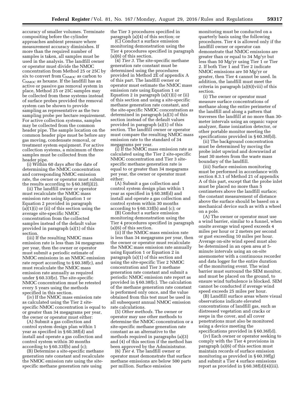accuracy of smaller volumes. Terminate compositing before the cylinder approaches ambient pressure where measurement accuracy diminishes. If more than the required number of samples is taken, all samples must be used in the analysis. The landfill owner or operator must divide the NMOC concentration from Method 25 or 25C by six to convert from  $C_{\text{NMOC}}$  as carbon to  $C_{\text{NMOC}}$  as hexane. If the landfill has an active or passive gas removal system in place, Method 25 or 25C samples may be collected from these systems instead of surface probes provided the removal system can be shown to provide sampling as representative as the two sampling probe per hectare requirement. For active collection systems, samples may be collected from the common header pipe. The sample location on the common header pipe must be before any gas moving, condensate removal, or treatment system equipment. For active collection systems, a minimum of three samples must be collected from the header pipe.

(i) Within 60 days after the date of determining the NMOC concentration and corresponding NMOC emission rate, the owner or operator must submit the results according to  $\S 60.38f(j)(2)$ .

(ii) The landfill owner or operator must recalculate the NMOC mass emission rate using Equation 1 or Equation 2 provided in paragraph  $(a)(1)(i)$  or  $(ii)$  of this section using the average site-specific NMOC concentration from the collected samples instead of the default value provided in paragraph (a)(1) of this section.

(iii) If the resulting NMOC mass emission rate is less than 34 megagrams per year, then the owner or operator must submit a periodic estimate of NMOC emissions in an NMOC emission rate report according to § 60.38f(c), and must recalculate the NMOC mass emission rate annually as required under § 60.33f(e). The site-specific NMOC concentration must be retested every 5 years using the methods specified in this section.

(iv) If the NMOC mass emission rate as calculated using the Tier 2 sitespecific NMOC concentration is equal to or greater than 34 megagrams per year, the owner or operator must either:

(A) Submit a gas collection and control system design plan within 1 year as specified in § 60.38f(d) and install and operate a gas collection and control system within 30 months according to § 60.33f(b) and (c);

(B) Determine a site-specific methane generation rate constant and recalculate the NMOC emission rate using the sitespecific methane generation rate using

the Tier 3 procedures specified in paragraph (a)(4) of this section; or

(C) Conduct a surface emission monitoring demonstration using the Tier 4 procedures specified in paragraph (a)(6) of this section.

(4) *Tier 3.* The site-specific methane generation rate constant must be determined using the procedures provided in Method 2E of appendix A of this part. The landfill owner or operator must estimate the NMOC mass emission rate using Equation 1 or Equation 2 in paragraph (a)(1)(i) or (ii) of this section and using a site-specific methane generation rate constant, and the site-specific NMOC concentration as determined in paragraph (a)(3) of this section instead of the default values provided in paragraph (a)(1) of this section. The landfill owner or operator must compare the resulting NMOC mass emission rate to the standard of 34 megagrams per year.

(i) If the NMOC mass emission rate as calculated using the Tier 2 site-specific NMOC concentration and Tier 3 sitespecific methane generation rate is equal to or greater than 34 megagrams per year, the owner or operator must either:

(A) Submit a gas collection and control system design plan within 1 year as specified in § 60.38f(d) and install and operate a gas collection and control system within 30 months according to § 60.33f(b) and (c); or

(B) Conduct a surface emission monitoring demonstration using the Tier 4 procedures specified in paragraph (a)(6) of this section.

(ii) If the NMOC mass emission rate is less than 34 megagrams per year, then the owner or operator must recalculate the NMOC mass emission rate annually using Equation 1 or Equation 2 in paragraph (a)(1) of this section and using the site-specific Tier 2 NMOC concentration and Tier 3 methane generation rate constant and submit a periodic NMOC emission rate report as provided in § 60.38f(c). The calculation of the methane generation rate constant is performed only once, and the value obtained from this test must be used in all subsequent annual NMOC emission rate calculations.

(5) *Other methods.* The owner or operator may use other methods to determine the NMOC concentration or a site-specific methane generation rate constant as an alternative to the methods required in paragraphs (a)(3) and (4) of this section if the method has been approved by the Administrator.

(6) *Tier 4.* The landfill owner or operator must demonstrate that surface methane emissions are below 500 parts per million. Surface emission

monitoring must be conducted on a quarterly basis using the following procedures. Tier 4 is allowed only if the landfill owner or operator can demonstrate that NMOC emissions are greater than or equal to 34 Mg/yr but less than 50 Mg/yr using Tier 1 or Tier 2. If both Tier 1 and Tier 2 indicate NMOC emissions are 50 Mg/yr or greater, then Tier 4 cannot be used. In addition, the landfill must meet the criteria in paragraph (a)(6)(viii) of this section.

(i) The owner or operator must measure surface concentrations of methane along the entire perimeter of the landfill and along a pattern that traverses the landfill at no more than 30 meter intervals using an organic vapor analyzer, flame ionization detector, or other portable monitor meeting the specifications provided in § 60.36f(d).

(ii) The background concentration must be determined by moving the probe inlet upwind and downwind at least 30 meters from the waste mass boundary of the landfill.

(iii) Surface emission monitoring must be performed in accordance with section 8.3.1 of Method 21 of appendix A of this part, except that the probe inlet must be placed no more than 5 centimeters above the landfill surface; the constant measurement of distance above the surface should be based on a mechanical device such as with a wheel on a pole.

(A) The owner or operator must use a wind barrier, similar to a funnel, when onsite average wind speed exceeds 4 miles per hour or 2 meters per second or gust exceeding 10 miles per hour. Average on-site wind speed must also be determined in an open area at 5 minute intervals using an on-site anemometer with a continuous recorder and data logger for the entire duration of the monitoring event. The wind barrier must surround the SEM monitor, and must be placed on the ground, to ensure wind turbulence is blocked. SEM cannot be conducted if average wind speed exceeds 25 miles per hour.

(B) Landfill surface areas where visual observations indicate elevated concentrations of landfill gas, such as distressed vegetation and cracks or seeps in the cover, and all cover penetrations must also be monitored using a device meeting the specifications provided in § 60.36f(d).

(iv) Each owner or operator seeking to comply with the Tier 4 provisions in paragraph (a)(6) of this section must maintain records of surface emission monitoring as provided in § 60.39f(g) and submit a Tier 4 surface emissions report as provided in  $\S 60.38f(d)(4)(iii)$ .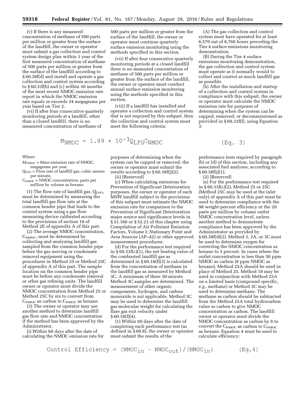(v) If there is any measured concentration of methane of 500 parts per million or greater from the surface of the landfill, the owner or operator must submit a gas collection and control system design plan within 1 year of the first measured concentration of methane of 500 parts per million or greater from the surface of the landfill according to § 60.38f(d) and install and operate a gas collection and control system according to § 60.33f(b) and (c) within 30 months of the most recent NMOC emission rate report in which the NMOC emission rate equals or exceeds 34 megagrams per year based on Tier 2.

(vi) If after four consecutive quarterly monitoring periods at a landfill, other than a closed landfill, there is no measured concentration of methane of

500 parts per million or greater from the surface of the landfill, the owner or operator must continue quarterly surface emission monitoring using the methods specified in this section.

(vii) If after four consecutive quarterly monitoring periods at a closed landfill there is no measured concentration of methane of 500 parts per million or greater from the surface of the landfill, the owner or operator must conduct annual surface emission monitoring using the methods specified in this section.

(viii) If a landfill has installed and operates a collection and control system that is not required by this subpart, then the collection and control system must meet the following criteria:

$$
\texttt{M}_{\text{NMOC}} = 1.89 \times 10^{-3} \texttt{Q}_{\text{LFG}} \texttt{CMMOC}
$$

Where:

- $M_{\text{NMOC}}$  = Mass emission rate of NMOC, megagrams per year.
- $Q<sub>LFG</sub>$  = Flow rate of landfill gas, cubic meters per minute.
- $C_{\text{NMOC}} = \text{NMOC}$  concentration, parts per million by volume as hexane.

(1) The flow rate of landfill gas,  $Q_{LFG}$ , must be determined by measuring the total landfill gas flow rate at the common header pipe that leads to the control system using a gas flow measuring device calibrated according to the provisions of section 10 of Method 2E of appendix A of this part.

(2) The average NMOC concentration,  $C<sub>NMOC</sub>$ , must be determined by collecting and analyzing landfill gas sampled from the common header pipe before the gas moving or condensate removal equipment using the procedures in Method 25 or Method 25C of appendix A of this part. The sample location on the common header pipe must be before any condensate removal or other gas refining units. The landfill owner or operator must divide the NMOC concentration from Method 25 or Method 25C by six to convert from  $C_{\text{NMOC}}$  as carbon to  $C_{\text{NMOC}}$  as hexane.

(3) The owner or operator may use another method to determine landfill gas flow rate and NMOC concentration if the method has been approved by the Administrator.

(i) Within 60 days after the date of calculating the NMOC emission rate for

purposes of determining when the system can be capped or removed, the owner or operator must submit the results according to § 60.38f(j)(2).

(ii) [Reserved]

(c) When calculating emissions for Prevention of Significant Deterioration purposes, the owner or operator of each MSW landfill subject to the provisions of this subpart must estimate the NMOC emission rate for comparison to the Prevention of Significant Deterioration major source and significance levels in § 51.166 or § 52.21 of this chapter using Compilation of Air Pollutant Emission Factors, Volume I: Stationary Point and Area Sources (AP–42) or other approved measurement procedures.

(d) For the performance test required in § 60.33f(c)(1), the net heating value of the combusted landfill gas as determined in § 60.18(f)(3) is calculated from the concentration of methane in the landfill gas as measured by Method 3C. A minimum of three 30-minute Method 3C samples are determined. The measurement of other organic components, hydrogen, and carbon monoxide is not applicable. Method 3C may be used to determine the landfill gas molecular weight for calculating the flare gas exit velocity under  $§ 60.18(f)(4).$ 

(1) Within 60 days after the date of completing each performance test (as defined in § 60.8), the owner or operator must submit the results of the

(A) The gas collection and control system must have operated for at least 6,570 out of 8,760 hours preceding the Tier 4 surface emissions monitoring demonstration.

(B) During the Tier 4 surface emissions monitoring demonstration, the gas collection and control system must operate as it normally would to collect and control as much landfill gas as possible.

(b) After the installation and startup of a collection and control system in compliance with this subpart, the owner or operator must calculate the NMOC emission rate for purposes of determining when the system can be capped, removed, or decommissioned as provided in § 60.33f(f), using Equation 3:

 $(Eq. 3)$ 

performance tests required by paragraph (b) or (d) of this section, including any associated fuel analyses, according to § 60.38f(j)(1).

(2) [Reserved]

(e) For the performance test required in § 60.33f(c)(2), Method 25 or 25C (Method 25C may be used at the inlet only) of appendix A of this part must be used to determine compliance with the 98 weight-percent efficiency or the 20 parts per million by volume outlet NMOC concentration level, unless another method to demonstrate compliance has been approved by the Administrator as provided by § 60.38f(d)(2). Method 3, 3A, or 3C must be used to determine oxygen for correcting the NMOC concentration as hexane to 3 percent. In cases where the outlet concentration is less than 50 ppm NMOC as carbon (8 ppm NMOC as hexane), Method 25A should be used in place of Method 25. Method 18 may be used in conjunction with Method 25A on a limited basis (compound specific, *e.g.*, methane) or Method 3C may be used to determine methane. The methane as carbon should be subtracted from the Method 25A total hydrocarbon value as carbon to give NMOC concentration as carbon. The landfill owner or operator must divide the NMOC concentration as carbon by 6 to convert the  $C_{\text{NMOC}}$  as carbon to  $C_{\text{NMOC}}$ as hexane. Equation 4 must be used to calculate efficiency:

#### Control Efficiency =  $(NMOC_{in} - NMOC_{out}) / (NMOC_{in})$  $(Eq. 4)$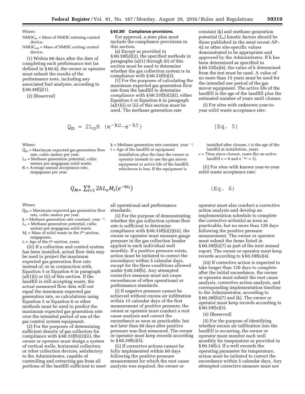Where:

NMOCin = Mass of NMOC entering control device.

NMOCout = Mass of NMOC exiting control device.

(1) Within 60 days after the date of completing each performance test (as defined in § 60.8), the owner or operator must submit the results of the performance tests, including any associated fuel analyses, according to § 60.38f(j)(1).

(2) [Reserved]

#### **§ 60.36f Compliance provisions.**

For approval, a state plan must include the compliance provisions in this section.

(a) Except as provided in § 60.38f(d)(2), the specified methods in paragraphs (a)(1) through (6) of this section must be used to determine whether the gas collection system is in compliance with  $§ 60.33f(b)(2)$ .

(1) For the purposes of calculating the maximum expected gas generation flow rate from the landfill to determine compliance with § 60.33f(b)(2)(i), either Equation 5 or Equation 6 in paragraph  $(a)(1)(i)$  or  $(ii)$  of this section must be used. The methane generation rate

 $k = M$ ethane generation rate constant, year<sup> $-1$ </sup>.

installation plus the time the owner or operator intends to use the gas mover equipment or active life of the landfill, whichever is less. If the equipment is

 $t = Age of the landfill at equipment$ 

 $Q_m = 2L_0R (e^{-kC} - e^{-kt})$ 

Where:

- $\mathbf{Q}_\mathrm{m}$  = Maximum expected gas generation flow rate, cubic meters per year.
- $L<sub>o</sub>$  = Methane generation potential, cubic meters per megagram solid waste.
- $R = A$ verage annual acceptance rate, megagrams per year.

$$
Q_{M} = \sum_{i=1}^{n} 2k L_o M_i(e^{-kt_i})
$$

Where:

- $Q_M$  = Maximum expected gas generation flow rate, cubic meters per year.
- $k = M$ ethane generation rate constant, year<sup> $-1$ </sup>.  $L<sub>o</sub>$  = Methane generation potential, cubic
- meters per megagram solid waste.  $M_i$  = Mass of solid waste in the i<sup>th</sup> section, megagrams.

 $t_i$  = Age of the i<sup>th</sup> section, years.

(iii) If a collection and control system has been installed, actual flow data may be used to project the maximum expected gas generation flow rate instead of, or in conjunction with, Equation 5 or Equation 6 in paragraph (a)(1)(i) or (ii) of this section. If the landfill is still accepting waste, the actual measured flow data will not equal the maximum expected gas generation rate, so calculations using Equation 5 or Equation 6 or other methods must be used to predict the maximum expected gas generation rate over the intended period of use of the gas control system equipment.

(2) For the purposes of determining sufficient density of gas collectors for compliance with § 60.33f(b)(2)(ii), the owner or operator must design a system of vertical wells, horizontal collectors, or other collection devices, satisfactory to the Administrator, capable of controlling and extracting gas from all portions of the landfill sufficient to meet

all operational and performance standards.

(3) For the purpose of demonstrating whether the gas collection system flow rate is sufficient to determine compliance with § 60.33f(b)(2)(iii), the owner or operator must measure gauge pressure in the gas collection header applied to each individual well monthly. If a positive pressure exists, action must be initiated to correct the exceedance within 5 calendar days, except for the three conditions allowed under § 60.34f(b). Any attempted corrective measure must not cause exceedances of other operational or performance standards.

(i) If negative pressure cannot be achieved without excess air infiltration within 15 calendar days of the first measurement of positive pressure, the owner or operator must conduct a root cause analysis and correct the exceedance as soon as practicable, but not later than 60 days after positive pressure was first measured. The owner or operator must keep records according to § 60.39f(e)(3).

(ii) If corrective actions cannot be fully implemented within 60 days following the positive pressure measurement for which the root cause analysis was required, the owner or

constant (k) and methane generation potential (Lo) kinetic factors should be those published in the most recent AP– 42 or other site-specific values demonstrated to be appropriate and approved by the Administrator. If k has been determined as specified in § 60.35f(a)(4), the value of k determined from the test must be used. A value of no more than 15 years must be used for the intended use period of the gas mover equipment. The active life of the landfill is the age of the landfill plus the estimated number of years until closure.

(i) For sites with unknown year-toyear solid waste acceptance rate:

 $(Eq. 5)$ 

installed after closure, t is the age of the landfill at installation, years.

c = Time since closure, years (for an active landfill  $c = 0$  and  $e^{-kc} = 1$ .

(ii) For sites with known year-to-year solid waste acceptance rate:

 $(Eq. 6)$ 

operator must also conduct a corrective action analysis and develop an implementation schedule to complete the corrective action(s) as soon as practicable, but no more than 120 days following the positive pressure measurement. The owner or operator must submit the items listed in § 60.38f(h)(7) as part of the next annual report. The owner or operator must keep records according to  $\S 60.39f(e)(4)$ .

(iii) If corrective action is expected to take longer than 120 days to complete after the initial exceedance, the owner or operator must submit the root cause analysis, corrective action analysis, and corresponding implementation timeline to the Administrator, according to § 60.38f(h)(7) and (k). The owner or operator must keep records according to § 60.39f(e)(5).

(4) [Reserved]

(5) For the purpose of identifying whether excess air infiltration into the landfill is occurring, the owner or operator must monitor each well monthly for temperature as provided in § 60.34f(c). If a well exceeds the operating parameter for temperature, action must be initiated to correct the exceedance within 5 calendar days. Any attempted corrective measure must not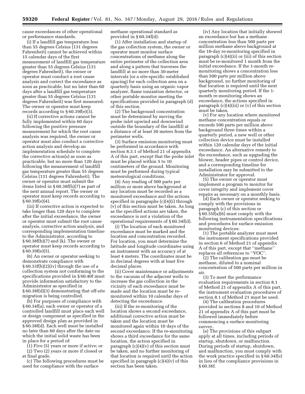cause exceedances of other operational or performance standards.

(i) If a landfill gas temperature less than 55 degrees Celsius (131 degrees Fahrenheit) cannot be achieved within 15 calendar days of the first measurement of landfill gas temperature greater than 55 degrees Celsius (131 degrees Fahrenheit), the owner or operator must conduct a root cause analysis and correct the exceedance as soon as practicable, but no later than 60 days after a landfill gas temperature greater than 55 degrees Celsius (131 degrees Fahrenheit) was first measured. The owner or operator must keep records according to  $§ 60.39f(e)(3)$ .

(ii) If corrective actions cannot be fully implemented within 60 days following the positive pressure measurement for which the root cause analysis was required, the owner or operator must also conduct a corrective action analysis and develop an implementation schedule to complete the corrective action(s) as soon as practicable, but no more than 120 days following the measurement of landfill gas temperature greater than 55 degrees Celsius (131 degrees Fahrenheit). The owner or operator must submit the items listed in § 60.38f(h)(7) as part of the next annual report. The owner or operator must keep records according to  $§ 60.39f(e)(4).$ 

(iii) If corrective action is expected to take longer than 120 days to complete after the initial exceedance, the owner or operator must submit the root cause analysis, corrective action analysis, and corresponding implementation timeline to the Administrator, according to § 60.38f(h)(7) and (k). The owner or operator must keep records according to  $§ 60.39f(e)(5).$ 

(6) An owner or operator seeking to demonstrate compliance with § 60.33f(b)(2)(iv) through the use of a collection system not conforming to the specifications provided in § 60.40f must provide information satisfactory to the Administrator as specified in § 60.38f(d)(3) demonstrating that off-site migration is being controlled.

(b) For purposes of compliance with § 60.34f(a), each owner or operator of a controlled landfill must place each well or design component as specified in the approved design plan as provided in § 60.38f(d). Each well must be installed no later than 60 days after the date on which the initial solid waste has been in place for a period of:

(1) Five (5) years or more if active; or (2) Two (2) years or more if closed or

at final grade. (c) The following procedures must be used for compliance with the surface

methane operational standard as provided in § 60.34f(d):

(1) After installation and startup of the gas collection system, the owner or operator must monitor surface concentrations of methane along the entire perimeter of the collection area and along a pattern that traverses the landfill at no more than 30-meter intervals (or a site-specific established spacing) for each collection area on a quarterly basis using an organic vapor analyzer, flame ionization detector, or other portable monitor meeting the specifications provided in paragraph (d) of this section.

(2) The background concentration must be determined by moving the probe inlet upwind and downwind outside the boundary of the landfill at a distance of at least 30 meters from the perimeter wells.

(3) Surface emission monitoring must be performed in accordance with section 8.3.1 of Method 21 of appendix A of this part, except that the probe inlet must be placed within 5 to 10 centimeters of the ground. Monitoring must be performed during typical meteorological conditions.

(4) Any reading of 500 parts per million or more above background at any location must be recorded as a monitored exceedance and the actions specified in paragraphs (c)(4)(i) through (v) of this section must be taken. As long as the specified actions are taken, the exceedance is not a violation of the operational requirements of § 60.34f(d).

(i) The location of each monitored exceedance must be marked and the location and concentration recorded. For location, you must determine the latitude and longitude coordinates using an instrument with an accuracy of at least 4 meters. The coordinates must be in decimal degrees with at least five decimal places.

(ii) Cover maintenance or adjustments to the vacuum of the adjacent wells to increase the gas collection in the vicinity of each exceedance must be made and the location must be remonitored within 10 calendar days of detecting the exceedance.

(iii) If the re-monitoring of the location shows a second exceedance, additional corrective action must be taken and the location must be monitored again within 10 days of the second exceedance. If the re-monitoring shows a third exceedance for the same location, the action specified in paragraph (c)(4)(v) of this section must be taken, and no further monitoring of that location is required until the action specified in paragraph  $(c)(4)(v)$  of this section has been taken.

(iv) Any location that initially showed an exceedance but has a methane concentration less than 500 parts per million methane above background at the 10-day re-monitoring specified in paragraph (c)(4)(ii) or (iii) of this section must be re-monitored 1 month from the initial exceedance. If the 1-month remonitoring shows a concentration less than 500 parts per million above background, no further monitoring of that location is required until the next quarterly monitoring period. If the 1 month re-monitoring shows an exceedance, the actions specified in paragraph  $(c)(4)(iii)$  or  $(v)$  of this section must be taken.

(v) For any location where monitored methane concentration equals or exceeds 500 parts per million above background three times within a quarterly period, a new well or other collection device must be installed within 120 calendar days of the initial exceedance. An alternative remedy to the exceedance, such as upgrading the blower, header pipes or control device, and a corresponding timeline for installation may be submitted to the Administrator for approval.

(5) The owner or operator must implement a program to monitor for cover integrity and implement cover repairs as necessary on a monthly basis.

(d) Each owner or operator seeking to comply with the provisions in paragraph (c) of this section or § 60.35f(a)(6) must comply with the following instrumentation specifications and procedures for surface emission monitoring devices:

(1) The portable analyzer must meet the instrument specifications provided in section 6 of Method 21 of appendix A of this part, except that ''methane'' replaces all references to ''VOC''.

(2) The calibration gas must be methane, diluted to a nominal concentration of 500 parts per million in air.

(3) To meet the performance evaluation requirements in section 8.1 of Method 21 of appendix A of this part, the instrument evaluation procedures of section 8.1 of Method 21 must be used.

(4) The calibration procedures provided in sections 8 and 10 of Method 21 of appendix A of this part must be followed immediately before commencing a surface monitoring survey.

(e) The provisions of this subpart apply at all times, including periods of startup, shutdown, or malfunction. During periods of startup, shutdown, and malfunction, you must comply with the work practice specified in § 60.34f(e) in lieu of the compliance provisions in § 60.36f.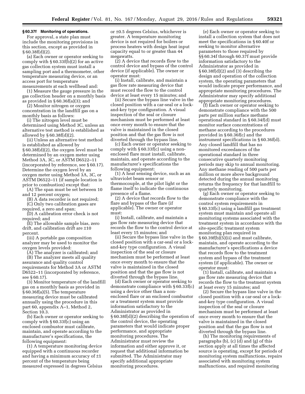#### **§ 60.37f Monitoring of operations.**

For approval, a state plan must include the monitoring provisions in this section, except as provided in § 60.38f(d)(2).

(a) Each owner or operator seeking to comply with § 60.33f(b)(2) for an active gas collection system must install a sampling port and a thermometer, other temperature measuring device, or an access port for temperature measurements at each wellhead and:

(1) Measure the gauge pressure in the gas collection header on a monthly basis as provided in § 60.36f(a)(3); and

(2) Monitor nitrogen or oxygen concentration in the landfill gas on a monthly basis as follows:

(i) The nitrogen level must be determined using Method 3C, unless an alternative test method is established as allowed by § 60.38f(d)(2).

(ii) Unless an alternative test method is established as allowed by § 60.38f(d)(2), the oxygen level must be determined by an oxygen meter using Method 3A, 3C, or ASTM D6522–11 (incorporated by reference, see § 60.17). Determine the oxygen level by an oxygen meter using Method 3A, 3C, or ASTM D6522–11 (if sample location is prior to combustion) except that:

(A) The span must be set between 10 and 12 percent oxygen;

(B) A data recorder is not required;

(C) Only two calibration gases are required, a zero and span;

(D) A calibration error check is not required; and

(E) The allowable sample bias, zero drift, and calibration drift are ±10 percent.

(iii) A portable gas composition analyzer may be used to monitor the oxygen levels provided:

(A) The analyzer is calibrated; and (B) The analyzer meets all quality assurance and quality control requirements for Method 3A or ASTM D6522–11 (incorporated by reference, see § 60.17).

(3) Monitor temperature of the landfill gas on a monthly basis as provided in § 60.36f(a)(5). The temperature measuring device must be calibrated annually using the procedure in this part 60, appendix A–1, Method 2, Section 10.3.

(b) Each owner or operator seeking to comply with § 60.33f(c) using an enclosed combustor must calibrate, maintain, and operate according to the manufacturer's specifications, the following equipment:

(1) A temperature monitoring device equipped with a continuous recorder and having a minimum accuracy of ±1 percent of the temperature being measured expressed in degrees Celsius or ±0.5 degrees Celsius, whichever is greater. A temperature monitoring device is not required for boilers or process heaters with design heat input capacity equal to or greater than 44 megawatts.

(2) A device that records flow to the control device and bypass of the control device (if applicable). The owner or operator must:

(i) Install, calibrate, and maintain a gas flow rate measuring device that must record the flow to the control device at least every 15 minutes; and

(ii) Secure the bypass line valve in the closed position with a car-seal or a lockand-key type configuration. A visual inspection of the seal or closure mechanism must be performed at least once every month to ensure that the valve is maintained in the closed position and that the gas flow is not diverted through the bypass line.

(c) Each owner or operator seeking to comply with § 60.33f(c) using a nonenclosed flare must install, calibrate, maintain, and operate according to the manufacturer's specifications the following equipment:

(1) A heat sensing device, such as an ultraviolet beam sensor or thermocouple, at the pilot light or the flame itself to indicate the continuous presence of a flame.

(2) A device that records flow to the flare and bypass of the flare (if applicable). The owner or operator must:

(i) Install, calibrate, and maintain a gas flow rate measuring device that records the flow to the control device at least every 15 minutes; and

(ii) Secure the bypass line valve in the closed position with a car-seal or a lockand-key type configuration. A visual inspection of the seal or closure mechanism must be performed at least once every month to ensure that the valve is maintained in the closed position and that the gas flow is not diverted through the bypass line.

(d) Each owner or operator seeking to demonstrate compliance with § 60.33f(c) using a device other than a nonenclosed flare or an enclosed combustor or a treatment system must provide information satisfactory to the Administrator as provided in § 60.38f(d)(2) describing the operation of the control device, the operating parameters that would indicate proper performance, and appropriate monitoring procedures. The Administrator must review the information and either approve it, or request that additional information be submitted. The Administrator may specify additional appropriate monitoring procedures.

(e) Each owner or operator seeking to install a collection system that does not meet the specifications in § 60.40f or seeking to monitor alternative parameters to those required by §§ 60.34f through 60.37f must provide information satisfactory to the Administrator as provided in § 60.38f(d)(2) and (3) describing the design and operation of the collection system, the operating parameters that would indicate proper performance, and appropriate monitoring procedures. The Administrator may specify additional appropriate monitoring procedures.

(f) Each owner or operator seeking to demonstrate compliance with the 500 parts per million surface methane operational standard in § 60.34f(d) must monitor surface concentrations of methane according to the procedures provided in § 60.36f(c) and the instrument specifications in § 60.36f(d). Any closed landfill that has no monitored exceedances of the operational standard in three consecutive quarterly monitoring periods may skip to annual monitoring. Any methane reading of 500 parts per million or more above background detected during the annual monitoring returns the frequency for that landfill to quarterly monitoring.

(g) Each owner or operator seeking to demonstrate compliance with the control system requirements in § 60.33f(c) using a landfill gas treatment system must maintain and operate all monitoring systems associated with the treatment system in accordance with the site-specific treatment system monitoring plan required in § 60.39f(b)(5)(ii) and must calibrate, maintain, and operate according to the manufacturer's specifications a device that records flow to the treatment system and bypass of the treatment system (if applicable). The owner or operator must:

(1) Install, calibrate, and maintain a gas flow rate measuring device that records the flow to the treatment system at least every 15 minutes; and

(2) Secure the bypass line valve in the closed position with a car-seal or a lockand-key type configuration. A visual inspection of the seal or closure mechanism must be performed at least once every month to ensure that the valve is maintained in the closed position and that the gas flow is not diverted through the bypass line.

(h) The monitoring requirements of paragraphs (b), (c) (d) and (g) of this section apply at all times the affected source is operating, except for periods of monitoring system malfunctions, repairs associated with monitoring system malfunctions, and required monitoring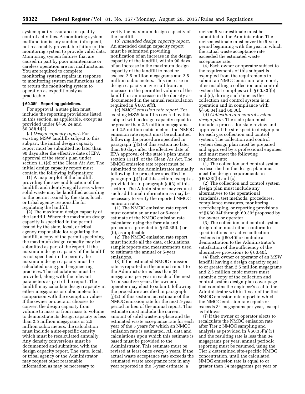system quality assurance or quality control activities. A monitoring system malfunction is any sudden, infrequent, not reasonably preventable failure of the monitoring system to provide valid data. Monitoring system failures that are caused in part by poor maintenance or careless operation are not malfunctions. You are required to complete monitoring system repairs in response to monitoring system malfunctions and to return the monitoring system to operation as expeditiously as practicable.

# **§ 60.38f Reporting guidelines.**

For approval, a state plan must include the reporting provisions listed in this section, as applicable, except as provided under §§ 60.24 and 60.38f(d)(2).

(a) *Design capacity report.* For existing MSW landfills subject to this subpart, the initial design capacity report must be submitted no later than 90 days after the effective date of EPA approval of the state's plan under section 111(d) of the Clean Air Act. The initial design capacity report must contain the following information:

(1) A map or plot of the landfill, providing the size and location of the landfill, and identifying all areas where solid waste may be landfilled according to the permit issued by the state, local, or tribal agency responsible for regulating the landfill.

(2) The maximum design capacity of the landfill. Where the maximum design capacity is specified in the permit issued by the state, local, or tribal agency responsible for regulating the landfill, a copy of the permit specifying the maximum design capacity may be submitted as part of the report. If the maximum design capacity of the landfill is not specified in the permit, the maximum design capacity must be calculated using good engineering practices. The calculations must be provided, along with the relevant parameters as part of the report. The landfill may calculate design capacity in either megagrams or cubic meters for comparison with the exemption values. If the owner or operator chooses to convert the design capacity from volume to mass or from mass to volume to demonstrate its design capacity is less than 2.5 million megagrams or 2.5 million cubic meters, the calculation must include a site-specific density, which must be recalculated annually. Any density conversions must be documented and submitted with the design capacity report. The state, local, or tribal agency or the Administrator may request other reasonable information as may be necessary to

verify the maximum design capacity of the landfill.

(b) *Amended design capacity report.*  An amended design capacity report must be submitted providing notification of an increase in the design capacity of the landfill, within 90 days of an increase in the maximum design capacity of the landfill to meet or exceed 2.5 million megagrams and 2.5 million cubic meters. This increase in design capacity may result from an increase in the permitted volume of the landfill or an increase in the density as documented in the annual recalculation required in § 60.39f(f).

(c) *NMOC emission rate report.* For existing MSW landfills covered by this subpart with a design capacity equal to or greater than 2.5 million megagrams and 2.5 million cubic meters, the NMOC emission rate report must be submitted following the procedure specified in paragraph  $(j)(\overline{2})$  of this section no later than 90 days after the effective date of EPA approval of the state's plan under section 111(d) of the Clean Air Act. The NMOC emission rate report must be submitted to the Administrator annually following the procedure specified in paragraph (j)(2) of this section, except as provided for in paragraph (c)(3) of this section. The Administrator may request such additional information as may be necessary to verify the reported NMOC emission rate.

(1) The NMOC emission rate report must contain an annual or 5-year estimate of the NMOC emission rate calculated using the formula and procedures provided in § 60.35f(a) or (b), as applicable.

(2) The NMOC emission rate report must include all the data, calculations, sample reports and measurements used to estimate the annual or 5-year emissions.

(3) If the estimated NMOC emission rate as reported in the annual report to the Administrator is less than 34 megagrams per year in each of the next 5 consecutive years, the owner or operator may elect to submit, following the procedure specified in paragraph (j)(2) of this section, an estimate of the NMOC emission rate for the next 5-year period in lieu of the annual report. This estimate must include the current amount of solid waste-in-place and the estimated waste acceptance rate for each year of the 5 years for which an NMOC emission rate is estimated. All data and calculations upon which this estimate is based must be provided to the Administrator. This estimate must be revised at least once every 5 years. If the actual waste acceptance rate exceeds the estimated waste acceptance rate in any year reported in the 5-year estimate, a

revised 5-year estimate must be submitted to the Administrator. The revised estimate must cover the 5-year period beginning with the year in which the actual waste acceptance rate exceeded the estimated waste acceptance rate.

(4) Each owner or operator subject to the requirements of this subpart is exempted from the requirements to submit an NMOC emission rate report, after installing a collection and control system that complies with § 60.33f(b) and (c), during such time as the collection and control system is in operation and in compliance with §§ 60.34f and 60.36f.

(d) *Collection and control system design plan.* The state plan must include a process for state review and approval of the site-specific design plan for each gas collection and control system. The collection and control system design plan must be prepared and approved by a professional engineer and must meet the following requirements:

(1) The collection and control system as described in the design plan must meet the design requirements in § 60.33f(b) and (c).

(2) The collection and control system design plan must include any alternatives to the operational standards, test methods, procedures, compliance measures, monitoring, recordkeeping, or reporting provisions of §§ 60.34f through 60.39f proposed by the owner or operator.

(3) The collection and control system design plan must either conform to specifications for active collection systems in § 60.40f or include a demonstration to the Administrator's satisfaction of the sufficiency of the alternative provisions to § 60.40f.

(4) Each owner or operator of an MSW landfill having a design capacity equal to or greater than 2.5 million megagrams and 2.5 million cubic meters must submit a copy of the collection and control system design plan cover page that contains the engineer's seal to the Administrator within 1 year of the first NMOC emission rate report in which the NMOC emission rate equals or exceeds 34 megagrams per year, except as follows:

(i) If the owner or operator elects to recalculate the NMOC emission rate after Tier 2 NMOC sampling and analysis as provided in § 60.35f(a)(3) and the resulting rate is less than 34 megagrams per year, annual periodic reporting must be resumed, using the Tier 2 determined site-specific NMOC concentration, until the calculated NMOC emission rate is equal to or greater than 34 megagrams per year or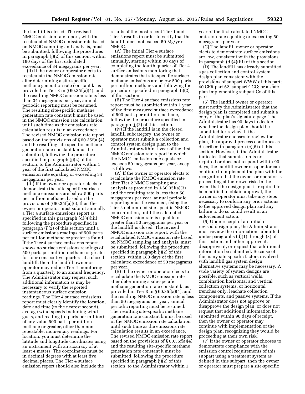the landfill is closed. The revised NMOC emission rate report, with the recalculated NMOC emission rate based on NMOC sampling and analysis, must be submitted, following the procedures in paragraph (j)(2) of this section, within 180 days of the first calculated exceedance of 34 megagrams per year.

(ii) If the owner or operator elects to recalculate the NMOC emission rate after determining a site-specific methane generation rate constant k, as provided in Tier 3 in § 60.35f(a)(4), and the resulting NMOC emission rate is less than 34 megagrams per year, annual periodic reporting must be resumed. The resulting site-specific methane generation rate constant k must be used in the NMOC emission rate calculation until such time as the emissions rate calculation results in an exceedance. The revised NMOC emission rate report based on the provisions of § 60.35f(a)(4) and the resulting site-specific methane generation rate constant k must be submitted, following the procedure specified in paragraph (j)(2) of this section, to the Administrator within 1 year of the first calculated NMOC emission rate equaling or exceeding 34 megagrams per year.

(iii) If the owner or operator elects to demonstrate that site-specific surface methane emissions are below 500 parts per million methane, based on the provisions of § 60.35f(a)(6), then the owner or operator must submit annually a Tier 4 surface emissions report as specified in this paragraph (d)(4)(iii) following the procedure specified in paragraph (j)(2) of this section until a surface emissions readings of 500 parts per million methane or greater is found. If the Tier 4 surface emissions report shows no surface emissions readings of 500 parts per million methane or greater for four consecutive quarters at a closed landfill, then the landfill owner or operator may reduce Tier 4 monitoring from a quarterly to an annual frequency. The Administrator may request such additional information as may be necessary to verify the reported instantaneous surface emission readings. The Tier 4 surface emissions report must clearly identify the location, date and time (to the nearest second), average wind speeds including wind gusts, and reading (in parts per million) of any value 500 parts per million methane or greater, other than nonrepeatable, momentary readings. For location, you must determine the latitude and longitude coordinates using an instrument with an accuracy of at least 4 meters. The coordinates must be in decimal degrees with at least five decimal places. The Tier 4 surface emission report should also include the

results of the most recent Tier 1 and Tier 2 results in order to verify that the landfill does not exceed 50 Mg/yr of NMOC.

(A) The initial Tier 4 surface emissions report must be submitted annually, starting within 30 days of completing the fourth quarter of Tier 4 surface emissions monitoring that demonstrates that site-specific surface methane emissions are below 500 parts per million methane, and following the procedure specified in paragraph (j)(2) of this section.

(B) The Tier 4 surface emissions rate report must be submitted within 1 year of the first measured surface exceedance of 500 parts per million methane, following the procedure specified in paragraph  $(j)(\overline{2})$  of this section.

(iv) If the landfill is in the closed landfill subcategory, the owner or operator must submit a collection and control system design plan to the Administrator within 1 year of the first NMOC emission rate report in which the NMOC emission rate equals or exceeds 50 megagrams per year, except as follows:

(A) If the owner or operator elects to recalculate the NMOC emission rate after Tier 2 NMOC sampling and analysis as provided in § 60.35f(a)(3) and the resulting rate is less than 50 megagrams per year, annual periodic reporting must be resumed, using the Tier 2 determined site-specific NMOC concentration, until the calculated NMOC emission rate is equal to or greater than 50 megagrams per year or the landfill is closed. The revised NMOC emission rate report, with the recalculated NMOC emission rate based on NMOC sampling and analysis, must be submitted, following the procedure specified in paragraph (j)(2) of this section, within 180 days of the first calculated exceedance of 50 megagrams per year.

(B) If the owner or operator elects to recalculate the NMOC emission rate after determining a site-specific methane generation rate constant k, as provided in Tier 3 in § 60.35f(a)(4), and the resulting NMOC emission rate is less than 50 megagrams per year, annual periodic reporting must be resumed. The resulting site-specific methane generation rate constant k must be used in the NMOC emission rate calculation until such time as the emissions rate calculation results in an exceedance. The revised NMOC emission rate report based on the provisions of § 60.35f(a)(4) and the resulting site-specific methane generation rate constant k must be submitted, following the procedure specified in paragraph (j)(2) of this section, to the Administrator within 1

year of the first calculated NMOC emission rate equaling or exceeding 50 megagrams per year.

(C) The landfill owner or operator elects to demonstrate surface emissions are low, consistent with the provisions in paragraph (d)(4)(iii) of this section.

(D) The landfill has already submitted a gas collection and control system design plan consistent with the provisions of subpart WWW of this part; 40 CFR part 62, subpart GGG; or a state plan implementing subpart Cc of this part.

(5) The landfill owner or operator must notify the Administrator that the design plan is completed and submit a copy of the plan's signature page. The Administrator has 90 days to decide whether the design plan should be submitted for review. If the Administrator chooses to review the plan, the approval process continues as described in paragraph (c)(6) of this section. However, if the Administrator indicates that submission is not required or does not respond within 90 days, the landfill owner or operator can continue to implement the plan with the recognition that the owner or operator is proceeding at their own risk. In the event that the design plan is required to be modified to obtain approval, the owner or operator must take any steps necessary to conform any prior actions to the approved design plan and any failure to do so could result in an enforcement action.

(6) Upon receipt of an initial or revised design plan, the Administrator must review the information submitted under paragraphs (d)(1) through (3) of this section and either approve it, disapprove it, or request that additional information be submitted. Because of the many site-specific factors involved with landfill gas system design, alternative systems may be necessary. A wide variety of system designs are possible, such as vertical wells, combination horizontal and vertical collection systems, or horizontal trenches only, leachate collection components, and passive systems. If the Administrator does not approve or disapprove the design plan, or does not request that additional information be submitted within 90 days of receipt, then the owner or operator may continue with implementation of the design plan, recognizing they would be proceeding at their own risk.

(7) If the owner or operator chooses to demonstrate compliance with the emission control requirements of this subpart using a treatment system as defined in this subpart, then the owner or operator must prepare a site-specific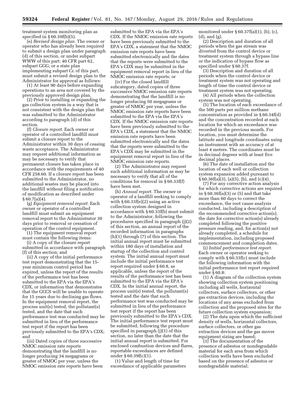treatment system monitoring plan as specified in § 60.39f(b)(5).

(e) *Revised design plan.* The owner or operator who has already been required to submit a design plan under paragraph (d) of this section, or under subpart WWW of this part; 40 CFR part 62, subpart GGG; or a state plan implementing subpart Cc of this part, must submit a revised design plan to the Administrator for approval as follows:

(1) At least 90 days before expanding operations to an area not covered by the previously approved design plan.

(2) Prior to installing or expanding the gas collection system in a way that is not consistent with the design plan that was submitted to the Administrator according to paragraph (d) of this section.

(f) *Closure report.* Each owner or operator of a controlled landfill must submit a closure report to the Administrator within 30 days of ceasing waste acceptance. The Administrator may request additional information as may be necessary to verify that permanent closure has taken place in accordance with the requirements of 40 CFR 258.60. If a closure report has been submitted to the Administrator, no additional wastes may be placed into the landfill without filing a notification of modification as described under  $§ 60.7(a)(4).$ 

(g) *Equipment removal report.* Each owner or operator of a controlled landfill must submit an equipment removal report to the Administrator 30 days prior to removal or cessation of operation of the control equipment.

(1) The equipment removal report must contain the following items:

(i) A copy of the closure report submitted in accordance with paragraph (f) of this section; and

(ii) A copy of the initial performance test report demonstrating that the 15 year minimum control period has expired, unless the report of the results of the performance test has been submitted to the EPA via the EPA's CDX, or information that demonstrates that the GCCS will be unable to operate for 15 years due to declining gas flows. In the equipment removal report, the process unit(s) tested, the pollutant(s) tested, and the date that such performance test was conducted may be submitted in lieu of the performance test report if the report has been previously submitted to the EPA's CDX; and

(iii) Dated copies of three successive NMOC emission rate reports demonstrating that the landfill is no longer producing 34 megagrams or greater of NMOC per year, unless the NMOC emission rate reports have been

submitted to the EPA via the EPA's CDX. If the NMOC emission rate reports have been previously submitted to the EPA's CDX, a statement that the NMOC emission rate reports have been submitted electronically and the dates that the reports were submitted to the EPA's CDX may be submitted in the equipment removal report in lieu of the NMOC emission rate reports; or

(iv) For the closed landfill subcategory, dated copies of three successive NMOC emission rate reports demonstrating that the landfill is no longer producing 50 megagrams or greater of NMOC per year, unless the NMOC emission rate reports have been submitted to the EPA via the EPA's CDX. If the NMOC emission rate reports have been previously submitted to the EPA's CDX, a statement that the NMOC emission rate reports have been submitted electronically and the dates that the reports were submitted to the EPA's CDX may be submitted in the equipment removal report in lieu of the NMOC emission rate reports.

(2) The Administrator may request such additional information as may be necessary to verify that all of the conditions for removal in § 60.33f(f) have been met.

(h) *Annual report.* The owner or operator of a landfill seeking to comply with § 60.33f(e)(2) using an active collection system designed in accordance with § 60.33f(b) must submit to the Administrator, following the procedures specified in paragraph (j)(2) of this section, an annual report of the recorded information in paragraphs (h)(1) through (7) of this section. The initial annual report must be submitted within 180 days of installation and startup of the collection and control system. The initial annual report must include the initial performance test report required under § 60.8, as applicable, unless the report of the results of the performance test has been submitted to the EPA via the EPA's CDX. In the initial annual report, the process unit(s) tested, the pollutant(s) tested and the date that such performance test was conducted may be submitted in lieu of the performance test report if the report has been previously submitted to the EPA's CDX. The initial performance test report must be submitted, following the procedure specified in paragraph (j)(1) of this section, no later than the date that the initial annual report is submitted. For enclosed combustion devices and flares, reportable exceedances are defined under § 60.39f(c)(1).

(1) Value and length of time for exceedance of applicable parameters monitored under § 60.37f(a)(1), (b), (c), (d), and (g).

(2) Description and duration of all periods when the gas stream was diverted from the control device or treatment system through a bypass line or the indication of bypass flow as specified under § 60.37f.

(3) Description and duration of all periods when the control device or treatment system was not operating and length of time the control device or treatment system was not operating.

(4) All periods when the collection system was not operating.

(5) The location of each exceedance of the 500 parts per million methane concentration as provided in § 60.34f(d) and the concentration recorded at each location for which an exceedance was recorded in the previous month. For location, you must determine the latitude and longitude coordinates using an instrument with an accuracy of at least 4 meters. The coordinates must be in decimal degrees with at least five decimal places.

(6) The date of installation and the location of each well or collection system expansion added pursuant to  $\S 60.36f(a)(3)$ , (a)(5), (b), and (c)(4).

(7) For any corrective action analysis for which corrective actions are required in § 60.36f(a)(3) or (5) and that take more than 60 days to correct the exceedance, the root cause analysis conducted, including a description of the recommended corrective action(s), the date for corrective action(s) already completed following the positive pressure reading, and, for action(s) not already completed, a schedule for implementation, including proposed commencement and completion dates.

(i) *Initial performance test report.*  Each owner or operator seeking to comply with § 60.33f(c) must include the following information with the initial performance test report required under § 60.8:

(1) A diagram of the collection system showing collection system positioning including all wells, horizontal collectors, surface collectors, or other gas extraction devices, including the locations of any areas excluded from collection and the proposed sites for the future collection system expansion;

(2) The data upon which the sufficient density of wells, horizontal collectors, surface collectors, or other gas extraction devices and the gas mover equipment sizing are based;

(3) The documentation of the presence of asbestos or nondegradable material for each area from which collection wells have been excluded based on the presence of asbestos or nondegradable material;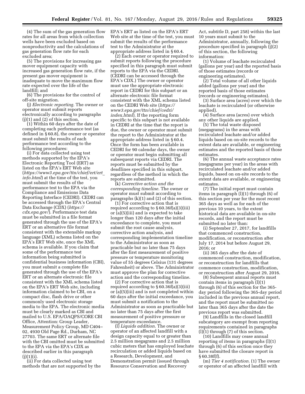(4) The sum of the gas generation flow rates for all areas from which collection wells have been excluded based on nonproductivity and the calculations of gas generation flow rate for each excluded area;

(5) The provisions for increasing gas mover equipment capacity with increased gas generation flow rate, if the present gas mover equipment is inadequate to move the maximum flow rate expected over the life of the landfill; and

(6) The provisions for the control of off-site migration.

(j) *Electronic reporting.* The owner or operator must submit reports electronically according to paragraphs (j)(1) and (2) of this section.

(1) Within 60 days after the date of completing each performance test (as defined in § 60.8), the owner or operator must submit the results of each performance test according to the following procedures:

(i) For data collected using test methods supported by the EPA's Electronic Reporting Tool (ERT) as listed on the EPA's ERT Web site (*[https://www3.epa.gov/ttn/chief/ert/ert](https://www3.epa.gov/ttn/chief/ert/ert_info.html)*\_ *[info.html](https://www3.epa.gov/ttn/chief/ert/ert_info.html)*) at the time of the test, you must submit the results of the performance test to the EPA via the Compliance and Emissions Data Reporting Interface (CEDRI). CEDRI can be accessed through the EPA's Central Data Exchange (CDX) (*[https://](https://cdx.epa.gov/) [cdx.epa.gov/](https://cdx.epa.gov/)*). Performance test data must be submitted in a file format generated through the use of the EPA's ERT or an alternative file format consistent with the extensible markup language (XML) schema listed on the EPA's ERT Web site, once the XML schema is available. If you claim that some of the performance test information being submitted is confidential business information (CBI), you must submit a complete file generated through the use of the EPA's ERT or an alternate electronic file consistent with the XML schema listed on the EPA's ERT Web site, including information claimed to be CBI, on a compact disc, flash drive or other commonly used electronic storage media to the EPA. The electronic media must be clearly marked as CBI and mailed to U.S. EPA/OAQPS/CORE CBI Office, Attention: Group Leader, Measurement Policy Group, MD C404– 02, 4930 Old Page Rd., Durham, NC 27703. The same ERT or alternate file with the CBI omitted must be submitted to the EPA via the EPA's CDX as described earlier in this paragraph  $(j)(1)(i)$ .

(ii) For data collected using test methods that are not supported by the

EPA's ERT as listed on the EPA's ERT Web site at the time of the test, you must submit the results of the performance test to the Administrator at the appropriate address listed in § 60.4.

(2) Each owner or operator required to submit reports following the procedure specified in this paragraph must submit reports to the EPA via the CEDRI. (CEDRI can be accessed through the EPA's CDX.) The owner or operator must use the appropriate electronic report in CEDRI for this subpart or an alternate electronic file format consistent with the XML schema listed on the CEDRI Web site (*[https://](https://www3.epa.gov/ttn/chief/cedri/index.html) [www3.epa.gov/ttn/chief/cedri/](https://www3.epa.gov/ttn/chief/cedri/index.html) [index.html](https://www3.epa.gov/ttn/chief/cedri/index.html)*). If the reporting form specific to this subpart is not available in CEDRI at the time that the report is due, the owner or operator must submit the report to the Administrator at the appropriate address listed in § 60.4. Once the form has been available in CEDRI for 90 calendar days, the owner or operator must begin submitting all subsequent reports via CEDRI. The reports must be submitted by the deadlines specified in this subpart, regardless of the method in which the reports are submitted.

(k) *Corrective action and the corresponding timeline.* The owner or operator must submit according to paragraphs (k)(1) and (2) of this section.

(1) For corrective action that is required according to § 60.36f(a)(3)(iii) or (a)(5)(iii) and is expected to take longer than 120 days after the initial exceedance to complete, you must submit the root cause analysis, corrective action analysis, and corresponding implementation timeline to the Administrator as soon as practicable but no later than 75 days after the first measurement of positive pressure or temperature monitoring value of 55 degrees Celsius (131 degrees Fahrenheit) or above. The Administrator must approve the plan for corrective action and the corresponding timeline.

(2) For corrective action that is required according to § 60.36f(a)(3)(iii) or (a)(5)(iii) and is not completed within 60 days after the initial exceedance, you must submit a notification to the Administrator as soon as practicable but no later than 75 days after the first measurement of positive pressure or temperature exceedance.

(l) *Liquids addition.* The owner or operator of an affected landfill with a design capacity equal to or greater than 2.5 million megagrams and 2.5 million cubic meters that has employed leachate recirculation or added liquids based on a Research, Development, and Demonstration permit (issued through Resource Conservation and Recovery

Act, subtitle D, part 258) within the last 10 years must submit to the Administrator, annually, following the procedure specified in paragraph (j)(2) of this section, the following information:

(1) Volume of leachate recirculated (gallons per year) and the reported basis of those estimates (records or engineering estimates).

(2) Total volume of all other liquids added (gallons per year) and the reported basis of those estimates (records or engineering estimates).

(3) Surface area (acres) over which the leachate is recirculated (or otherwise applied).

(4) Surface area (acres) over which any other liquids are applied.

(5) The total waste disposed (megagrams) in the areas with recirculated leachate and/or added liquids based on on-site records to the extent data are available, or engineering estimates and the reported basis of those estimates.

(6) The annual waste acceptance rates (megagrams per year) in the areas with recirculated leachate and/or added liquids, based on on-site records to the extent data are available, or engineering estimates.

(7) The initial report must contain items in paragraph (l)(1) through (6) of this section per year for the most recent 365 days as well as for each of the previous 10 years, to the extent historical data are available in on-site records, and the report must be submitted no later than:

(i) September 27, 2017, for landfills that commenced construction, modification, or reconstruction after July 17, 2014 but before August 29, 2016; or

(ii) 365 days after the date of commenced construction, modification, or reconstruction for landfills that commence construction, modification, or reconstruction after August 29, 2016.

(8) Subsequent annual reports must contain items in paragraph (l)(1) through (6) of this section for the 365 day period following the 365-day period included in the previous annual report, and the report must be submitted no later than 365 days after the date the previous report was submitted.

(9) Landfills in the closed landfill subcategory are exempt from reporting requirements contained in paragraphs (l)(1) through (7) of this section.

(10) Landfills may cease annual reporting of items in paragraphs (l)(1) through (6) of this section once they have submitted the closure report in § 60.38f(f).

(m) *Tier 4 notification.* (1) The owner or operator of an affected landfill with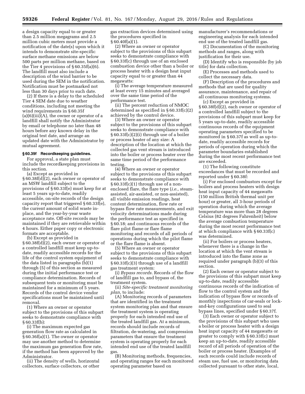a design capacity equal to or greater than 2.5 million megagrams and 2.5 million cubic meters must provide a notification of the date(s) upon which it intends to demonstrate site-specific surface methane emissions are below 500 parts per million methane, based on the Tier 4 provisions of § 60.35f(a)(6). The landfill must also include a description of the wind barrier to be used during the SEM in the notification. Notification must be postmarked not less than 30 days prior to such date.

(2) If there is a delay to the scheduled Tier 4 SEM date due to weather conditions, including not meeting the wind requirements in § 60.35f  $(a)(6)(iii)(A)$ , the owner or operator of a landfill shall notify the Administrator by email or telephone no later than 48 hours before any known delay in the original test date, and arrange an updated date with the Administrator by mutual agreement.

#### **§ 60.39f Recordkeeping guidelines.**

For approval, a state plan must include the recordkeeping provisions in this section.

(a) Except as provided in § 60.38f(d)(2), each owner or operator of an MSW landfill subject to the provisions of § 60.33f(e) must keep for at least 5 years up-to-date, readily accessible, on-site records of the design capacity report that triggered § 60.33f(e), the current amount of solid waste inplace, and the year-by-year waste acceptance rate. Off-site records may be maintained if they are retrievable within 4 hours. Either paper copy or electronic formats are acceptable.

(b) Except as provided in § 60.38f(d)(2), each owner or operator of a controlled landfill must keep up-todate, readily accessible records for the life of the control system equipment of the data listed in paragraphs (b)(1) through (5) of this section as measured during the initial performance test or compliance determination. Records of subsequent tests or monitoring must be maintained for a minimum of 5 years. Records of the control device vendor specifications must be maintained until removal.

(1) Where an owner or operator subject to the provisions of this subpart seeks to demonstrate compliance with § 60.33f(b):

(i) The maximum expected gas generation flow rate as calculated in § 60.36f(a)(1). The owner or operator may use another method to determine the maximum gas generation flow rate, if the method has been approved by the Administrator.

(ii) The density of wells, horizontal collectors, surface collectors, or other gas extraction devices determined using the procedures specified in § 60.40f(a)(1).

(2) Where an owner or operator subject to the provisions of this subpart seeks to demonstrate compliance with § 60.33f(c) through use of an enclosed combustion device other than a boiler or process heater with a design heat input capacity equal to or greater than 44 megawatts:

(i) The average temperature measured at least every 15 minutes and averaged over the same time period of the performance test.

(ii) The percent reduction of NMOC determined as specified in § 60.33f(c)(2) achieved by the control device.

(3) Where an owner or operator subject to the provisions of this subpart seeks to demonstrate compliance with § 60.33f(c)(2)(i) through use of a boiler or process heater of any size: A description of the location at which the collected gas vent stream is introduced into the boiler or process heater over the same time period of the performance testing.

(4) Where an owner or operator subject to the provisions of this subpart seeks to demonstrate compliance with § 60.33f(c)(1) through use of a nonenclosed flare, the flare type (*i.e.,* steamassisted, air-assisted, or non-assisted), all visible emission readings, heat content determination, flow rate or bypass flow rate measurements, and exit velocity determinations made during the performance test as specified in § 60.18; and continuous records of the flare pilot flame or flare flame monitoring and records of all periods of operations during which the pilot flame or the flare flame is absent.

(5) Where an owner or operator subject to the provisions of this subpart seeks to demonstrate compliance with § 60.33f(c)(3) through use of a landfill gas treatment system:

(i) *Bypass records.* Records of the flow of landfill gas to, and bypass of, the treatment system.

(ii) *Site-specific treatment monitoring plan,* to include:

(A) Monitoring records of parameters that are identified in the treatment system monitoring plan and that ensure the treatment system is operating properly for each intended end use of the treated landfill gas. At a minimum, records should include records of filtration, de-watering, and compression parameters that ensure the treatment system is operating properly for each intended end use of the treated landfill gas

(B) Monitoring methods, frequencies, and operating ranges for each monitored operating parameter based on

manufacturer's recommendations or engineering analysis for each intended end use of the treated landfill gas.

(C) Documentation of the monitoring methods and ranges, along with justification for their use.

(D) Identify who is responsible (by job title) for data collection.

(E) Processes and methods used to collect the necessary data.

(F) Description of the procedures and methods that are used for quality assurance, maintenance, and repair of all continuous monitoring systems.

(c) Except as provided in § 60.38f(d)(2), each owner or operator of a controlled landfill subject to the provisions of this subpart must keep for 5 years up-to-date, readily accessible continuous records of the equipment operating parameters specified to be monitored in § 60.37f as well as up-todate, readily accessible records for periods of operation during which the parameter boundaries established during the most recent performance test are exceeded.

(1) The following constitute exceedances that must be recorded and reported under § 60.38f:

(i) For enclosed combustors except for boilers and process heaters with design heat input capacity of 44 megawatts (150 million British thermal unit per hour) or greater, all 3-hour periods of operation during which the average temperature was more than 28 degrees Celsius (82 degrees Fahrenheit) below the average combustion temperature during the most recent performance test at which compliance with § 60.33f(c) was determined.

(ii) For boilers or process heaters, whenever there is a change in the location at which the vent stream is introduced into the flame zone as required under paragraph (b)(3) of this section.

(2) Each owner or operator subject to the provisions of this subpart must keep up-to-date, readily accessible continuous records of the indication of flow to the control system and the indication of bypass flow or records of monthly inspections of car-seals or lockand-key configurations used to seal bypass lines, specified under § 60.37f.

(3) Each owner or operator subject to the provisions of this subpart who uses a boiler or process heater with a design heat input capacity of 44 megawatts or greater to comply with § 60.33f(c) must keep an up-to-date, readily accessible record of all periods of operation of the boiler or process heater. (Examples of such records could include records of steam use, fuel use, or monitoring data collected pursuant to other state, local,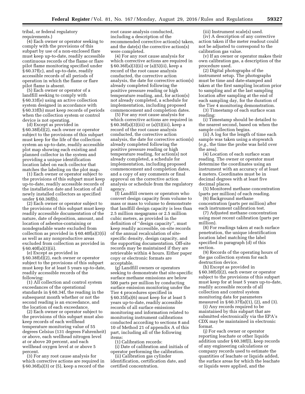tribal, or federal regulatory requirements.)

(4) Each owner or operator seeking to comply with the provisions of this subpart by use of a non-enclosed flare must keep up-to-date, readily accessible continuous records of the flame or flare pilot flame monitoring specified under § 60.37f(c), and up-to-date, readily accessible records of all periods of operation in which the flame or flare pilot flame is absent.

(5) Each owner or operator of a landfill seeking to comply with § 60.33f(e) using an active collection system designed in accordance with § 60.33f(b) must keep records of periods when the collection system or control device is not operating.

(d) Except as provided in § 60.38f(d)(2), each owner or operator subject to the provisions of this subpart must keep for the life of the collection system an up-to-date, readily accessible plot map showing each existing and planned collector in the system and providing a unique identification location label on each collector that matches the labeling on the plot map.

(1) Each owner or operator subject to the provisions of this subpart must keep up-to-date, readily accessible records of the installation date and location of all newly installed collectors as specified under § 60.36f(b).

(2) Each owner or operator subject to the provisions of this subpart must keep readily accessible documentation of the nature, date of deposition, amount, and location of asbestos-containing or nondegradable waste excluded from collection as provided in § 60.40f(a)(3)(i) as well as any nonproductive areas excluded from collection as provided in § 60.40f(a)(3)(ii).

(e) Except as provided in § 60.38f(d)(2), each owner or operator subject to the provisions of this subpart must keep for at least 5 years up-to-date, readily accessible records of the following:

(1) All collection and control system exceedances of the operational standards in § 60.34f, the reading in the subsequent month whether or not the second reading is an exceedance, and the location of each exceedance.

(2) Each owner or operator subject to the provisions of this subpart must also keep records of each wellhead temperature monitoring value of 55 degrees Celsius (131 degrees Fahrenheit) or above, each wellhead nitrogen level at or above 20 percent, and each wellhead oxygen level at or above 5 percent.

(3) For any root cause analysis for which corrective actions are required in § 60.36f(a)(3) or (5), keep a record of the

root cause analysis conducted, including a description of the recommended corrective action(s) taken, and the date(s) the corrective action(s) were completed.

(4) For any root cause analysis for which corrective actions are required in § 60.36f(a)(3)(ii) or (a)(5)(ii), keep a record of the root cause analysis conducted, the corrective action analysis, the date for corrective action(s) already completed following the positive pressure reading or high temperature reading, and, for action(s) not already completed, a schedule for implementation, including proposed commencement and completion dates.

(5) For any root cause analysis for which corrective actions are required in § 60.36f(a)(3)(iii) or (a)(5)(iii), keep a record of the root cause analysis conducted, the corrective action analysis, the date for corrective action(s) already completed following the positive pressure reading or high temperature reading, for action(s) not already completed, a schedule for implementation, including proposed commencement and completion dates, and a copy of any comments or final approval on the corrective action analysis or schedule from the regulatory agency.

(f) Landfill owners or operators who convert design capacity from volume to mass or mass to volume to demonstrate that landfill design capacity is less than 2.5 million megagrams or 2.5 million cubic meters, as provided in the definition of ''design capacity'', must keep readily accessible, on-site records of the annual recalculation of sitespecific density, design capacity, and the supporting documentation. Off-site records may be maintained if they are retrievable within 4 hours. Either paper copy or electronic formats are acceptable.

(g) Landfill owners or operators seeking to demonstrate that site-specific surface methane emissions are below 500 parts per million by conducting surface emission monitoring under the Tier 4 procedures specified in § 60.35f(a)(6) must keep for at least 5 years up-to-date, readily accessible records of all surface emissions monitoring and information related to monitoring instrument calibrations conducted according to sections 8 and 10 of Method 21 of appendix A of this part, including all of the following items:

(1) Calibration records:

(i) Date of calibration and initials of operator performing the calibration.

(ii) Calibration gas cylinder identification, certification date, and certified concentration.

(iii) Instrument scale(s) used. (iv) A description of any corrective action taken if the meter readout could not be adjusted to correspond to the calibration gas value.

(v) If an owner or operator makes their own calibration gas, a description of the procedure used.

(2) Digital photographs of the instrument setup. The photographs must be time and date-stamped and taken at the first sampling location prior to sampling and at the last sampling location after sampling at the end of each sampling day, for the duration of the Tier 4 monitoring demonstration.

(3) Timestamp of each surface scan reading:

(i) Timestamp should be detailed to the nearest second, based on when the sample collection begins.

(ii) A log for the length of time each sample was taken using a stopwatch (*e.g.,* the time the probe was held over the area).

(4) Location of each surface scan reading. The owner or operator must determine the coordinates using an instrument with an accuracy of at least 4 meters. Coordinates must be in decimal degrees with at least five decimal places.

(5) Monitored methane concentration (parts per million) of each reading.

(6) Background methane concentration (parts per million) after each instrument calibration test.

(7) Adjusted methane concentration using most recent calibration (parts per million).

(8) For readings taken at each surface penetration, the unique identification location label matching the label specified in paragraph (d) of this section.

(9) Records of the operating hours of the gas collection system for each destruction device.

(h) Except as provided in § 60.38f(d)(2), each owner or operator subject to the provisions of this subpart must keep for at least 5 years up-to-date, readily accessible records of all collection and control system monitoring data for parameters measured in § 60.37f(a)(1), (2), and (3).

(i) Any records required to be maintained by this subpart that are submitted electronically via the EPA's CDX may be maintained in electronic format.

(j) For each owner or operator reporting leachate or other liquids addition under § 60.38f(l), keep records of any engineering calculations or company records used to estimate the quantities of leachate or liquids added, the surface areas for which the leachate or liquids were applied, and the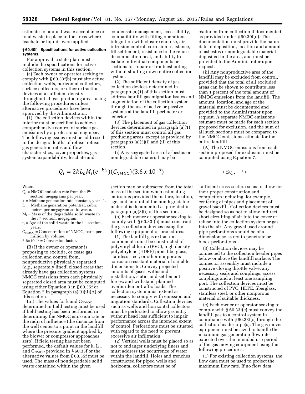estimates of annual waste acceptance or total waste in place in the areas where leachate or liquids were applied.

#### **§ 60.40f Specifications for active collection systems.**

For approval, a state plan must include the specifications for active collection systems in this section.

(a) Each owner or operator seeking to comply with § 60.33f(b) must site active collection wells, horizontal collectors, surface collectors, or other extraction devices at a sufficient density throughout all gas producing areas using the following procedures unless alternative procedures have been approved by the Administrator.

(1) The collection devices within the interior must be certified to achieve comprehensive control of surface gas emissions by a professional engineer. The following issues must be addressed in the design: depths of refuse, refuse gas generation rates and flow characteristics, cover properties, gas system expandability, leachate and

condensate management, accessibility, compatibility with filling operations, integration with closure end use, air intrusion control, corrosion resistance, fill settlement, resistance to the refuse decomposition heat, and ability to isolate individual components or sections for repair or troubleshooting without shutting down entire collection system.

(2) The sufficient density of gas collection devices determined in paragraph (a)(1) of this section must address landfill gas migration issues and augmentation of the collection system through the use of active or passive systems at the landfill perimeter or exterior.

(3) The placement of gas collection devices determined in paragraph (a)(1) of this section must control all gas producing areas, except as provided by paragraphs (a)(3)(i) and (ii) of this section.

(i) Any segregated area of asbestos or nondegradable material may be

 $Q_i = 2kL_oM_i(e^{-kt_i})(C_{NMOC})(3.6 \times 10^{-9})$ 

Where:

- $Q_i$  = NMOC emission rate from the i<sup>th</sup> section, megagrams per year.
- $k = M$ ethane generation rate constant, year<sup> $-1$ </sup>.  $L<sub>o</sub>$  = Methane generation potential, cubic
- meters per megagram solid waste.  $M<sub>i</sub>$  = Mass of the degradable solid waste in
- the ith section, megagram.
- $t_i$  = Age of the solid waste in the i<sup>th</sup> section, years.
- $C_{\text{NMOC}}$  = Concentration of NMOC, parts per million by volume.
- $3.6\times10^{-9} =$  Conversion factor.

(B) If the owner or operator is proposing to exclude, or cease gas collection and control from, nonproductive physically separated (*e.g.,* separately lined) closed areas that already have gas collection systems, NMOC emissions from each physically separated closed area must be computed using either Equation 3 in § 60.35f or Equation 7 in paragraph (a)(3)(ii)(A) of this section.

(iii) The values for k and  $C_{\rm NMOC}$ determined in field testing must be used if field testing has been performed in determining the NMOC emission rate or the radii of influence (the distance from the well center to a point in the landfill where the pressure gradient applied by the blower or compressor approaches zero). If field testing has not been performed, the default values for k, L<sub>o</sub>, and C<sub>NMOC</sub> provided in §60.35f or the alternative values from § 60.35f must be used. The mass of nondegradable solid waste contained within the given

section may be subtracted from the total mass of the section when estimating emissions provided the nature, location, age, and amount of the nondegradable material is documented as provided in paragraph (a)(3)(i) of this section.

(b) Each owner or operator seeking to comply with § 60.33f(b) must construct the gas collection devices using the following equipment or procedures:

(1) The landfill gas extraction components must be constructed of polyvinyl chloride (PVC), high density polyethylene (HDPE) pipe, fiberglass, stainless steel, or other nonporous corrosion resistant material of suitable dimensions to: Convey projected amounts of gases; withstand installation, static, and settlement forces; and withstand planned overburden or traffic loads. The collection system must extend as necessary to comply with emission and migration standards. Collection devices such as wells and horizontal collectors must be perforated to allow gas entry without head loss sufficient to impair performance across the intended extent of control. Perforations must be situated with regard to the need to prevent excessive air infiltration.

(2) Vertical wells must be placed so as not to endanger underlying liners and must address the occurrence of water within the landfill. Holes and trenches constructed for piped wells and horizontal collectors must be of

excluded from collection if documented as provided under § 60.39f(d). The documentation must provide the nature, date of deposition, location and amount of asbestos or nondegradable material deposited in the area, and must be provided to the Administrator upon request.

(ii) Any nonproductive area of the landfill may be excluded from control, provided that the total of all excluded areas can be shown to contribute less than 1 percent of the total amount of NMOC emissions from the landfill. The amount, location, and age of the material must be documented and provided to the Administrator upon request. A separate NMOC emissions estimate must be made for each section proposed for exclusion, and the sum of all such sections must be compared to the NMOC emissions estimate for the entire landfill.

(A) The NMOC emissions from each section proposed for exclusion must be computed using Equation 7:

# $(Eq. 7)$

sufficient cross-section so as to allow for their proper construction and completion including, for example, centering of pipes and placement of gravel backfill. Collection devices must be designed so as not to allow indirect short circuiting of air into the cover or refuse into the collection system or gas into the air. Any gravel used around pipe perforations should be of a dimension so as not to penetrate or block perforations.

(3) Collection devices may be connected to the collection header pipes below or above the landfill surface. The connector assembly must include a positive closing throttle valve, any necessary seals and couplings, access couplings and at least one sampling port. The collection devices must be constructed of PVC, HDPE, fiberglass, stainless steel, or other nonporous material of suitable thickness.

(c) Each owner or operator seeking to comply with § 60.33f(c) must convey the landfill gas to a control system in compliance with § 60.33f(c) through the collection header pipe(s). The gas mover equipment must be sized to handle the maximum gas generation flow rate expected over the intended use period of the gas moving equipment using the following procedures:

(1) For existing collection systems, the flow data must be used to project the maximum flow rate. If no flow data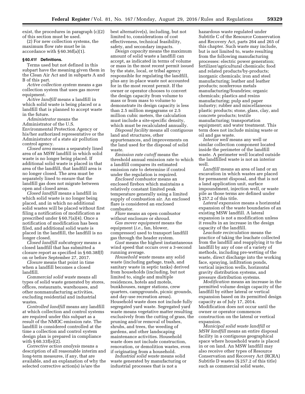exist, the procedures in paragraph (c)(2) of this section must be used.

(2) For new collection systems, the maximum flow rate must be in accordance with § 60.36f(a)(1).

#### **§ 60.41f Definitions.**

Terms used but not defined in this subpart have the meaning given them in the Clean Air Act and in subparts A and B of this part.

*Active collection system* means a gas collection system that uses gas mover equipment.

*Active landfill* means a landfill in which solid waste is being placed or a landfill that is planned to accept waste in the future.

*Administrator* means the Administrator of the U.S. Environmental Protection Agency or his/her authorized representative or the Administrator of a state air pollution control agency.

*Closed area* means a separately lined area of an MSW landfill in which solid waste is no longer being placed. If additional solid waste is placed in that area of the landfill, that landfill area is no longer closed. The area must be separately lined to ensure that the landfill gas does not migrate between open and closed areas.

*Closed landfill* means a landfill in which solid waste is no longer being placed, and in which no additional solid wastes will be placed without first filing a notification of modification as prescribed under § 60.7(a)(4). Once a notification of modification has been filed, and additional solid waste is placed in the landfill, the landfill is no longer closed.

*Closed landfill subcategory* means a closed landfill that has submitted a closure report as specified in § 60.38f(f) on or before September 27, 2017.

*Closure* means that point in time when a landfill becomes a closed landfill.

*Commercial solid waste* means all types of solid waste generated by stores, offices, restaurants, warehouses, and other nonmanufacturing activities, excluding residential and industrial wastes.

*Controlled landfill* means any landfill at which collection and control systems are required under this subpart as a result of the NMOC emission rate. The landfill is considered controlled at the time a collection and control system design plan is prepared in compliance with § 60.33f(e)(2).

*Corrective action analysis* means a description of all reasonable interim and long-term measures, if any, that are available, and an explanation of why the selected corrective action(s) is/are the

best alternative(s), including, but not limited to, considerations of cost effectiveness, technical feasibility, safety, and secondary impacts.

*Design capacity* means the maximum amount of solid waste a landfill can accept, as indicated in terms of volume or mass in the most recent permit issued by the state, local, or tribal agency responsible for regulating the landfill, plus any in-place waste not accounted for in the most recent permit. If the owner or operator chooses to convert the design capacity from volume to mass or from mass to volume to demonstrate its design capacity is less than 2.5 million megagrams or 2.5 million cubic meters, the calculation must include a site-specific density, which must be recalculated annually.

*Disposal facility* means all contiguous land and structures, other appurtenances, and improvements on the land used for the disposal of solid waste.

*Emission rate cutoff* means the threshold annual emission rate to which a landfill compares its estimated emission rate to determine if control under the regulation is required.

*Enclosed combustor* means an enclosed firebox which maintains a relatively constant limited peak temperature generally using a limited supply of combustion air. An enclosed flare is considered an enclosed combustor.

*Flare* means an open combustor without enclosure or shroud.

*Gas mover equipment* means the equipment (*i.e.,* fan, blower, compressor) used to transport landfill gas through the header system.

*Gust* means the highest instantaneous wind speed that occurs over a 3-second running average.

*Household waste* means any solid waste (including garbage, trash, and sanitary waste in septic tanks) derived from households (including, but not limited to, single and multiple residences, hotels and motels, bunkhouses, ranger stations, crew quarters, campgrounds, picnic grounds, and day-use recreation areas). Household waste does not include fully segregated yard waste. Segregated yard waste means vegetative matter resulting exclusively from the cutting of grass, the pruning and/or removal of bushes, shrubs, and trees, the weeding of gardens, and other landscaping maintenance activities. Household waste does not include construction, renovation, or demolition wastes, even if originating from a household.

*Industrial solid waste* means solid waste generated by manufacturing or industrial processes that is not a

hazardous waste regulated under Subtitle C of the Resource Conservation and Recovery Act, parts 264 and 265 of this chapter. Such waste may include, but is not limited to, waste resulting from the following manufacturing processes: electric power generation; fertilizer/agricultural chemicals; food and related products/by-products; inorganic chemicals; iron and steel manufacturing; leather and leather products; nonferrous metals manufacturing/foundries; organic chemicals; plastics and resins manufacturing; pulp and paper industry; rubber and miscellaneous plastic products; stone, glass, clay, and concrete products; textile manufacturing; transportation equipment; and water treatment. This term does not include mining waste or oil and gas waste.

*Interior well* means any well or similar collection component located inside the perimeter of the landfill waste. A perimeter well located outside the landfilled waste is not an interior well.

*Landfill* means an area of land or an excavation in which wastes are placed for permanent disposal, and that is not a land application unit, surface impoundment, injection well, or waste pile as those terms are defined under § 257.2 of this title.

*Lateral expansion* means a horizontal expansion of the waste boundaries of an existing MSW landfill. A lateral expansion is not a modification unless it results in an increase in the design capacity of the landfill.

*Leachate recirculation* means the practice of taking the leachate collected from the landfill and reapplying it to the landfill by any of one of a variety of methods, including pre-wetting of the waste, direct discharge into the working face, spraying, infiltration ponds, vertical injection wells, horizontal gravity distribution systems, and pressure distribution systems.

*Modification* means an increase in the permitted volume design capacity of the landfill by either lateral or vertical expansion based on its permitted design capacity as of July 17, 2014. Modification does not occur until the owner or operator commences construction on the lateral or vertical expansion.

*Municipal solid waste landfill* or *MSW landfill* means an entire disposal facility in a contiguous geographical space where household waste is placed in or on land. An MSW landfill may also receive other types of Resource Conservation and Recovery Act (RCRA) Subtitle D wastes (§ 257.2 of this title) such as commercial solid waste,